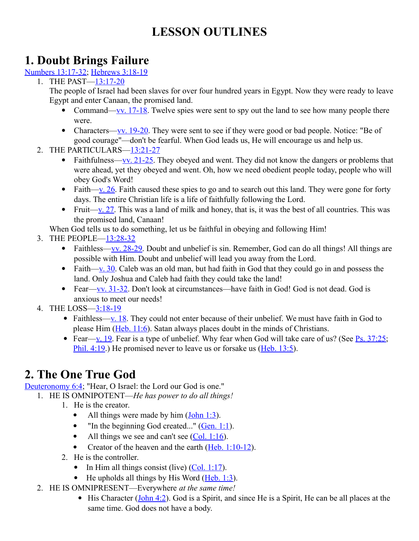# **LESSON OUTLINES**

### **1. Doubt Brings Failure**

[Numbers 13:17-32;](http://www.crossbooks.com/verse.asp?ref=Nu+13%3A17-32) [Hebrews 3:18-19](http://www.crossbooks.com/verse.asp?ref=Heb+3%3A18-19)

1. THE PAST[—13:17-20](http://www.crossbooks.com/verse.asp?ref=Nu+13%3A17-20)

The people of Israel had been slaves for over four hundred years in Egypt. Now they were ready to leave Egypt and enter Canaan, the promised land.

- Command[—vv. 17-18.](http://www.crossbooks.com/verse.asp?ref=Nu+13%3A17-18) Twelve spies were sent to spy out the land to see how many people there were.
- Characters[—vv. 19-20.](http://www.crossbooks.com/verse.asp?ref=Nu+13%3A19-20) They were sent to see if they were good or bad people. Notice: "Be of good courage"—don't be fearful. When God leads us, He will encourage us and help us.
- 2. THE PARTICULARS[—13:21-27](http://www.crossbooks.com/verse.asp?ref=Nu+13%3A21-27)
	- Faithfulness[—vv. 21-25.](http://www.crossbooks.com/verse.asp?ref=Nu+13%3A21-25) They obeyed and went. They did not know the dangers or problems that were ahead, yet they obeyed and went. Oh, how we need obedient people today, people who will obey God's Word!
	- Faith—v.  $26$ . Faith caused these spies to go and to search out this land. They were gone for forty days. The entire Christian life is a life of faithfully following the Lord.
	- Fruit—y. 27. This was a land of milk and honey, that is, it was the best of all countries. This was the promised land, Canaan!

When God tells us to do something, let us be faithful in obeying and following Him!

- 3. THE PEOPLE[—13:28-32](http://www.crossbooks.com/verse.asp?ref=Nu+13%3A28-32)
	- Faithless—vv.  $28-29$ . Doubt and unbelief is sin. Remember, God can do all things! All things are possible with Him. Doubt and unbelief will lead you away from the Lord.
	- Faith[—v. 30.](http://www.crossbooks.com/verse.asp?ref=Nu+13%3A30) Caleb was an old man, but had faith in God that they could go in and possess the land. Only Joshua and Caleb had faith they could take the land!
	- Fear[—vv. 31-32.](http://www.crossbooks.com/verse.asp?ref=Nu+13%3A31-32) Don't look at circumstances—have faith in God! God is not dead. God is anxious to meet our needs!
- 4. THE LOSS[—3:18-19](http://www.crossbooks.com/verse.asp?ref=Nu+3%3A18-19)
	- Faithless[—v. 18.](http://www.crossbooks.com/verse.asp?ref=Nu+3%3A18) They could not enter because of their unbelief. We must have faith in God to please Him [\(Heb. 11:6\)](http://www.crossbooks.com/verse.asp?ref=Heb+11%3A6). Satan always places doubt in the minds of Christians.
	- Fear[—v. 19.](http://www.crossbooks.com/verse.asp?ref=Nu+3%3A19) Fear is a type of unbelief. Why fear when God will take care of us? (See Ps.  $37:25$ ; [Phil. 4:19.](http://www.crossbooks.com/verse.asp?ref=Php+4%3A19)) He promised never to leave us or forsake us [\(Heb. 13:5\)](http://www.crossbooks.com/verse.asp?ref=Heb+13%3A5).

# **2. The One True God**

[Deuteronomy 6:4;](http://www.crossbooks.com/verse.asp?ref=Dt+6%3A4) "Hear, O Israel: the Lord our God is one."

- 1. HE IS OMNIPOTENT—*He has power to do all things!*
	- 1. He is the creator.
		- All things were made by him  $(**John 1:3**)$ .
		- $\bullet$  "In the beginning God created..." [\(Gen. 1:1\)](http://www.crossbooks.com/verse.asp?ref=Ge+1%3A1).
		- All things we see and can't see  $(Col. 1:16)$ .
		- Creator of the heaven and the earth  $(Heb. 1:10-12)$ .
	- 2. He is the controller.
		- In Him all things consist (live)  $(Col. 1:17)$ .
		- $\bullet$  He upholds all things by His Word [\(Heb. 1:3\)](http://www.crossbooks.com/verse.asp?ref=Heb+1%3A3).
	- 2. HE IS OMNIPRESENT—Everywhere *at the same time!*
		- $\bullet$  His Character [\(John 4:2\)](http://www.crossbooks.com/verse.asp?ref=Jn+4%3A2). God is a Spirit, and since He is a Spirit, He can be all places at the same time. God does not have a body.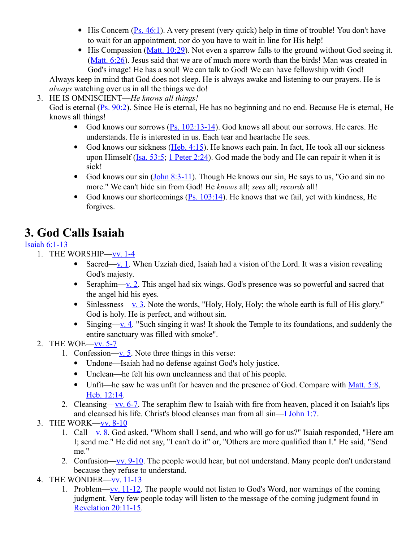- $\bullet$  His Concern [\(Ps. 46:1\)](http://www.crossbooks.com/verse.asp?ref=Ps+46%3A1). A very present (very quick) help in time of trouble! You don't have to wait for an appointment, nor do you have to wait in line for His help!
- $\bullet$  His Compassion [\(Matt. 10:29\)](http://www.crossbooks.com/verse.asp?ref=Mt+10%3A29). Not even a sparrow falls to the ground without God seeing it. [\(Matt. 6:26\)](http://www.crossbooks.com/verse.asp?ref=Mt+6%3A26). Jesus said that we are of much more worth than the birds! Man was created in God's image! He has a soul! We can talk to God! We can have fellowship with God!

Always keep in mind that God does not sleep. He is always awake and listening to our prayers. He is *always* watching over us in all the things we do!

3. HE IS OMNISCIENT—*He knows all things!*

God is eternal [\(Ps. 90:2\)](http://www.crossbooks.com/verse.asp?ref=Ps+90%3A2). Since He is eternal, He has no beginning and no end. Because He is eternal, He knows all things!

- God knows our sorrows  $(P_S. 102:13-14)$ . God knows all about our sorrows. He cares. He understands. He is interested in us. Each tear and heartache He sees.
- God knows our sickness [\(Heb. 4:15\)](http://www.crossbooks.com/verse.asp?ref=Heb+4%3A15). He knows each pain. In fact, He took all our sickness upon Himself [\(Isa. 53:5;](http://www.crossbooks.com/verse.asp?ref=Isa+53%3A5) [1 Peter 2:24\)](http://www.crossbooks.com/verse.asp?ref=1Pe+2%3A24). God made the body and He can repair it when it is sick!
- God knows our sin  $(John 8:3-11)$ . Though He knows our sin, He says to us, "Go and sin no more." We can't hide sin from God! He *knows* all; *sees* all; *records* all!
- God knows our shortcomings (Ps.  $103:14$ ). He knows that we fail, yet with kindness, He forgives.

# **3. God Calls Isaiah**

### [Isaiah 6:1-13](http://www.crossbooks.com/verse.asp?ref=Isa+6%3A1-13)

- 1. THE WORSHIP[—vv. 1-4](http://www.crossbooks.com/verse.asp?ref=Isa+6%3A1-4)
	- Sacred[—v. 1.](http://www.crossbooks.com/verse.asp?ref=Isa+6%3A1) When Uzziah died, Isaiah had a vision of the Lord. It was a vision revealing God's majesty.
	- Seraphim[—v. 2.](http://www.crossbooks.com/verse.asp?ref=Isa+6%3A2) This angel had six wings. God's presence was so powerful and sacred that the angel hid his eyes.
	- $\bullet$  Sinlessness[—v. 3.](http://www.crossbooks.com/verse.asp?ref=Isa+6%3A3) Note the words, "Holy, Holy, Holy; the whole earth is full of His glory." God is holy. He is perfect, and without sin.
	- Singing[—v. 4.](http://www.crossbooks.com/verse.asp?ref=Isa+6%3A4) "Such singing it was! It shook the Temple to its foundations, and suddenly the entire sanctuary was filled with smoke".
- 2. THE WOE[—vv. 5-7](http://www.crossbooks.com/verse.asp?ref=Isa+6%3A5-7)
	- 1. Confession[—v. 5.](http://www.crossbooks.com/verse.asp?ref=Isa+6%3A5) Note three things in this verse:
		- Undone—Isaiah had no defense against God's holy justice.
		- Unclean—he felt his own uncleanness and that of his people.
		- Unfit—he saw he was unfit for heaven and the presence of God. Compare with [Matt. 5:8,](http://www.crossbooks.com/verse.asp?ref=Mt+5%3A8) [Heb. 12:14.](http://www.crossbooks.com/verse.asp?ref=Heb+12%3A14)
	- 2. Cleansing[—vv. 6-7.](http://www.crossbooks.com/verse.asp?ref=Isa+6%3A6-7) The seraphim flew to Isaiah with fire from heaven, placed it on Isaiah's lips and cleansed his life. Christ's blood cleanses man from all sin[—I John 1:7.](http://www.crossbooks.com/verse.asp?ref=1Jn+1%3A7)
- 3. THE WORK[—vv. 8-10](http://www.crossbooks.com/verse.asp?ref=Isa+6%3A8-10)
	- 1. Call[—v. 8.](http://www.crossbooks.com/verse.asp?ref=Isa+6%3A8) God asked, "Whom shall I send, and who will go for us?" Isaiah responded, "Here am I; send me." He did not say, "I can't do it" or, "Others are more qualified than I." He said, "Send me."
	- 2. Confusion[—vv. 9-10.](http://www.crossbooks.com/verse.asp?ref=Isa+6%3A9-10) The people would hear, but not understand. Many people don't understand because they refuse to understand.
- 4. THE WONDER[—vv. 11-13](http://www.crossbooks.com/verse.asp?ref=Isa+6%3A11-13)
	- 1. Problem[—vv. 11-12.](http://www.crossbooks.com/verse.asp?ref=Isa+6%3A11-12) The people would not listen to God's Word, nor warnings of the coming judgment. Very few people today will listen to the message of the coming judgment found in [Revelation 20:11-15.](http://www.crossbooks.com/verse.asp?ref=Rev+20%3A11-15)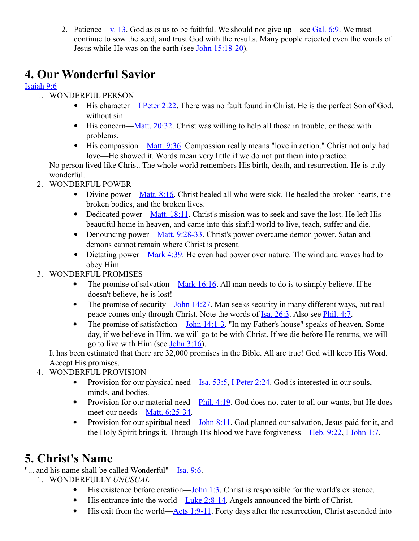2. Patience[—v. 13.](http://www.crossbooks.com/verse.asp?ref=Isa+6%3A13) God asks us to be faithful. We should not give up—see [Gal. 6:9.](http://www.crossbooks.com/verse.asp?ref=Gal+6%3A9) We must continue to sow the seed, and trust God with the results. Many people rejected even the words of Jesus while He was on the earth (see [John 15:18-20\)](http://www.crossbooks.com/verse.asp?ref=Jn+15%3A18-20).

# **4. Our Wonderful Savior**

### [Isaiah 9:6](http://www.crossbooks.com/verse.asp?ref=Isa+9%3A6)

- 1. WONDERFUL PERSON
	- His character[—I Peter 2:22.](http://www.crossbooks.com/verse.asp?ref=1Pe+2%3A22) There was no fault found in Christ. He is the perfect Son of God, without sin.
	- $\bullet$  His concern[—Matt. 20:32.](http://www.crossbooks.com/verse.asp?ref=Mt+20%3A32) Christ was willing to help all those in trouble, or those with problems.
	- $\bullet$  His compassion[—Matt. 9:36.](http://www.crossbooks.com/verse.asp?ref=Mt+9%3A36) Compassion really means "love in action." Christ not only had love—He showed it. Words mean very little if we do not put them into practice.

No person lived like Christ. The whole world remembers His birth, death, and resurrection. He is truly wonderful.

- 2. WONDERFUL POWER
	- Divine power—Matt.  $8:16$ . Christ healed all who were sick. He healed the broken hearts, the broken bodies, and the broken lives.
	- Dedicated power[—Matt. 18:11.](http://www.crossbooks.com/verse.asp?ref=Mt+18%3A11) Christ's mission was to seek and save the lost. He left His beautiful home in heaven, and came into this sinful world to live, teach, suffer and die.
	- Denouncing power[—Matt. 9:28-33.](http://www.crossbooks.com/verse.asp?ref=Mt+9%3A28-33) Christ's power overcame demon power. Satan and demons cannot remain where Christ is present.
	- Dictating power[—Mark 4:39.](http://www.crossbooks.com/verse.asp?ref=Mk+4%3A39) He even had power over nature. The wind and waves had to obey Him.
- 3. WONDERFUL PROMISES
	- The promise of salvation[—Mark 16:16.](http://www.crossbooks.com/verse.asp?ref=Mk+16%3A16) All man needs to do is to simply believe. If he doesn't believe, he is lost!
	- The promise of security—John  $14:27$ . Man seeks security in many different ways, but real peace comes only through Christ. Note the words of [Isa. 26:3.](http://www.crossbooks.com/verse.asp?ref=Isa+26%3A3) Also see [Phil. 4:7.](http://www.crossbooks.com/verse.asp?ref=Php+4%3A7)
	- The promise of satisfaction—John  $14:1-3$ . "In my Father's house" speaks of heaven. Some day, if we believe in Him, we will go to be with Christ. If we die before He returns, we will go to live with Him (see [John 3:16\)](http://www.crossbooks.com/verse.asp?ref=Jn+3%3A16).

It has been estimated that there are 32,000 promises in the Bible. All are true! God will keep His Word. Accept His promises.

- 4. WONDERFUL PROVISION
	- Provision for our physical need—Isa.  $53:5$ , [I Peter 2:24.](http://www.crossbooks.com/verse.asp?ref=1Pe+2%3A24) God is interested in our souls, minds, and bodies.
	- Provision for our material need—Phil.  $4:19$ . God does not cater to all our wants, but He does meet our needs[—Matt. 6:25-34.](http://www.crossbooks.com/verse.asp?ref=Mt+6%3A25-34)
	- Provision for our spiritual need[—John 8:11.](http://www.crossbooks.com/verse.asp?ref=Jn+8%3A11) God planned our salvation, Jesus paid for it, and the Holy Spirit brings it. Through His blood we have forgiveness[—Heb. 9:22,](http://www.crossbooks.com/verse.asp?ref=Heb+9%3A22) [I John 1:7.](http://www.crossbooks.com/verse.asp?ref=1Jn+1%3A7)

# **5. Christ's Name**

"... and his name shall be called Wonderful"[—Isa. 9:6.](http://www.crossbooks.com/verse.asp?ref=Isa+9%3A6)

- 1. WONDERFULLY *UNUSUAL*
	- $\bullet$  His existence before creation[—John 1:3.](http://www.crossbooks.com/verse.asp?ref=Jn+1%3A3) Christ is responsible for the world's existence.
	- His entrance into the world[—Luke 2:8-14.](http://www.crossbooks.com/verse.asp?ref=Lk+2%3A8-14) Angels announced the birth of Christ.
	- $\bullet$  His exit from the world[—Acts 1:9-11.](http://www.crossbooks.com/verse.asp?ref=Ac+1%3A9-11) Forty days after the resurrection, Christ ascended into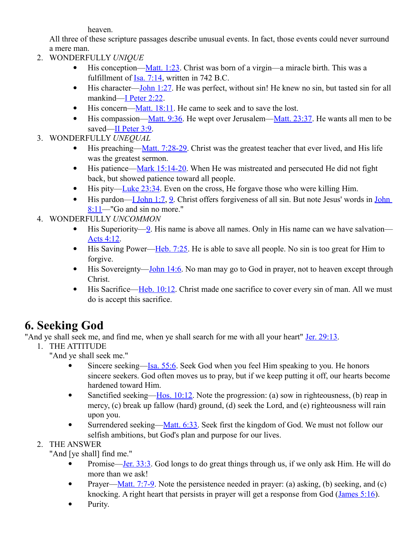heaven.

All three of these scripture passages describe unusual events. In fact, those events could never surround a mere man.

- 2. WONDERFULLY *UNIQUE*
	- $\bullet$  His conception[—Matt. 1:23.](http://www.crossbooks.com/verse.asp?ref=Mt+1%3A23) Christ was born of a virgin—a miracle birth. This was a fulfillment of  $Isa. 7:14$ , written in 742 B.C.
	- $\bullet$  His character[—John 1:27.](http://www.crossbooks.com/verse.asp?ref=Jn+1%3A27) He was perfect, without sin! He knew no sin, but tasted sin for all mankind[—I Peter 2:22.](http://www.crossbooks.com/verse.asp?ref=1Pe+2%3A22)
	- $\bullet$  His concern[—Matt. 18:11.](http://www.crossbooks.com/verse.asp?ref=Mt+18%3A11) He came to seek and to save the lost.
	- $\bullet$  His compassion[—Matt. 9:36.](http://www.crossbooks.com/verse.asp?ref=Mt+9%3A36) He wept over Jerusalem[—Matt. 23:37.](http://www.crossbooks.com/verse.asp?ref=Mt+23%3A37) He wants all men to be saved[—II Peter 3:9.](http://www.crossbooks.com/verse.asp?ref=2Pe+3%3A9)
- 3. WONDERFULLY *UNEQUAL*
	- $\bullet$  His preaching[—Matt. 7:28-29.](http://www.crossbooks.com/verse.asp?ref=Mt+7%3A28-29) Christ was the greatest teacher that ever lived, and His life was the greatest sermon.
	- $\bullet$  His patience[—Mark 15:14-20.](http://www.crossbooks.com/verse.asp?ref=Mk+15%3A14-20) When He was mistreated and persecuted He did not fight back, but showed patience toward all people.
	- His pity[—Luke 23:34.](http://www.crossbooks.com/verse.asp?ref=Lk+23%3A34) Even on the cross, He forgave those who were killing Him.
	- $\bullet$  His pardon[—I John 1:7,](http://www.crossbooks.com/verse.asp?ref=1Jn+1%3A7) [9.](http://www.crossbooks.com/verse.asp?ref=1Jn+1%3A9) Christ offers forgiveness of all sin. But note Jesus' words in John [8:11—](http://www.crossbooks.com/verse.asp?ref=Jn+8%3A11)"Go and sin no more."
- 4. WONDERFULLY *UNCOMMON*
	- $\bullet$  His Superiority[—9.](http://www.crossbooks.com/verse.asp?ref=Jn+1%3A9) His name is above all names. Only in His name can we have salvation— [Acts 4:12.](http://www.crossbooks.com/verse.asp?ref=Ac+4%3A12)
	- His Saving Power[—Heb. 7:25.](http://www.crossbooks.com/verse.asp?ref=Heb+7%3A25) He is able to save all people. No sin is too great for Him to forgive.
	- His Sovereignty[—John 14:6.](http://www.crossbooks.com/verse.asp?ref=Jn+14%3A6) No man may go to God in prayer, not to heaven except through Christ.
	- $\bullet$  His Sacrifice[—Heb. 10:12.](http://www.crossbooks.com/verse.asp?ref=Heb+10%3A12) Christ made one sacrifice to cover every sin of man. All we must do is accept this sacrifice.

# **6. Seeking God**

"And ye shall seek me, and find me, when ye shall search for me with all your heart" [Jer. 29:13.](http://www.crossbooks.com/verse.asp?ref=Jer+29%3A13)

1. THE ATTITUDE

"And ye shall seek me."

- Sincere seeking[—Isa. 55:6.](http://www.crossbooks.com/verse.asp?ref=Isa+55%3A6) Seek God when you feel Him speaking to you. He honors sincere seekers. God often moves us to pray, but if we keep putting it off, our hearts become hardened toward Him.
- Sanctified seeking—Hos.  $10:12$ . Note the progression: (a) sow in righteousness, (b) reap in mercy, (c) break up fallow (hard) ground, (d) seek the Lord, and (e) righteousness will rain upon you.
- Surrendered seeking[—Matt. 6:33.](http://www.crossbooks.com/verse.asp?ref=Mt+6%3A33) Seek first the kingdom of God. We must not follow our selfish ambitions, but God's plan and purpose for our lives.

### 2. THE ANSWER

"And [ye shall] find me."

- Promise[—Jer. 33:3.](http://www.crossbooks.com/verse.asp?ref=Jer+33%3A3) God longs to do great things through us, if we only ask Him. He will do more than we ask!
- Prayer—Matt.  $7:7-9$ . Note the persistence needed in prayer: (a) asking, (b) seeking, and (c) knocking. A right heart that persists in prayer will get a response from God (*James 5:16*).
- Purity.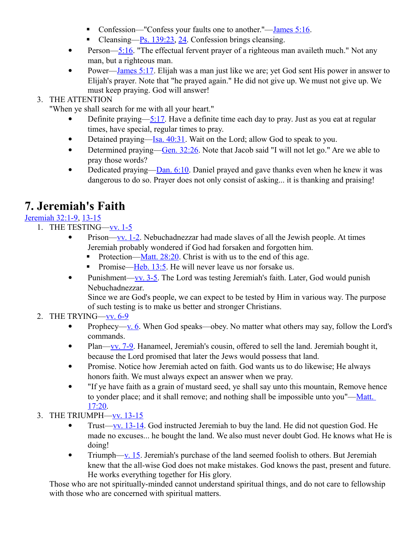- Confession—"Confess your faults one to another."—<u>James 5:16</u>.
- Cleansing—Ps.  $139:23$ ,  $24$ . Confession brings cleansing.
- Person[—5:16.](http://www.crossbooks.com/verse.asp?ref=Jas+5%3A16) "The effectual fervent prayer of a righteous man availeth much." Not any man, but a righteous man.
- Power[—James 5:17.](http://www.crossbooks.com/verse.asp?ref=Jas+5%3A17) Elijah was a man just like we are; yet God sent His power in answer to Elijah's prayer. Note that "he prayed again." He did not give up. We must not give up. We must keep praying. God will answer!

### 3. THE ATTENTION

"When ye shall search for me with all your heart."

- Definite praying[—5:17.](http://www.crossbooks.com/verse.asp?ref=Jas+5%3A17) Have a definite time each day to pray. Just as you eat at regular times, have special, regular times to pray.
- Detained praying[—Isa. 40:31.](http://www.crossbooks.com/verse.asp?ref=Isa+40%3A31) Wait on the Lord; allow God to speak to you.
- Determined praying—Gen.  $32:26$ . Note that Jacob said "I will not let go." Are we able to pray those words?
- Dedicated praying[—Dan. 6:10.](http://www.crossbooks.com/verse.asp?ref=Da+6%3A10) Daniel prayed and gave thanks even when he knew it was dangerous to do so. Prayer does not only consist of asking... it is thanking and praising!

# **7. Jeremiah's Faith**

### [Jeremiah 32:1-9,](http://www.crossbooks.com/verse.asp?ref=Jer+32%3A1-9) [13-15](http://www.crossbooks.com/verse.asp?ref=Jer+32%3A13-15)

- 1. THE TESTING[—vv. 1-5](http://www.crossbooks.com/verse.asp?ref=Jer+32%3A1-5)
	- Prison[—vv. 1-2.](http://www.crossbooks.com/verse.asp?ref=Jer+32%3A1-2) Nebuchadnezzar had made slaves of all the Jewish people. At times Jeremiah probably wondered if God had forsaken and forgotten him.
		- Protection—Matt.  $28:20$ . Christ is with us to the end of this age.
		- **Promise—Heb.** 13:5. He will never leave us nor forsake us.
	- Punishment—vv.  $3-5$ . The Lord was testing Jeremiah's faith. Later, God would punish Nebuchadnezzar.

Since we are God's people, we can expect to be tested by Him in various way. The purpose of such testing is to make us better and stronger Christians.

### 2. THE TRYING[—vv. 6-9](http://www.crossbooks.com/verse.asp?ref=Jer+32%3A6-9)

- Prophecy—<u>v. 6</u>. When God speaks—obey. No matter what others may say, follow the Lord's commands.
- Plan[—vv. 7-9.](http://www.crossbooks.com/verse.asp?ref=Jer+32%3A7-9) Hanameel, Jeremiah's cousin, offered to sell the land. Jeremiah bought it, because the Lord promised that later the Jews would possess that land.
- Promise. Notice how Jeremiah acted on faith. God wants us to do likewise; He always honors faith. We must always expect an answer when we pray.
- "If ye have faith as a grain of mustard seed, ye shall say unto this mountain, Remove hence to yonder place; and it shall remove; and nothing shall be impossible unto you"[—Matt.](http://www.crossbooks.com/verse.asp?ref=Mt+17%3A20)  [17:20.](http://www.crossbooks.com/verse.asp?ref=Mt+17%3A20)
- 3. THE TRIUMPH[—vv. 13-15](http://www.crossbooks.com/verse.asp?ref=Jer+32%3A13-15)
	- Trust[—vv. 13-14.](http://www.crossbooks.com/verse.asp?ref=Jer+32%3A13-14) God instructed Jeremiah to buy the land. He did not question God. He made no excuses... he bought the land. We also must never doubt God. He knows what He is doing!
	- Triumph[—v. 15.](http://www.crossbooks.com/verse.asp?ref=Jer+32%3A15) Jeremiah's purchase of the land seemed foolish to others. But Jeremiah knew that the all-wise God does not make mistakes. God knows the past, present and future. He works everything together for His glory.

Those who are not spiritually-minded cannot understand spiritual things, and do not care to fellowship with those who are concerned with spiritual matters.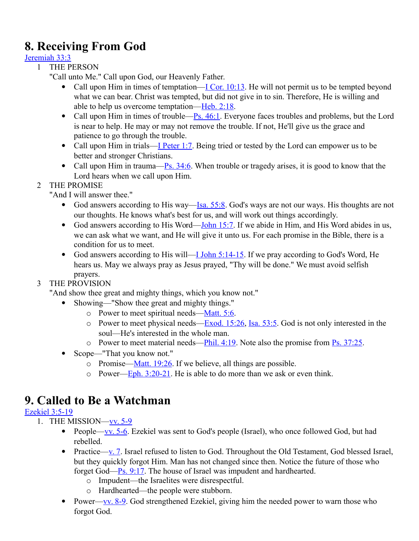# **8. Receiving From God**

#### [Jeremiah 33:3](http://www.crossbooks.com/verse.asp?ref=Jer+33%3A3)

- 1 THE PERSON
	- "Call unto Me." Call upon God, our Heavenly Father.
		- Call upon Him in times of temptation[—I Cor. 10:13.](http://www.crossbooks.com/verse.asp?ref=1Co+10%3A13) He will not permit us to be tempted beyond what we can bear. Christ was tempted, but did not give in to sin. Therefore, He is willing and able to help us overcome temptation[—Heb. 2:18.](http://www.crossbooks.com/verse.asp?ref=Heb+2%3A18)
		- Call upon Him in times of trouble— $\frac{P_s}{s}$ . 46:1. Everyone faces troubles and problems, but the Lord is near to help. He may or may not remove the trouble. If not, He'll give us the grace and patience to go through the trouble.
		- Call upon Him in trials[—I Peter 1:7.](http://www.crossbooks.com/verse.asp?ref=1Pe+1%3A7) Being tried or tested by the Lord can empower us to be better and stronger Christians.
		- Call upon Him in trauma—Ps.  $34:6$ . When trouble or tragedy arises, it is good to know that the Lord hears when we call upon Him.
- 2 THE PROMISE

"And I will answer thee."

- God answers according to His way—Isa.  $55:8$ . God's ways are not our ways. His thoughts are not our thoughts. He knows what's best for us, and will work out things accordingly.
- God answers according to His Word[—John 15:7.](http://www.crossbooks.com/verse.asp?ref=Jn+15%3A7) If we abide in Him, and His Word abides in us, we can ask what we want, and He will give it unto us. For each promise in the Bible, there is a condition for us to meet.
- God answers according to His will—I John  $5:14-15$ . If we pray according to God's Word, He hears us. May we always pray as Jesus prayed, "Thy will be done." We must avoid selfish prayers.

### 3 THE PROVISION

"And show thee great and mighty things, which you know not."

- Showing—"Show thee great and mighty things."
	- o Power to meet spiritual needs[—Matt. 5:6.](http://www.crossbooks.com/verse.asp?ref=Mt+5%3A6)
	- o Power to meet physical needs— $Exod. 15:26$ , [Isa. 53:5.](http://www.crossbooks.com/verse.asp?ref=Isa+53%3A5) God is not only interested in the soul—He's interested in the whole man.
	- o Power to meet material needs—Phil.  $4:19$ . Note also the promise from [Ps. 37:25.](http://www.crossbooks.com/verse.asp?ref=Ps+37%3A25)
- Scope—"That you know not."
	- o Promise— $M$ att. 19:26. If we believe, all things are possible.
	- o Power—Eph.  $3:20-21$ . He is able to do more than we ask or even think.

### **9. Called to Be a Watchman**

### [Ezekiel 3:5-19](http://www.crossbooks.com/verse.asp?ref=Eze+3%3A5-19)

- 1. THE MISSION[—vv. 5-9](http://www.crossbooks.com/verse.asp?ref=Eze+3%3A5-9)
	- People[—vv. 5-6.](http://www.crossbooks.com/verse.asp?ref=Eze+3%3A5-6) Ezekiel was sent to God's people (Israel), who once followed God, but had rebelled.
	- Practice[—v. 7.](http://www.crossbooks.com/verse.asp?ref=Eze+3%3A7) Israel refused to listen to God. Throughout the Old Testament, God blessed Israel, but they quickly forgot Him. Man has not changed since then. Notice the future of those who forget God[—Ps. 9:17.](http://www.crossbooks.com/verse.asp?ref=Ps+9%3A17) The house of Israel was impudent and hardhearted.
		- o Impudent—the Israelites were disrespectful.
		- o Hardhearted—the people were stubborn.
	- Power[—vv. 8-9.](http://www.crossbooks.com/verse.asp?ref=Eze+3%3A8-9) God strengthened Ezekiel, giving him the needed power to warn those who forgot God.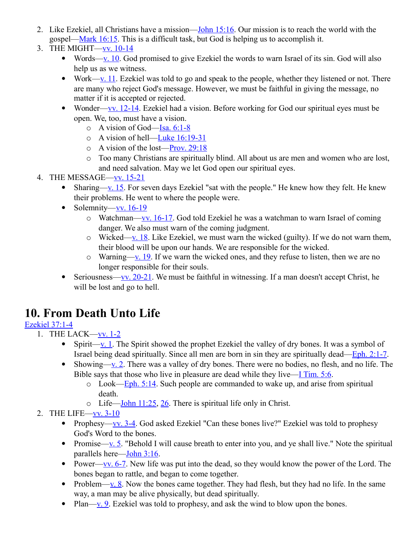- 2. Like Ezekiel, all Christians have a mission[—John 15:16.](http://www.crossbooks.com/verse.asp?ref=Jn+15%3A16) Our mission is to reach the world with the gospel[—Mark 16:15.](http://www.crossbooks.com/verse.asp?ref=Mk+16%3A15) This is a difficult task, but God is helping us to accomplish it.
- 3. THE MIGHT[—vv. 10-14](http://www.crossbooks.com/verse.asp?ref=Eze+3%3A10-14)
	- Words[—v. 10.](http://www.crossbooks.com/verse.asp?ref=Eze+3%3A10) God promised to give Ezekiel the words to warn Israel of its sin. God will also help us as we witness.
	- Work[—v. 11.](http://www.crossbooks.com/verse.asp?ref=Eze+3%3A11) Ezekiel was told to go and speak to the people, whether they listened or not. There are many who reject God's message. However, we must be faithful in giving the message, no matter if it is accepted or rejected.
	- Wonder[—vv. 12-14.](http://www.crossbooks.com/verse.asp?ref=Eze+3%3A12-14) Ezekiel had a vision. Before working for God our spiritual eyes must be open. We, too, must have a vision.
		- $\circ$  A vision of God[—Isa. 6:1-8](http://www.crossbooks.com/verse.asp?ref=Isa+6%3A1-8)
		- o A vision of hell[—Luke 16:19-31](http://www.crossbooks.com/verse.asp?ref=Lk+16%3A19-31)
		- o A vision of the lost[—Prov. 29:18](http://www.crossbooks.com/verse.asp?ref=Pr+29%3A18)
		- o Too many Christians are spiritually blind. All about us are men and women who are lost, and need salvation. May we let God open our spiritual eyes.
- 4. THE MESSAGE[—vv. 15-21](http://www.crossbooks.com/verse.asp?ref=Eze+3%3A15-21)
	- Sharing[—v. 15.](http://www.crossbooks.com/verse.asp?ref=Eze+3%3A15) For seven days Ezekiel "sat with the people." He knew how they felt. He knew their problems. He went to where the people were.
	- Solemnity—vv.  $16-19$ 
		- $\circ$  Watchman[—vv. 16-17.](http://www.crossbooks.com/verse.asp?ref=Eze+3%3A16-17) God told Ezekiel he was a watchman to warn Israel of coming danger. We also must warn of the coming judgment.
		- $\circ$  Wicked[—v. 18.](http://www.crossbooks.com/verse.asp?ref=Eze+3%3A18) Like Ezekiel, we must warn the wicked (guilty). If we do not warn them, their blood will be upon our hands. We are responsible for the wicked.
		- $\circ$  Warning[—v. 19.](http://www.crossbooks.com/verse.asp?ref=Eze+3%3A19) If we warn the wicked ones, and they refuse to listen, then we are no longer responsible for their souls.
	- Seriousness—vv.  $20-21$ . We must be faithful in witnessing. If a man doesn't accept Christ, he will be lost and go to hell.

# **10. From Death Unto Life**

### [Ezekiel 37:1-4](http://www.crossbooks.com/verse.asp?ref=Eze+37%3A1-4)

- 1. THE LACK[—vv. 1-2](http://www.crossbooks.com/verse.asp?ref=Eze+37%3A1-2)
	- $\bullet$  Spirit[—v. 1.](http://www.crossbooks.com/verse.asp?ref=Eze+37%3A1) The Spirit showed the prophet Ezekiel the valley of dry bones. It was a symbol of Israel being dead spiritually. Since all men are born in sin they are spiritually dead[—Eph. 2:1-7.](http://www.crossbooks.com/verse.asp?ref=Eph+2%3A1-7)
	- Showing[—v. 2.](http://www.crossbooks.com/verse.asp?ref=Eze+37%3A2) There was a valley of dry bones. There were no bodies, no flesh, and no life. The Bible says that those who live in pleasure are dead while they live[—I Tim. 5:6.](http://www.crossbooks.com/verse.asp?ref=1Ti+5%3A6)
		- $\circ$  Look[—Eph. 5:14.](http://www.crossbooks.com/verse.asp?ref=Eph+5%3A14) Such people are commanded to wake up, and arise from spiritual death.
		- $\circ$  Life[—John 11:25,](http://www.crossbooks.com/verse.asp?ref=Jn+11%3A25) [26.](http://www.crossbooks.com/verse.asp?ref=Jn+11%3A26) There is spiritual life only in Christ.
- 2. THE LIFE[—vv. 3-10](http://www.crossbooks.com/verse.asp?ref=Eze+37%3A3-10)
	- Prophesy[—vv. 3-4.](http://www.crossbooks.com/verse.asp?ref=Eze+37%3A3-4) God asked Ezekiel "Can these bones live?" Ezekiel was told to prophesy God's Word to the bones.
	- Promise[—v. 5.](http://www.crossbooks.com/verse.asp?ref=Eze+37%3A5) "Behold I will cause breath to enter into you, and ye shall live." Note the spiritual parallels here[—John 3:16.](http://www.crossbooks.com/verse.asp?ref=Jn+3%3A16)
	- Power[—vv. 6-7.](http://www.crossbooks.com/verse.asp?ref=Eze+37%3A6-7) New life was put into the dead, so they would know the power of the Lord. The bones began to rattle, and began to come together.
	- Problem[—v. 8.](http://www.crossbooks.com/verse.asp?ref=Eze+37%3A8) Now the bones came together. They had flesh, but they had no life. In the same way, a man may be alive physically, but dead spiritually.
	- Plan[—v. 9.](http://www.crossbooks.com/verse.asp?ref=Eze+37%3A9) Ezekiel was told to prophesy, and ask the wind to blow upon the bones.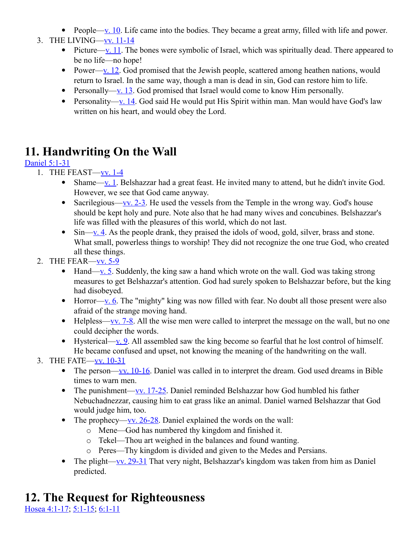- People[—v. 10.](http://www.crossbooks.com/verse.asp?ref=Eze+37%3A10) Life came into the bodies. They became a great army, filled with life and power.
- 3. THE LIVING[—vv. 11-14](http://www.crossbooks.com/verse.asp?ref=Eze+37%3A11-14)
	- Picture[—v. 11.](http://www.crossbooks.com/verse.asp?ref=Eze+37%3A11) The bones were symbolic of Israel, which was spiritually dead. There appeared to be no life—no hope!
	- Power[—v. 12.](http://www.crossbooks.com/verse.asp?ref=Eze+37%3A12) God promised that the Jewish people, scattered among heathen nations, would return to Israel. In the same way, though a man is dead in sin, God can restore him to life.
	- Personally[—v. 13.](http://www.crossbooks.com/verse.asp?ref=Eze+37%3A13) God promised that Israel would come to know Him personally.
	- Personality[—v. 14.](http://www.crossbooks.com/verse.asp?ref=Eze+37%3A14) God said He would put His Spirit within man. Man would have God's law written on his heart, and would obey the Lord.

# **11. Handwriting On the Wall**

### [Daniel 5:1-31](http://www.crossbooks.com/verse.asp?ref=Da+5%3A1-31)

- 1. THE FEAST[—vv. 1-4](http://www.crossbooks.com/verse.asp?ref=Da+5%3A1-4)
	- Shame[—v. 1.](http://www.crossbooks.com/verse.asp?ref=Da+5%3A1) Belshazzar had a great feast. He invited many to attend, but he didn't invite God. However, we see that God came anyway.
	- Sacrilegious—vv.  $2-3$ . He used the vessels from the Temple in the wrong way. God's house should be kept holy and pure. Note also that he had many wives and concubines. Belshazzar's life was filled with the pleasures of this world, which do not last.
	- $\bullet$  Sin[—v. 4.](http://www.crossbooks.com/verse.asp?ref=Da+5%3A4) As the people drank, they praised the idols of wood, gold, silver, brass and stone. What small, powerless things to worship! They did not recognize the one true God, who created all these things.
- 2. THE FEAR[—vv. 5-9](http://www.crossbooks.com/verse.asp?ref=Da+5%3A5-9)
	- $\bullet$  Hand[—v. 5.](http://www.crossbooks.com/verse.asp?ref=Da+5%3A5) Suddenly, the king saw a hand which wrote on the wall. God was taking strong measures to get Belshazzar's attention. God had surely spoken to Belshazzar before, but the king had disobeyed.
	- $\bullet$  Horror[—v. 6.](http://www.crossbooks.com/verse.asp?ref=Da+5%3A6) The "mighty" king was now filled with fear. No doubt all those present were also afraid of the strange moving hand.
	- $\bullet$  Helpless[—vv. 7-8.](http://www.crossbooks.com/verse.asp?ref=Da+5%3A7-8) All the wise men were called to interpret the message on the wall, but no one could decipher the words.
	- Hysterical—<u>v. 9</u>. All assembled saw the king become so fearful that he lost control of himself. He became confused and upset, not knowing the meaning of the handwriting on the wall.
- 3. THE FATE[—vv. 10-31](http://www.crossbooks.com/verse.asp?ref=Da+5%3A10-31)
	- The person[—vv. 10-16.](http://www.crossbooks.com/verse.asp?ref=Da+5%3A10-16) Daniel was called in to interpret the dream. God used dreams in Bible times to warn men.
	- The punishment[—vv. 17-25.](http://www.crossbooks.com/verse.asp?ref=Da+5%3A17-25) Daniel reminded Belshazzar how God humbled his father Nebuchadnezzar, causing him to eat grass like an animal. Daniel warned Belshazzar that God would judge him, too.
	- The prophecy—<u>vv. 26-28</u>. Daniel explained the words on the wall:
		- o Mene—God has numbered thy kingdom and finished it.
		- o Tekel—Thou art weighed in the balances and found wanting.
		- o Peres—Thy kingdom is divided and given to the Medes and Persians.
	- The plight[—vv. 29-31](http://www.crossbooks.com/verse.asp?ref=Da+5%3A29-31) That very night, Belshazzar's kingdom was taken from him as Daniel predicted.

# **12. The Request for Righteousness**

[Hosea 4:1-17;](http://www.crossbooks.com/verse.asp?ref=Hos+4%3A1-17) [5:1-15;](http://www.crossbooks.com/verse.asp?ref=Hos+5%3A1-15) [6:1-11](http://www.crossbooks.com/verse.asp?ref=Hos+6%3A1-11)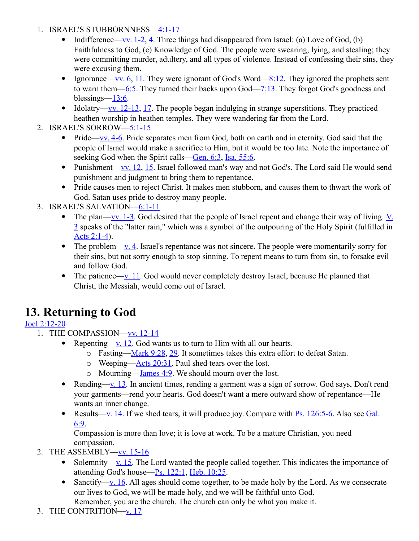- 1. ISRAEL'S STUBBORNNESS[—4:1-17](http://www.crossbooks.com/verse.asp?ref=Hos+4%3A1-17)
	- Indifference[—vv. 1-2,](http://www.crossbooks.com/verse.asp?ref=Hos+4%3A1-2) [4.](http://www.crossbooks.com/verse.asp?ref=Hos+4%3A4) Three things had disappeared from Israel: (a) Love of God, (b) Faithfulness to God, (c) Knowledge of God. The people were swearing, lying, and stealing; they were committing murder, adultery, and all types of violence. Instead of confessing their sins, they were excusing them.
	- Ignorance—<u>vv. 6, 11</u>. They were ignorant of God's Word[—8:12.](http://www.crossbooks.com/verse.asp?ref=Hos+8%3A12) They ignored the prophets sent to warn them[—6:5.](http://www.crossbooks.com/verse.asp?ref=Hos+6%3A5) They turned their backs upon God[—7:13.](http://www.crossbooks.com/verse.asp?ref=Hos+7%3A13) They forgot God's goodness and blessings— $13:6$ .
	- Idolatry—<u>vv. 12-13, 17</u>. The people began indulging in strange superstitions. They practiced heathen worship in heathen temples. They were wandering far from the Lord.
- 2. ISRAEL'S SORROW[—5:1-15](http://www.crossbooks.com/verse.asp?ref=Hos+5%3A1-15)
	- Pride—vv.  $4-6$ . Pride separates men from God, both on earth and in eternity. God said that the people of Israel would make a sacrifice to Him, but it would be too late. Note the importance of seeking God when the Spirit calls[—Gen. 6:3,](http://www.crossbooks.com/verse.asp?ref=Ge+6%3A3) [Isa. 55:6.](http://www.crossbooks.com/verse.asp?ref=Isa+55%3A6)
	- Punishment[—vv. 12,](http://www.crossbooks.com/verse.asp?ref=Hos+5%3A12) [15.](http://www.crossbooks.com/verse.asp?ref=Hos+5%3A15) Israel followed man's way and not God's. The Lord said He would send punishment and judgment to bring them to repentance.
	- Pride causes men to reject Christ. It makes men stubborn, and causes them to thwart the work of God. Satan uses pride to destroy many people.
- 3. ISRAEL'S SALVATION[—6:1-11](http://www.crossbooks.com/verse.asp?ref=Hos+6%3A1-11)
	- The plan[—vv. 1-3.](http://www.crossbooks.com/verse.asp?ref=Hos+6%3A1-3) God desired that the people of Israel repent and change their way of living.  $V$ . [3](http://www.crossbooks.com/verse.asp?ref=Hos+6%3A3) speaks of the "latter rain," which was a symbol of the outpouring of the Holy Spirit (fulfilled in [Acts 2:1-4\)](http://www.crossbooks.com/verse.asp?ref=Ac+2%3A1-4).
	- The problem— $\underline{v}$ .  $\underline{4}$ . Israel's repentance was not sincere. The people were momentarily sorry for their sins, but not sorry enough to stop sinning. To repent means to turn from sin, to forsake evil and follow God.
	- The patience[—v. 11.](http://www.crossbooks.com/verse.asp?ref=Hos+6%3A11) God would never completely destroy Israel, because He planned that Christ, the Messiah, would come out of Israel.

# **13. Returning to God**

### [Joel 2:12-20](http://www.crossbooks.com/verse.asp?ref=Joel+2%3A12-20)

- 1. THE COMPASSION[—vv. 12-14](http://www.crossbooks.com/verse.asp?ref=Joel+2%3A12-14)
	- Repenting[—v. 12.](http://www.crossbooks.com/verse.asp?ref=Joel+2%3A12) God wants us to turn to Him with all our hearts.
		- o Fasting[—Mark 9:28,](http://www.crossbooks.com/verse.asp?ref=Mk+9%3A28) [29.](http://www.crossbooks.com/verse.asp?ref=Mk+9%3A29) It sometimes takes this extra effort to defeat Satan.
		- $\circ$  Weeping[—Acts 20:31.](http://www.crossbooks.com/verse.asp?ref=Ac+20%3A31) Paul shed tears over the lost.
		- o Mourning[—James 4:9.](http://www.crossbooks.com/verse.asp?ref=Jas+4%3A9) We should mourn over the lost.
	- Rending[—v. 13.](http://www.crossbooks.com/verse.asp?ref=Joel+2%3A13) In ancient times, rending a garment was a sign of sorrow. God says, Don't rend your garments—rend your hearts. God doesn't want a mere outward show of repentance—He wants an inner change.
	- Results[—v. 14.](http://www.crossbooks.com/verse.asp?ref=Joel+2%3A14) If we shed tears, it will produce joy. Compare with Ps.  $126:5-6$ . Also see Gal. [6:9.](http://www.crossbooks.com/verse.asp?ref=Gal+6%3A9)

Compassion is more than love; it is love at work. To be a mature Christian, you need compassion.

- 2. THE ASSEMBLY[—vv. 15-16](http://www.crossbooks.com/verse.asp?ref=Joel+2%3A15-16)
	- Solemnity[—v. 15.](http://www.crossbooks.com/verse.asp?ref=Joel+2%3A15) The Lord wanted the people called together. This indicates the importance of attending God's house[—Ps. 122:1,](http://www.crossbooks.com/verse.asp?ref=Ps+122%3A1) [Heb. 10:25.](http://www.crossbooks.com/verse.asp?ref=Heb+10%3A25)
	- Sanctify[—v. 16.](http://www.crossbooks.com/verse.asp?ref=Joel+2%3A16) All ages should come together, to be made holy by the Lord. As we consecrate our lives to God, we will be made holy, and we will be faithful unto God. Remember, you are the church. The church can only be what you make it.
- 3. THE CONTRITION[—v. 17](http://www.crossbooks.com/verse.asp?ref=Joel+2%3A17)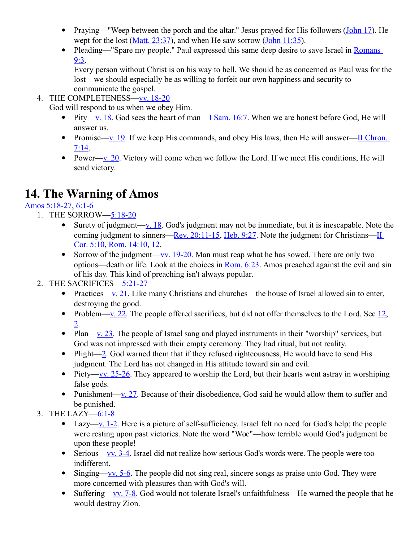- Praying—"Weep between the porch and the altar." Jesus prayed for His followers [\(John 17\)](http://www.crossbooks.com/verse.asp?ref=Jn+17). He wept for the lost [\(Matt. 23:37\)](http://www.crossbooks.com/verse.asp?ref=Mt+23%3A37), and when He saw sorrow [\(John 11:35\)](http://www.crossbooks.com/verse.asp?ref=Jn+11%3A35).
- Pleading—"Spare my people." Paul expressed this same deep desire to save Israel in Romans [9:3.](http://www.crossbooks.com/verse.asp?ref=Ro+9%3A3)

Every person without Christ is on his way to hell. We should be as concerned as Paul was for the lost—we should especially be as willing to forfeit our own happiness and security to communicate the gospel.

4. THE COMPLETENESS[—vv. 18-20](http://www.crossbooks.com/verse.asp?ref=Joel+2%3A18-20)

God will respond to us when we obey Him.

- Pity[—v. 18.](http://www.crossbooks.com/verse.asp?ref=Joel+2%3A18) God sees the heart of man[—I Sam. 16:7.](http://www.crossbooks.com/verse.asp?ref=1Sa+16%3A7) When we are honest before God, He will answer us.
- Promise[—v. 19.](http://www.crossbooks.com/verse.asp?ref=Joel+2%3A19) If we keep His commands, and obey His laws, then He will answer—II Chron. [7:14.](http://www.crossbooks.com/verse.asp?ref=2Ch+7%3A14)
- Power[—v. 20.](http://www.crossbooks.com/verse.asp?ref=Joel+2%3A20) Victory will come when we follow the Lord. If we meet His conditions, He will send victory.

# **14. The Warning of Amos**

### [Amos 5:18-27,](http://www.crossbooks.com/verse.asp?ref=Am+5%3A18-27) [6:1-6](http://www.crossbooks.com/verse.asp?ref=Am+6%3A1-6)

- 1. THE SORROW[—5:18-20](http://www.crossbooks.com/verse.asp?ref=Am+5%3A18-20)
	- Surety of judgment— $\underline{v}$ . 18. God's judgment may not be immediate, but it is inescapable. Note the coming judgment to sinners[—Rev. 20:11-15,](http://www.crossbooks.com/verse.asp?ref=Rev+20%3A11-15) [Heb. 9:27.](http://www.crossbooks.com/verse.asp?ref=Heb+9%3A27) Note the judgment for Christians—II [Cor. 5:10,](http://www.crossbooks.com/verse.asp?ref=2Co+5%3A10) [Rom. 14:10,](http://www.crossbooks.com/verse.asp?ref=Ro+14%3A10) [12.](http://www.crossbooks.com/verse.asp?ref=Ro+14%3A12)
	- Sorrow of the judgment[—vv. 19-20.](http://www.crossbooks.com/verse.asp?ref=Am+5%3A19-20) Man must reap what he has sowed. There are only two options—death or life. Look at the choices in [Rom. 6:23.](http://www.crossbooks.com/verse.asp?ref=Ro+6%3A23) Amos preached against the evil and sin of his day. This kind of preaching isn't always popular.

### 2. THE SACRIFICES[—5:21-27](http://www.crossbooks.com/verse.asp?ref=Am+5%3A21-27)

- Practices[—v. 21.](http://www.crossbooks.com/verse.asp?ref=Am+5%3A21) Like many Christians and churches—the house of Israel allowed sin to enter, destroying the good.
- Problem[—v. 22.](http://www.crossbooks.com/verse.asp?ref=Am+5%3A22) The people offered sacrifices, but did not offer themselves to the Lord. See  $12$ , [2.](http://www.crossbooks.com/verse.asp?ref=Ro+12%3A2)
- Plan[—v. 23.](http://www.crossbooks.com/verse.asp?ref=Am+5%3A23) The people of Israel sang and played instruments in their "worship" services, but God was not impressed with their empty ceremony. They had ritual, but not reality.
- Plight[—2.](http://www.crossbooks.com/verse.asp?ref=Ro+12%3A2) God warned them that if they refused righteousness, He would have to send His judgment. The Lord has not changed in His attitude toward sin and evil.
- Piety[—vv. 25-26.](http://www.crossbooks.com/verse.asp?ref=Am+5%3A25-26) They appeared to worship the Lord, but their hearts went astray in worshiping false gods.
- Punishment—v.  $27$ . Because of their disobedience, God said he would allow them to suffer and be punished.
- 3. THE LAZY[—6:1-8](http://www.crossbooks.com/verse.asp?ref=Am+6%3A1-8)
	- Lazy[—v. 1-2.](http://www.crossbooks.com/verse.asp?ref=Am+5%3A1-2) Here is a picture of self-sufficiency. Israel felt no need for God's help; the people were resting upon past victories. Note the word "Woe"—how terrible would God's judgment be upon these people!
	- Serious[—vv. 3-4.](http://www.crossbooks.com/verse.asp?ref=Am+5%3A3-4) Israel did not realize how serious God's words were. The people were too indifferent.
	- Singing[—vv. 5-6.](http://www.crossbooks.com/verse.asp?ref=Am+5%3A5-6) The people did not sing real, sincere songs as praise unto God. They were more concerned with pleasures than with God's will.
	- Suffering[—vv. 7-8.](http://www.crossbooks.com/verse.asp?ref=Am+5%3A7-8) God would not tolerate Israel's unfaithfulness—He warned the people that he would destroy Zion.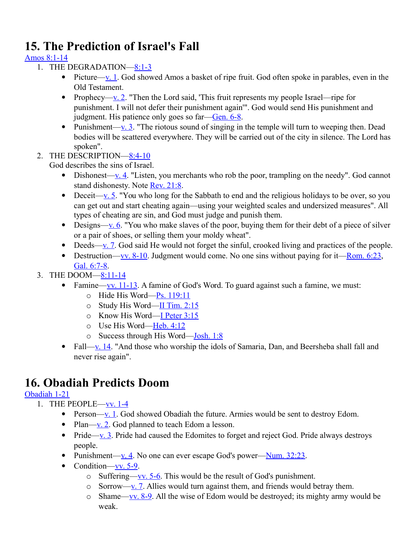# **15. The Prediction of Israel's Fall**

### [Amos 8:1-14](http://www.crossbooks.com/verse.asp?ref=Am+8%3A1-14)

- 1. THE DEGRADATION[—8:1-3](http://www.crossbooks.com/verse.asp?ref=Am+8%3A1-3)
	- Picture[—v. 1.](http://www.crossbooks.com/verse.asp?ref=Am+8%3A1) God showed Amos a basket of ripe fruit. God often spoke in parables, even in the Old Testament.
	- Prophecy—<u>v. 2</u>. "Then the Lord said, 'This fruit represents my people Israel—ripe for punishment. I will not defer their punishment again'". God would send His punishment and judgment. His patience only goes so far[—Gen. 6-8.](http://www.crossbooks.com/verse.asp?ref=Ge+6-8)
	- Punishment—<u>v. 3</u>. "The riotous sound of singing in the temple will turn to weeping then. Dead bodies will be scattered everywhere. They will be carried out of the city in silence. The Lord has spoken".
- 2. THE DESCRIPTION[—8:4-10](http://www.crossbooks.com/verse.asp?ref=Am+8%3A4-10)

God describes the sins of Israel.

- Dishonest—<u>v. 4</u>. "Listen, you merchants who rob the poor, trampling on the needy". God cannot stand dishonesty. Note [Rev. 21:8.](http://www.crossbooks.com/verse.asp?ref=Rev+21%3A8)
- Deceit[—v. 5.](http://www.crossbooks.com/verse.asp?ref=Am+8%3A5) "You who long for the Sabbath to end and the religious holidays to be over, so you can get out and start cheating again—using your weighted scales and undersized measures". All types of cheating are sin, and God must judge and punish them.
- $\bullet$  Designs[—v. 6.](http://www.crossbooks.com/verse.asp?ref=Am+8%3A6) "You who make slaves of the poor, buying them for their debt of a piece of silver or a pair of shoes, or selling them your moldy wheat".
- $\bullet$  Deeds[—v. 7.](http://www.crossbooks.com/verse.asp?ref=Am+8%3A7) God said He would not forget the sinful, crooked living and practices of the people.
- Destruction[—vv. 8-10.](http://www.crossbooks.com/verse.asp?ref=Am+8%3A8-10) Judgment would come. No one sins without paying for it—Rom.  $6:23$ , [Gal. 6:7-8.](http://www.crossbooks.com/verse.asp?ref=Gal+6%3A7-8)
- 3. THE DOOM[—8:11-14](http://www.crossbooks.com/verse.asp?ref=Am+8%3A11-14)
	- Famine[—vv. 11-13.](http://www.crossbooks.com/verse.asp?ref=Am+8%3A11-13) A famine of God's Word. To guard against such a famine, we must:
		- o Hide His Word[—Ps. 119:11](http://www.crossbooks.com/verse.asp?ref=Ps+119%3A11)
		- o Study His Word[—II Tim. 2:15](http://www.crossbooks.com/verse.asp?ref=2Ti+2%3A15)
		- o Know His Word[—I Peter 3:15](http://www.crossbooks.com/verse.asp?ref=1Pe+3%3A15)
		- o Use His Word[—Heb. 4:12](http://www.crossbooks.com/verse.asp?ref=Heb+4%3A12)
		- o Success through His Word[—Josh. 1:8](http://www.crossbooks.com/verse.asp?ref=Jos+1%3A8)
	- Fall[—v. 14.](http://www.crossbooks.com/verse.asp?ref=Am+8%3A14) "And those who worship the idols of Samaria, Dan, and Beersheba shall fall and never rise again".

# **16. Obadiah Predicts Doom**

### [Obadiah 1-21](http://www.crossbooks.com/verse.asp?ref=Ob+1%3A1-21)

- 1. THE PEOPLE[—vv. 1-4](http://www.crossbooks.com/verse.asp?ref=Ob+1%3A1-4)
	- Person[—v. 1.](http://www.crossbooks.com/verse.asp?ref=Ob+1%3A1) God showed Obadiah the future. Armies would be sent to destroy Edom.
	- Plan—<u>v. 2</u>. God planned to teach Edom a lesson.
	- Pride[—v. 3.](http://www.crossbooks.com/verse.asp?ref=Ob+1%3A3) Pride had caused the Edomites to forget and reject God. Pride always destroys people.
	- Punishment[—v. 4.](http://www.crossbooks.com/verse.asp?ref=Ob+1%3A4) No one can ever escape God's power—Num.  $32:23$ .
	- Condition—vv.  $5-9$ .
		- $\circ$  Suffering—<u>vv. 5-6</u>. This would be the result of God's punishment.
		- o Sorrow[—v. 7.](http://www.crossbooks.com/verse.asp?ref=Ob+1%3A7) Allies would turn against them, and friends would betray them.
		- $\circ$  Shame[—vv. 8-9.](http://www.crossbooks.com/verse.asp?ref=Ob+1%3A8-9) All the wise of Edom would be destroyed; its mighty army would be weak.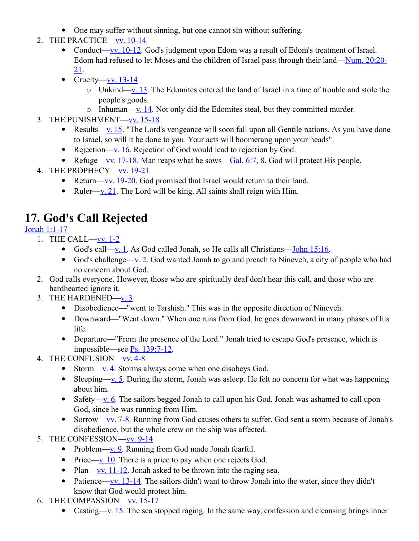- One may suffer without sinning, but one cannot sin without suffering.
- 2. THE PRACTICE[—vv. 10-14](http://www.crossbooks.com/verse.asp?ref=Ob+1%3A10-14)
	- Conduct[—vv. 10-12.](http://www.crossbooks.com/verse.asp?ref=Ob+1%3A10-12) God's judgment upon Edom was a result of Edom's treatment of Israel. Edom had refused to let Moses and the children of Israel pass through their land[—Num. 20:20-](http://www.crossbooks.com/verse.asp?ref=Nu+20%3A20-21) [21.](http://www.crossbooks.com/verse.asp?ref=Nu+20%3A20-21)
	- Cruelty—vv.  $13-14$ 
		- $\circ$  Unkind[—v. 13.](http://www.crossbooks.com/verse.asp?ref=Ob+1%3A13) The Edomites entered the land of Israel in a time of trouble and stole the people's goods.
		- $\circ$  Inhuman[—v. 14.](http://www.crossbooks.com/verse.asp?ref=Ob+1%3A14) Not only did the Edomites steal, but they committed murder.
- 3. THE PUNISHMENT[—vv. 15-18](http://www.crossbooks.com/verse.asp?ref=Ob+1%3A15-18)
	- Results[—v. 15.](http://www.crossbooks.com/verse.asp?ref=Ob+1%3A15) "The Lord's vengeance will soon fall upon all Gentile nations. As you have done to Israel, so will it be done to you. Your acts will boomerang upon your heads".
	- Rejection— $\underline{v}$ . 16. Rejection of God would lead to rejection by God.
	- Refuge[—vv. 17-18.](http://www.crossbooks.com/verse.asp?ref=Ob+1%3A17-18) Man reaps what he sows[—Gal. 6:7,](http://www.crossbooks.com/verse.asp?ref=Gal+6%3A7) [8.](http://www.crossbooks.com/verse.asp?ref=Gal+6%3A8) God will protect His people.
- 4. THE PROPHECY-VV. 19-21
	- Return[—vv. 19-20.](http://www.crossbooks.com/verse.asp?ref=Ob+1%3A19-20) God promised that Israel would return to their land.
	- Ruler[—v. 21.](http://www.crossbooks.com/verse.asp?ref=Ob+1%3A21) The Lord will be king. All saints shall reign with Him.

# **17. God's Call Rejected**

### [Jonah 1:1-17](http://www.crossbooks.com/verse.asp?ref=Jnh+1%3A1-17)

- 1. THE CALL[—vv. 1-2](http://www.crossbooks.com/verse.asp?ref=Jnh+1%3A1-2)
	- God's call[—v. 1.](http://www.crossbooks.com/verse.asp?ref=Jnh+1%3A1) As God called Jonah, so He calls all Christians[—John 15:16.](http://www.crossbooks.com/verse.asp?ref=Jn+15%3A16)
	- God's challenge[—v. 2.](http://www.crossbooks.com/verse.asp?ref=Jnh+1%3A2) God wanted Jonah to go and preach to Nineveh, a city of people who had no concern about God.
- 2. God calls everyone. However, those who are spiritually deaf don't hear this call, and those who are hardhearted ignore it.
- 3. THE HARDENED[—v. 3](http://www.crossbooks.com/verse.asp?ref=Jnh+1%3A3)
	- Disobedience—"went to Tarshish." This was in the opposite direction of Nineveh.
	- Downward—"Went down." When one runs from God, he goes downward in many phases of his life.
	- Departure—"From the presence of the Lord." Jonah tried to escape God's presence, which is impossible—see [Ps. 139:7-12.](http://www.crossbooks.com/verse.asp?ref=Ps+139%3A7-12)
- 4. THE CONFUSION[—vv. 4-8](http://www.crossbooks.com/verse.asp?ref=Jnh+1%3A4-8)
	- Storm[—v. 4.](http://www.crossbooks.com/verse.asp?ref=Jnh+1%3A4) Storms always come when one disobeys God.
	- Sleeping[—v. 5.](http://www.crossbooks.com/verse.asp?ref=Jnh+1%3A5) During the storm, Jonah was asleep. He felt no concern for what was happening about him.
	- Safety[—v. 6.](http://www.crossbooks.com/verse.asp?ref=Jnh+1%3A6) The sailors begged Jonah to call upon his God. Jonah was ashamed to call upon God, since he was running from Him.
	- Sorrow[—vv. 7-8.](http://www.crossbooks.com/verse.asp?ref=Jnh+1%3A7-8) Running from God causes others to suffer. God sent a storm because of Jonah's disobedience, but the whole crew on the ship was affected.
- 5. THE CONFESSION—<u>vv. 9-14</u>
	- Problem— $\underline{v}$ . 9. Running from God made Jonah fearful.
	- Price[—v. 10.](http://www.crossbooks.com/verse.asp?ref=Jnh+1%3A10) There is a price to pay when one rejects God.
	- Plan—vv.  $11-12$ . Jonah asked to be thrown into the raging sea.
	- Patience[—vv. 13-14.](http://www.crossbooks.com/verse.asp?ref=Jnh+1%3A13-14) The sailors didn't want to throw Jonah into the water, since they didn't know that God would protect him.
- 6. THE COMPASSION[—vv. 15-17](http://www.crossbooks.com/verse.asp?ref=Jnh+1%3A15-17)
	- Casting[—v. 15.](http://www.crossbooks.com/verse.asp?ref=Jnh+1%3A15) The sea stopped raging. In the same way, confession and cleansing brings inner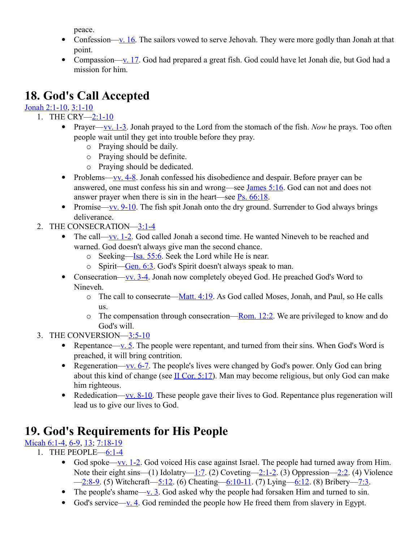peace.

- Confession[—v. 16.](http://www.crossbooks.com/verse.asp?ref=Jnh+1%3A16) The sailors vowed to serve Jehovah. They were more godly than Jonah at that point.
- Compassion[—v. 17.](http://www.crossbooks.com/verse.asp?ref=Jnh+1%3A17) God had prepared a great fish. God could have let Jonah die, but God had a mission for him.

# **18. God's Call Accepted**

### [Jonah 2:1-10,](http://www.crossbooks.com/verse.asp?ref=Jnh+2%3A1-10) [3:1-10](http://www.crossbooks.com/verse.asp?ref=Jnh+3%3A1-10)

- 1. THE CRY[—2:1-10](http://www.crossbooks.com/verse.asp?ref=Jnh+2%3A1-10)
	- Prayer[—vv. 1-3.](http://www.crossbooks.com/verse.asp?ref=Jnh+2%3A1-3) Jonah prayed to the Lord from the stomach of the fish. *Now* he prays. Too often people wait until they get into trouble before they pray.
		- o Praying should be daily.
		- o Praying should be definite.
		- o Praying should be dedicated.
	- Problems—vv.  $4-8$ . Jonah confessed his disobedience and despair. Before prayer can be answered, one must confess his sin and wrong—see [James 5:16.](http://www.crossbooks.com/verse.asp?ref=Jas+5%3A16) God can not and does not answer prayer when there is sin in the heart—see  $Ps. 66:18$ .
	- Promise[—vv. 9-10.](http://www.crossbooks.com/verse.asp?ref=Jnh+2%3A9-10) The fish spit Jonah onto the dry ground. Surrender to God always brings deliverance.
	- 2. THE CONSECRATION[—3:1-4](http://www.crossbooks.com/verse.asp?ref=Jnh+3%3A1-4)
		- The call[—vv. 1-2.](http://www.crossbooks.com/verse.asp?ref=Jnh+2%3A1-2) God called Jonah a second time. He wanted Nineveh to be reached and warned. God doesn't always give man the second chance.
			- o Seeking[—Isa. 55:6.](http://www.crossbooks.com/verse.asp?ref=Isa+55%3A6) Seek the Lord while He is near.
			- $\circ$  Spirit[—Gen. 6:3.](http://www.crossbooks.com/verse.asp?ref=Ge+6%3A3) God's Spirit doesn't always speak to man.
		- Consecration[—vv. 3-4.](http://www.crossbooks.com/verse.asp?ref=Jnh+2%3A3-4) Jonah now completely obeyed God. He preached God's Word to Nineveh.
			- $\circ$  The call to consecrate[—Matt. 4:19.](http://www.crossbooks.com/verse.asp?ref=Mt+4%3A19) As God called Moses, Jonah, and Paul, so He calls us.
			- $\circ$  The compensation through consecration[—Rom. 12:2.](http://www.crossbooks.com/verse.asp?ref=Ro+12%3A2) We are privileged to know and do God's will.
	- 3. THE CONVERSION[—3:5-10](http://www.crossbooks.com/verse.asp?ref=Ro+3%3A5-10)
		- Repentance[—v. 5.](http://www.crossbooks.com/verse.asp?ref=Jnh+2%3A5) The people were repentant, and turned from their sins. When God's Word is preached, it will bring contrition.
		- Regeneration[—vv. 6-7.](http://www.crossbooks.com/verse.asp?ref=Jnh+2%3A6-7) The people's lives were changed by God's power. Only God can bring about this kind of change (see  $\overline{II}$  Cor. 5:17). Man may become religious, but only God can make him righteous.
		- Rededication—vv.  $8-10$ . These people gave their lives to God. Repentance plus regeneration will lead us to give our lives to God.

# **19. God's Requirements for His People**

[Micah 6:1-4,](http://www.crossbooks.com/verse.asp?ref=Mic+6%3A1-4) [6-9,](http://www.crossbooks.com/verse.asp?ref=Mic+6%3A6-9) 13, [7:18-19](http://www.crossbooks.com/verse.asp?ref=Mic+7%3A18-19)

- 1. THE PEOPLE[—6:1-4](http://www.crossbooks.com/verse.asp?ref=Mic+6%3A1-4)
	- God spoke[—vv. 1-2.](http://www.crossbooks.com/verse.asp?ref=Mic+6%3A1-2) God voiced His case against Israel. The people had turned away from Him. Note their eight sins—(1) Idolatry[—1:7.](http://www.crossbooks.com/verse.asp?ref=Mic+1%3A7) (2) Coveting[—2:1-2.](http://www.crossbooks.com/verse.asp?ref=Mic+2%3A1-2) (3) Oppression[—2:2.](http://www.crossbooks.com/verse.asp?ref=Mic+2%3A2) (4) Violence  $-2:8-9.$  (5) Witchcraft-5:12. (6) Cheating-6:10-11. (7) Lying-6:12. (8) Bribery-7:3.
	- The people's shame[—v. 3.](http://www.crossbooks.com/verse.asp?ref=Mic+6%3A3) God asked why the people had forsaken Him and turned to sin.
	- God's service[—v. 4.](http://www.crossbooks.com/verse.asp?ref=Mic+6%3A4) God reminded the people how He freed them from slavery in Egypt.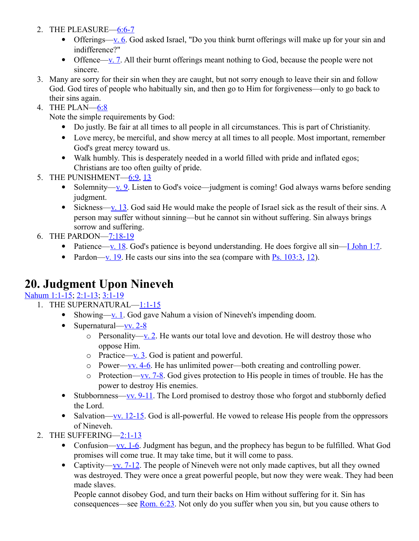- 2. THE PLEASURE[—6:6-7](http://www.crossbooks.com/verse.asp?ref=Mic+6%3A6-7)
	- Offerings[—v. 6.](http://www.crossbooks.com/verse.asp?ref=Mic+6%3A6) God asked Israel, "Do you think burnt offerings will make up for your sin and indifference?"
	- Offence—v.  $\overline{y}$ . All their burnt offerings meant nothing to God, because the people were not sincere.
- 3. Many are sorry for their sin when they are caught, but not sorry enough to leave their sin and follow God. God tires of people who habitually sin, and then go to Him for forgiveness—only to go back to their sins again.
- 4. THE PLAN[—6:8](http://www.crossbooks.com/verse.asp?ref=Mic+6%3A8)

Note the simple requirements by God:

- Do justly. Be fair at all times to all people in all circumstances. This is part of Christianity.
- Love mercy, be merciful, and show mercy at all times to all people. Most important, remember God's great mercy toward us.
- Walk humbly. This is desperately needed in a world filled with pride and inflated egos; Christians are too often guilty of pride.
- 5. THE PUNISHMENT[—6:9,](http://www.crossbooks.com/verse.asp?ref=Mic+6%3A9) [13](http://www.crossbooks.com/verse.asp?ref=Mic+6%3A13)
	- Solemnity—<u>v. 9</u>. Listen to God's voice—judgment is coming! God always warns before sending judgment.
	- Sickness[—v. 13.](http://www.crossbooks.com/verse.asp?ref=Mic+6%3A13) God said He would make the people of Israel sick as the result of their sins. A person may suffer without sinning—but he cannot sin without suffering. Sin always brings sorrow and suffering.
- 6. THE PARDON[—7:18-19](http://www.crossbooks.com/verse.asp?ref=Mic+7%3A18-19)
	- Patience[—v. 18.](http://www.crossbooks.com/verse.asp?ref=Mic+7%3A18) God's patience is beyond understanding. He does forgive all  $sin$ [—I John 1:7.](http://www.crossbooks.com/verse.asp?ref=1Jn+1%3A7)
	- Pardon[—v. 19.](http://www.crossbooks.com/verse.asp?ref=Mic+7%3A19) He casts our sins into the sea (compare with  $Ps$ . 103:3, [12\)](http://www.crossbooks.com/verse.asp?ref=Ps+103%3A12).

# **20. Judgment Upon Nineveh**

[Nahum 1:1-15;](http://www.crossbooks.com/verse.asp?ref=Na+1%3A1-15) [2:1-13;](http://www.crossbooks.com/verse.asp?ref=Na+2%3A1-13) [3:1-19](http://www.crossbooks.com/verse.asp?ref=Na+3%3A1-19)

- 1. THE SUPERNATURAL[—1:1-15](http://www.crossbooks.com/verse.asp?ref=Na+1%3A1-15)
	- Showing—<u>v. 1</u>. God gave Nahum a vision of Nineveh's impending doom.
	- Supernatural—vv.  $2-8$ 
		- $\circ$  Personality[—v. 2.](http://www.crossbooks.com/verse.asp?ref=Na+1%3A2) He wants our total love and devotion. He will destroy those who oppose Him.
		- o Practice—<u>v. 3</u>. God is patient and powerful.
		- o Power[—vv. 4-6.](http://www.crossbooks.com/verse.asp?ref=Na+1%3A4-6) He has unlimited power—both creating and controlling power.
		- $\circ$  Protection—<u>vv. 7-8</u>. God gives protection to His people in times of trouble. He has the power to destroy His enemies.
	- Stubbornness[—vv. 9-11.](http://www.crossbooks.com/verse.asp?ref=Na+1%3A9-11) The Lord promised to destroy those who forgot and stubbornly defied the Lord.
	- Salvation[—vv. 12-15.](http://www.crossbooks.com/verse.asp?ref=Na+1%3A12-15) God is all-powerful. He vowed to release His people from the oppressors of Nineveh.
- 2. THE SUFFERING[—2:1-13](http://www.crossbooks.com/verse.asp?ref=Na+2%3A1-13)
	- Confusion[—vv. 1-6.](http://www.crossbooks.com/verse.asp?ref=Na+2%3A1-6) Judgment has begun, and the prophecy has begun to be fulfilled. What God promises will come true. It may take time, but it will come to pass.
	- Captivity[—vv. 7-12.](http://www.crossbooks.com/verse.asp?ref=Na+2%3A7-12) The people of Nineveh were not only made captives, but all they owned was destroyed. They were once a great powerful people, but now they were weak. They had been made slaves.

People cannot disobey God, and turn their backs on Him without suffering for it. Sin has consequences—see <u>Rom. 6:23</u>. Not only do you suffer when you sin, but you cause others to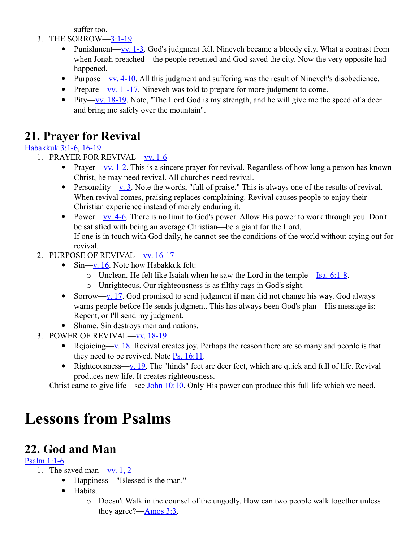suffer too.

- 3. THE SORROW[—3:1-19](http://www.crossbooks.com/verse.asp?ref=Ro+3%3A1-19)
	- Punishment[—vv. 1-3.](http://www.crossbooks.com/verse.asp?ref=Na+3%3A1-3) God's judgment fell. Nineveh became a bloody city. What a contrast from when Jonah preached—the people repented and God saved the city. Now the very opposite had happened.
	- Purpose—vv.  $4-10$ . All this judgment and suffering was the result of Nineveh's disobedience.
	- Prepare[—vv. 11-17.](http://www.crossbooks.com/verse.asp?ref=Na+3%3A11-17) Nineveh was told to prepare for more judgment to come.
	- Pity[—vv. 18-19.](http://www.crossbooks.com/verse.asp?ref=Na+3%3A18-19) Note, "The Lord God is my strength, and he will give me the speed of a deer and bring me safely over the mountain".

# **21. Prayer for Revival**

### [Habakkuk 3:1-6,](http://www.crossbooks.com/verse.asp?ref=Hab+3%3A1-6) [16-19](http://www.crossbooks.com/verse.asp?ref=Hab+3%3A16-19)

- 1. PRAYER FOR REVIVAL[—vv. 1-6](http://www.crossbooks.com/verse.asp?ref=Hab+3%3A1-6)
	- Prayer[—vv. 1-2.](http://www.crossbooks.com/verse.asp?ref=Hab+3%3A1-2) This is a sincere prayer for revival. Regardless of how long a person has known Christ, he may need revival. All churches need revival.
	- Personality—<u>v. 3</u>. Note the words, "full of praise." This is always one of the results of revival. When revival comes, praising replaces complaining. Revival causes people to enjoy their Christian experience instead of merely enduring it.
	- Power[—vv. 4-6.](http://www.crossbooks.com/verse.asp?ref=Hab+3%3A4-6) There is no limit to God's power. Allow His power to work through you. Don't be satisfied with being an average Christian—be a giant for the Lord. If one is in touch with God daily, he cannot see the conditions of the world without crying out for revival.
- 2. PURPOSE OF REVIVAL[—vv. 16-17](http://www.crossbooks.com/verse.asp?ref=Hab+3%3A16-17)
	- $\bullet$  Sin[—v. 16.](http://www.crossbooks.com/verse.asp?ref=Hab+3%3A16) Note how Habakkuk felt:
		- o Unclean. He felt like Isaiah when he saw the Lord in the temple[—Isa. 6:1-8.](http://www.crossbooks.com/verse.asp?ref=Isa+6%3A1-8)
		- o Unrighteous. Our righteousness is as filthy rags in God's sight.
	- Sorrow[—v. 17.](http://www.crossbooks.com/verse.asp?ref=Hab+3%3A17) God promised to send judgment if man did not change his way. God always warns people before He sends judgment. This has always been God's plan—His message is: Repent, or I'll send my judgment.
	- Shame. Sin destroys men and nations.
- 3. POWER OF REVIVAL[—vv. 18-19](http://www.crossbooks.com/verse.asp?ref=Hab+3%3A18-19)
	- Rejoicing[—v. 18.](http://www.crossbooks.com/verse.asp?ref=Hab+3%3A18) Revival creates joy. Perhaps the reason there are so many sad people is that they need to be revived. Note [Ps. 16:11.](http://www.crossbooks.com/verse.asp?ref=Ps+16%3A11)
	- Righteousness[—v. 19.](http://www.crossbooks.com/verse.asp?ref=Hab+3%3A19) The "hinds" feet are deer feet, which are quick and full of life. Revival produces new life. It creates righteousness.

Christ came to give life—see **John 10:10**. Only His power can produce this full life which we need.

# **Lessons from Psalms**

# **22. God and Man**

### [Psalm 1:1-6](http://www.crossbooks.com/verse.asp?ref=Ps+1%3A1-6)

1. The saved man[—vv. 1, 2](http://www.crossbooks.com/verse.asp?ref=Ps+1%3A1-2)

- Happiness—"Blessed is the man."
- Habits.
	- o Doesn't Walk in the counsel of the ungodly. How can two people walk together unless they agree?[—Amos 3:3.](http://www.crossbooks.com/verse.asp?ref=Am+3%3A3)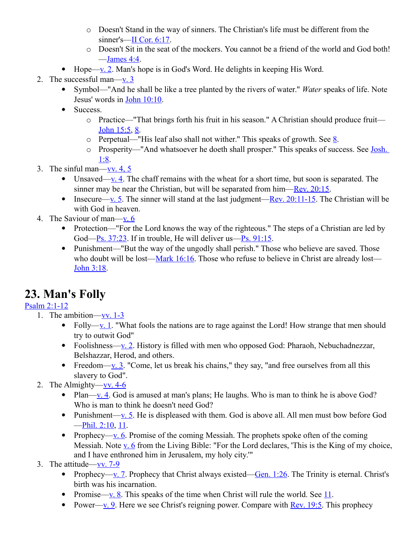- o Doesn't Stand in the way of sinners. The Christian's life must be different from the sinner's[—II Cor. 6:17.](http://www.crossbooks.com/verse.asp?ref=2Co+6%3A17)
- o Doesn't Sit in the seat of the mockers. You cannot be a friend of the world and God both!  $-$ James 4:4.
- Hope[—v. 2.](http://www.crossbooks.com/verse.asp?ref=Ps+1%3A2) Man's hope is in God's Word. He delights in keeping His Word.
- 2. The successful man—v.  $3$ 
	- Symbol—"And he shall be like a tree planted by the rivers of water." *Water* speaks of life. Note Jesus' words in [John 10:10.](http://www.crossbooks.com/verse.asp?ref=Jn+10%3A10)
	- Success.
		- o Practice—"That brings forth his fruit in his season." A Christian should produce fruit— [John 15:5,](http://www.crossbooks.com/verse.asp?ref=Jn+15%3A5) [8.](http://www.crossbooks.com/verse.asp?ref=Jn+15%3A8)
		- $\circ$  Perpetual—"His leaf also shall not wither." This speaks of growth. See [8.](http://www.crossbooks.com/verse.asp?ref=Jn+15%3A8)
		- o Prosperity—"And whatsoever he doeth shall prosper." This speaks of success. See [Josh.](http://www.crossbooks.com/verse.asp?ref=Jos+1%3A8)  [1:8.](http://www.crossbooks.com/verse.asp?ref=Jos+1%3A8)
- 3. The sinful man—vv.  $4, 5$ 
	- Unsaved[—v. 4.](http://www.crossbooks.com/verse.asp?ref=Ps+1%3A4) The chaff remains with the wheat for a short time, but soon is separated. The sinner may be near the Christian, but will be separated from him[—Rev. 20:15.](http://www.crossbooks.com/verse.asp?ref=Rev+20%3A15)
	- Insecure[—v. 5.](http://www.crossbooks.com/verse.asp?ref=Ps+1%3A5) The sinner will stand at the last judgment—Rev.  $20:11-15$ . The Christian will be with God in heaven.
- 4. The Saviour of man[—v. 6](http://www.crossbooks.com/verse.asp?ref=Ps+1%3A6)
	- Protection—"For the Lord knows the way of the righteous." The steps of a Christian are led by God[—Ps. 37:23.](http://www.crossbooks.com/verse.asp?ref=Ps+37%3A23) If in trouble, He will deliver us[—Ps. 91:15.](http://www.crossbooks.com/verse.asp?ref=Ps+91%3A15)
	- Punishment—"But the way of the ungodly shall perish." Those who believe are saved. Those who doubt will be lost— $\frac{\text{Mark }16:16}{\text{K}}$ . Those who refuse to believe in Christ are already lost— [John 3:18.](http://www.crossbooks.com/verse.asp?ref=Jn+3%3A18)

# **23. Man's Folly**

### [Psalm 2:1-12](http://www.crossbooks.com/verse.asp?ref=Ps+2%3A1-12)

- 1. The ambition[—vv. 1-3](http://www.crossbooks.com/verse.asp?ref=Ps+2%3A1-3)
	- Folly—<u>v. 1</u>. "What fools the nations are to rage against the Lord! How strange that men should try to outwit God"
	- Foolishness—<u>v. 2</u>. History is filled with men who opposed God: Pharaoh, Nebuchadnezzar, Belshazzar, Herod, and others.
	- Freedom[—v. 3.](http://www.crossbooks.com/verse.asp?ref=Ps+2%3A3) "Come, let us break his chains," they say, "and free ourselves from all this slavery to God".
- 2. The Almighty— $\underline{vv}$ . 4-6
	- Plan[—v. 4.](http://www.crossbooks.com/verse.asp?ref=Ps+2%3A4) God is amused at man's plans; He laughs. Who is man to think he is above God? Who is man to think he doesn't need God?
	- Punishment[—v. 5.](http://www.crossbooks.com/verse.asp?ref=Ps+2%3A5) He is displeased with them. God is above all. All men must bow before God [—Phil. 2:10,](http://www.crossbooks.com/verse.asp?ref=Php+2%3A10) [11.](http://www.crossbooks.com/verse.asp?ref=Php+2%3A11)
	- Prophecy—<u>v. 6</u>. Promise of the coming Messiah. The prophets spoke often of the coming Messiah. Note  $\underline{v}$ . 6 from the Living Bible: "For the Lord declares, 'This is the King of my choice, and I have enthroned him in Jerusalem, my holy city.'"
- 3. The attitude—<u>vv. 7-9</u>
	- Prophecy[—v. 7.](http://www.crossbooks.com/verse.asp?ref=Ps+2%3A7) Prophecy that Christ always existed—Gen.  $1:26$ . The Trinity is eternal. Christ's birth was his incarnation.
	- Promise[—v. 8.](http://www.crossbooks.com/verse.asp?ref=Ps+2%3A8) This speaks of the time when Christ will rule the world. See [11.](http://www.crossbooks.com/verse.asp?ref=Ps+2%3A11)
	- Power[—v. 9.](http://www.crossbooks.com/verse.asp?ref=Ps+2%3A9) Here we see Christ's reigning power. Compare with [Rev. 19:5.](http://www.crossbooks.com/verse.asp?ref=Rev+19%3A5) This prophecy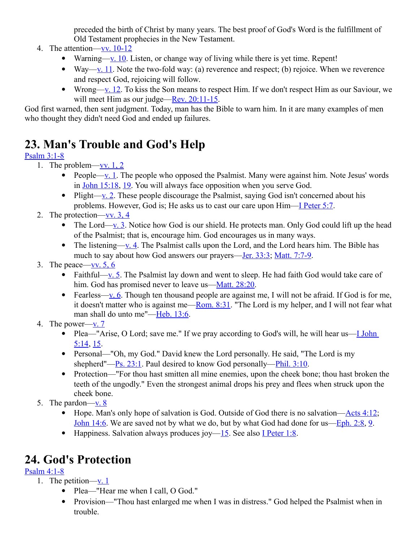preceded the birth of Christ by many years. The best proof of God's Word is the fulfillment of Old Testament prophecies in the New Testament.

- 4. The attention[—vv. 10-12](http://www.crossbooks.com/verse.asp?ref=Ps+2%3A10-12)
	- Warning[—v. 10.](http://www.crossbooks.com/verse.asp?ref=Ps+2%3A10) Listen, or change way of living while there is yet time. Repent!
	- Way[—v. 11.](http://www.crossbooks.com/verse.asp?ref=Ps+2%3A11) Note the two-fold way: (a) reverence and respect; (b) rejoice. When we reverence and respect God, rejoicing will follow.
	- Wrong[—v. 12.](http://www.crossbooks.com/verse.asp?ref=Ps+2%3A12) To kiss the Son means to respect Him. If we don't respect Him as our Saviour, we will meet Him as our judge[—Rev. 20:11-15.](http://www.crossbooks.com/verse.asp?ref=Rev+20%3A11-15)

God first warned, then sent judgment. Today, man has the Bible to warn him. In it are many examples of men who thought they didn't need God and ended up failures.

# **23. Man's Trouble and God's Help**

### [Psalm 3:1-8](http://www.crossbooks.com/verse.asp?ref=Ps+3%3A1-8)

- 1. The problem—<u>vv. 1, 2</u>
	- People[—v. 1.](http://www.crossbooks.com/verse.asp?ref=Ps+3%3A1) The people who opposed the Psalmist. Many were against him. Note Jesus' words in [John 15:18,](http://www.crossbooks.com/verse.asp?ref=Jn+15%3A18) [19.](http://www.crossbooks.com/verse.asp?ref=Jn+15%3A19) You will always face opposition when you serve God.
	- Plight[—v. 2.](http://www.crossbooks.com/verse.asp?ref=Ps+3%3A2) These people discourage the Psalmist, saying God isn't concerned about his problems. However, God is; He asks us to cast our care upon Him[—I Peter 5:7.](http://www.crossbooks.com/verse.asp?ref=1Pe+5%3A7)
- 2. The protection—<u>vv. 3, 4</u>
	- The Lord[—v. 3.](http://www.crossbooks.com/verse.asp?ref=Ps+3%3A3) Notice how God is our shield. He protects man. Only God could lift up the head of the Psalmist; that is, encourage him. God encourages us in many ways.
	- The listening[—v. 4.](http://www.crossbooks.com/verse.asp?ref=Ps+3%3A4) The Psalmist calls upon the Lord, and the Lord hears him. The Bible has much to say about how God answers our prayers[—Jer. 33:3;](http://www.crossbooks.com/verse.asp?ref=Jer+33%3A3) [Matt. 7:7-9.](http://www.crossbooks.com/verse.asp?ref=Mt+7%3A7-9)
- 3. The peace—vv.  $5, 6$ 
	- Faithful[—v. 5.](http://www.crossbooks.com/verse.asp?ref=Ps+3%3A5) The Psalmist lay down and went to sleep. He had faith God would take care of him. God has promised never to leave us[—Matt. 28:20.](http://www.crossbooks.com/verse.asp?ref=Mt+28%3A20)
	- Fearless[—v. 6.](http://www.crossbooks.com/verse.asp?ref=Ps+3%3A6) Though ten thousand people are against me, I will not be afraid. If God is for me, it doesn't matter who is against me[—Rom. 8:31.](http://www.crossbooks.com/verse.asp?ref=Ro+8%3A31) "The Lord is my helper, and I will not fear what man shall do unto me"[—Heb. 13:6.](http://www.crossbooks.com/verse.asp?ref=Heb+13%3A6)
- 4. The power[—v. 7](http://www.crossbooks.com/verse.asp?ref=Ps+3%3A7)
	- Plea—"Arise, O Lord; save me." If we pray according to God's will, he will hear us—*I John* [5:14,](http://www.crossbooks.com/verse.asp?ref=1Jn+5%3A14) [15.](http://www.crossbooks.com/verse.asp?ref=1Jn+5%3A15)
	- Personal—"Oh, my God." David knew the Lord personally. He said, "The Lord is my shepherd"[—Ps. 23:1.](http://www.crossbooks.com/verse.asp?ref=Ps+23%3A1) Paul desired to know God personally[—Phil. 3:10.](http://www.crossbooks.com/verse.asp?ref=Php+3%3A10)
	- Protection—"For thou hast smitten all mine enemies, upon the cheek bone; thou hast broken the teeth of the ungodly." Even the strongest animal drops his prey and flees when struck upon the cheek bone.
- 5. The pardon— $v. 8$ 
	- $\bullet$  Hope. Man's only hope of salvation is God. Outside of God there is no salvation[—Acts 4:12;](http://www.crossbooks.com/verse.asp?ref=Ac+4%3A12) [John 14:6.](http://www.crossbooks.com/verse.asp?ref=Jn+14%3A6) We are saved not by what we do, but by what God had done for us[—Eph. 2:8,](http://www.crossbooks.com/verse.asp?ref=Eph+2%3A8) [9.](http://www.crossbooks.com/verse.asp?ref=Eph+2%3A9)
	- Happiness. Salvation always produces joy[—15.](http://www.crossbooks.com/verse.asp?ref=Jn+5%3A15) See also [I Peter 1:8.](http://www.crossbooks.com/verse.asp?ref=1Pe+1%3A8)

# **24. God's Protection**

### [Psalm 4:1-8](http://www.crossbooks.com/verse.asp?ref=Ps+4%3A1-8)

- 1. The petition[—v. 1](http://www.crossbooks.com/verse.asp?ref=Ps+4%3A1)
	- Plea—"Hear me when I call, O God."
	- Provision—"Thou hast enlarged me when I was in distress." God helped the Psalmist when in trouble.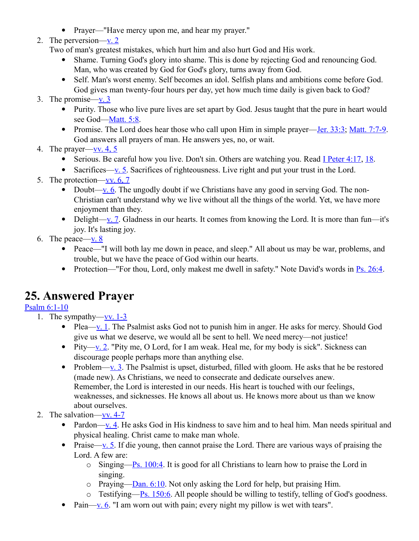• Prayer—"Have mercy upon me, and hear my prayer."

#### 2. The perversion[—v. 2](http://www.crossbooks.com/verse.asp?ref=Ps+4%3A2)

Two of man's greatest mistakes, which hurt him and also hurt God and His work.

- Shame. Turning God's glory into shame. This is done by rejecting God and renouncing God. Man, who was created by God for God's glory, turns away from God.
- Self. Man's worst enemy. Self becomes an idol. Selfish plans and ambitions come before God. God gives man twenty-four hours per day, yet how much time daily is given back to God?

#### 3. The promise[—v. 3](http://www.crossbooks.com/verse.asp?ref=Ps+4%3A3)

- Purity. Those who live pure lives are set apart by God. Jesus taught that the pure in heart would see God-Matt. 5:8.
- Promise. The Lord does hear those who call upon Him in simple prayer[—Jer. 33:3;](http://www.crossbooks.com/verse.asp?ref=Jer+33%3A3) [Matt. 7:7-9.](http://www.crossbooks.com/verse.asp?ref=Mt+7%3A7-9) God answers all prayers of man. He answers yes, no, or wait.
- 4. The prayer[—vv. 4, 5](http://www.crossbooks.com/verse.asp?ref=Ps+4%3A4-5)
	- Serious. Be careful how you live. Don't sin. Others are watching you. Read I Peter  $4:17, 18$ .
	- Sacrifices— $\underline{v}$ . 5. Sacrifices of righteousness. Live right and put your trust in the Lord.
- 5. The protection[—vv. 6, 7](http://www.crossbooks.com/verse.asp?ref=Ps+4%3A6-7)
	- Doubt[—v. 6.](http://www.crossbooks.com/verse.asp?ref=Ps+4%3A6) The ungodly doubt if we Christians have any good in serving God. The non-Christian can't understand why we live without all the things of the world. Yet, we have more enjoyment than they.
	- Delight[—v. 7.](http://www.crossbooks.com/verse.asp?ref=Ps+4%3A7) Gladness in our hearts. It comes from knowing the Lord. It is more than fun—it's joy. It's lasting joy.
- 6. The peace— $\underline{v}$ . 8
	- Peace—"I will both lay me down in peace, and sleep." All about us may be war, problems, and trouble, but we have the peace of God within our hearts.
	- Protection—"For thou, Lord, only makest me dwell in safety." Note David's words in  $\frac{P}{S}$ . 26:4.

### **25. Answered Prayer**

#### [Psalm 6:1-10](http://www.crossbooks.com/verse.asp?ref=Ps+6%3A1-10)

- 1. The sympathy[—vv. 1-3](http://www.crossbooks.com/verse.asp?ref=Ps+6%3A1-3)
	- Plea—<u>v. 1</u>. The Psalmist asks God not to punish him in anger. He asks for mercy. Should God give us what we deserve, we would all be sent to hell. We need mercy—not justice!
	- Pity[—v. 2.](http://www.crossbooks.com/verse.asp?ref=Ps+6%3A2) "Pity me, O Lord, for I am weak. Heal me, for my body is sick". Sickness can discourage people perhaps more than anything else.
	- Problem[—v. 3.](http://www.crossbooks.com/verse.asp?ref=Ps+6%3A3) The Psalmist is upset, disturbed, filled with gloom. He asks that he be restored (made new). As Christians, we need to consecrate and dedicate ourselves anew. Remember, the Lord is interested in our needs. His heart is touched with our feelings, weaknesses, and sicknesses. He knows all about us. He knows more about us than we know about ourselves.
- 2. The salvation[—vv. 4-7](http://www.crossbooks.com/verse.asp?ref=Ps+6%3A4-7)
	- Pardon[—v. 4.](http://www.crossbooks.com/verse.asp?ref=Ps+6%3A4) He asks God in His kindness to save him and to heal him. Man needs spiritual and physical healing. Christ came to make man whole.
	- Praise[—v. 5.](http://www.crossbooks.com/verse.asp?ref=Ps+6%3A5) If die young, then cannot praise the Lord. There are various ways of praising the Lord. A few are:
		- $\circ$  Singing[—Ps. 100:4.](http://www.crossbooks.com/verse.asp?ref=Ps+100%3A4) It is good for all Christians to learn how to praise the Lord in singing.
		- o Praying— $Dan. 6:10$ . Not only asking the Lord for help, but praising Him.</u>
		- $\circ$  Testifying[—Ps. 150:6.](http://www.crossbooks.com/verse.asp?ref=Ps+150%3A6) All people should be willing to testify, telling of God's goodness.
	- Pain[—v. 6.](http://www.crossbooks.com/verse.asp?ref=Ps+6%3A6) "I am worn out with pain; every night my pillow is wet with tears".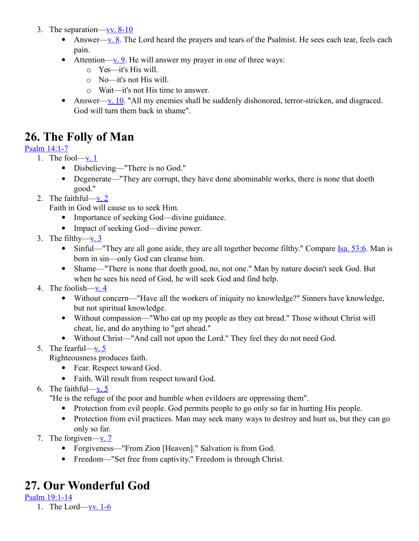- 3. The separation—<u>vv.  $8-10$ </u>
	- Answer— $\underline{v. 8}$ . The Lord heard the prayers and tears of the Psalmist. He sees each tear, feels each pain.
	- Attention—<u>v. 9</u>. He will answer my prayer in one of three ways:
		- o Yes—it's His will.
		- o No—it's not His will.
		- o Wait—it's not His time to answer.
	- Answer[—v. 10.](http://www.crossbooks.com/verse.asp?ref=Ps+6%3A10) "All my enemies shall be suddenly dishonored, terror-stricken, and disgraced. God will turn them back in shame".

### **26. The Folly of Man**

#### [Psalm 14:1-7](http://www.crossbooks.com/verse.asp?ref=Ps+14%3A1-7)

- 1. The fool $-\underline{v}$ . 1
	- Disbelieving—"There is no God."
	- Degenerate—"They are corrupt, they have done abominable works, there is none that doeth good."
- 2. The faithful[—v. 2](http://www.crossbooks.com/verse.asp?ref=Ps+14%3A2)

Faith in God will cause us to seek Him.

- Importance of seeking God—divine guidance.
- Impact of seeking God—divine power.
- 3. The filthy- $v = 3$ 
	- Sinful—"They are all gone aside, they are all together become filthy." Compare Isa, 53:6. Man is born in sin—only God can cleanse him.
	- Shame—"There is none that doeth good, no, not one." Man by nature doesn't seek God. But when he sees his need of God, he will seek God and find help.
- 4. The foolish[—v. 4](http://www.crossbooks.com/verse.asp?ref=Ps+14%3A4)
	- Without concern—"Have all the workers of iniquity no knowledge?" Sinners have knowledge, but not spiritual knowledge.
	- Without compassion—"Who eat up my people as they eat bread." Those without Christ will cheat, lie, and do anything to "get ahead."
	- Without Christ—"And call not upon the Lord." They feel they do not need God.
- 5. The fearful[—v. 5](http://www.crossbooks.com/verse.asp?ref=Ps+14%3A5)

Righteousness produces faith.

- Fear. Respect toward God.
- Faith. Will result from respect toward God.
- 6. The faithful[—v. 5](http://www.crossbooks.com/verse.asp?ref=Ps+14%3A5)

"He is the refuge of the poor and humble when evildoers are oppressing them".

- Protection from evil people. God permits people to go only so far in hurting His people.
- Protection from evil practices. Man may seek many ways to destroy and hurt us, but they can go only so far.
- 7. The forgiven[—v. 7](http://www.crossbooks.com/verse.asp?ref=Ps+14%3A7)
	- Forgiveness—"From Zion [Heaven]." Salvation is from God.
	- Freedom—"Set free from captivity." Freedom is through Christ.

# **27. Our Wonderful God**

[Psalm 19:1-14](http://www.crossbooks.com/verse.asp?ref=Ps+19%3A1-14)

1. The Lord[—vv. 1-6](http://www.crossbooks.com/verse.asp?ref=Ps+19%3A1-6)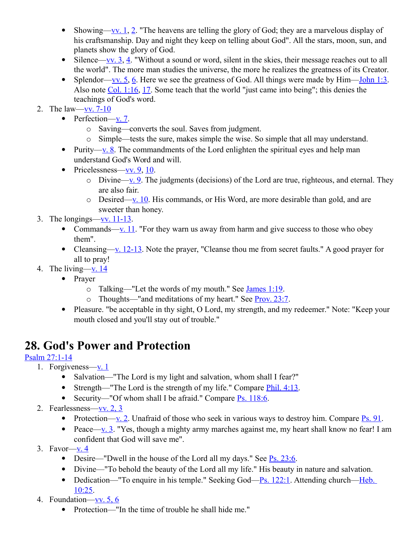- Showing[—vv. 1,](http://www.crossbooks.com/verse.asp?ref=Ps+19%3A1) [2.](http://www.crossbooks.com/verse.asp?ref=Ps+19%3A2) "The heavens are telling the glory of God; they are a marvelous display of his craftsmanship. Day and night they keep on telling about God". All the stars, moon, sun, and planets show the glory of God.
- $\bullet$  Silence[—vv. 3,](http://www.crossbooks.com/verse.asp?ref=Ps+19%3A3) [4.](http://www.crossbooks.com/verse.asp?ref=Ps+19%3A4) "Without a sound or word, silent in the skies, their message reaches out to all the world". The more man studies the universe, the more he realizes the greatness of its Creator.
- Splendor[—vv. 5,](http://www.crossbooks.com/verse.asp?ref=Ps+19%3A5) [6.](http://www.crossbooks.com/verse.asp?ref=Ps+19%3A6) Here we see the greatness of God. All things were made by  $\text{Him}$ [—John 1:3.](http://www.crossbooks.com/verse.asp?ref=Jn+1%3A3) Also note [Col. 1:16,](http://www.crossbooks.com/verse.asp?ref=Col+1%3A16) [17.](http://www.crossbooks.com/verse.asp?ref=Col+1%3A17) Some teach that the world "just came into being"; this denies the teachings of God's word.
- 2. The law[—vv. 7-10](http://www.crossbooks.com/verse.asp?ref=Ps+19%3A7-10)
	- Perfection[—v. 7.](http://www.crossbooks.com/verse.asp?ref=Ps+19%3A7)
		- o Saving—converts the soul. Saves from judgment.
		- o Simple—tests the sure, makes simple the wise. So simple that all may understand.
	- Purity—<u>v. 8</u>. The commandments of the Lord enlighten the spiritual eyes and help man understand God's Word and will.
	- Pricelessness—vv.  $9, 10$ .
		- $\circ$  Divine[—v. 9.](http://www.crossbooks.com/verse.asp?ref=Ps+19%3A9) The judgments (decisions) of the Lord are true, righteous, and eternal. They are also fair.
		- $\circ$  Desired[—v. 10.](http://www.crossbooks.com/verse.asp?ref=Ps+19%3A10) His commands, or His Word, are more desirable than gold, and are sweeter than honey.
- 3. The longings—vv.  $11-13$ .
	- Commands—y. 11. "For they warn us away from harm and give success to those who obey them".
	- Cleansing—v.  $12-13$ . Note the prayer, "Cleanse thou me from secret faults." A good prayer for all to pray!
- 4. The living— $v. 14$ 
	- Prayer
		- $\circ$  Talking—"Let the words of my mouth." See [James 1:19.](http://www.crossbooks.com/verse.asp?ref=Jas+1%3A19)
		- o Thoughts—"and meditations of my heart." See [Prov. 23:7.](http://www.crossbooks.com/verse.asp?ref=Pr+23%3A7)
		- Pleasure. "be acceptable in thy sight, O Lord, my strength, and my redeemer." Note: "Keep your mouth closed and you'll stay out of trouble."

# **28. God's Power and Protection**

### [Psalm 27:1-14](http://www.crossbooks.com/verse.asp?ref=Ps+27%3A1-14)

- 1. Forgiveness—<u>v. 1</u>
	- Salvation—"The Lord is my light and salvation, whom shall I fear?"
	- Strength—"The Lord is the strength of my life." Compare  $\frac{\text{Phi}}{1}$ . 4:13.
	- Security—"Of whom shall I be afraid." Compare  $\frac{P}{S}$ . 118:6.
- 2. Fearlessness[—vv. 2, 3](http://www.crossbooks.com/verse.asp?ref=Ps+27%3A2-3)
	- Protection[—v. 2.](http://www.crossbooks.com/verse.asp?ref=Ps+27%3A2) Unafraid of those who seek in various ways to destroy him. Compare  $\frac{P_s}{P_s}$ .
	- Peace[—v. 3.](http://www.crossbooks.com/verse.asp?ref=Ps+27%3A3) "Yes, though a mighty army marches against me, my heart shall know no fear! I am confident that God will save me".
- 3. Favor[—v. 4](http://www.crossbooks.com/verse.asp?ref=Ps+27%3A4)
	- $\bullet$  Desire—"Dwell in the house of the Lord all my days." See [Ps. 23:6.](http://www.crossbooks.com/verse.asp?ref=Ps+23%3A6)
	- Divine—"To behold the beauty of the Lord all my life." His beauty in nature and salvation.
	- Dedication—"To enquire in his temple." Seeking God[—Ps. 122:1.](http://www.crossbooks.com/verse.asp?ref=Ps+122%3A1) Attending church—Heb. [10:25.](http://www.crossbooks.com/verse.asp?ref=Heb+10%3A25)
- 4. Foundation[—vv. 5, 6](http://www.crossbooks.com/verse.asp?ref=Ps+27%3A5-6)
	- Protection—"In the time of trouble he shall hide me."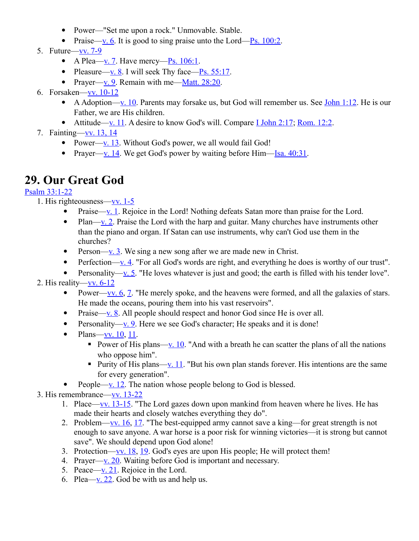- Power—"Set me upon a rock." Unmovable. Stable.
- Praise[—v. 6.](http://www.crossbooks.com/verse.asp?ref=Ps+27%3A6) It is good to sing praise unto the Lord—Ps.  $100:2$ .
- 5. Future[—vv. 7-9](http://www.crossbooks.com/verse.asp?ref=Ps+27%3A7-9)
	- A Plea[—v. 7.](http://www.crossbooks.com/verse.asp?ref=Ps+27%3A7) Have mercy—Ps.  $106:1$ .
	- Pleasure[—v. 8.](http://www.crossbooks.com/verse.asp?ref=Ps+27%3A8) I will seek Thy face—Ps.  $55:17$ .
	- Prayer[—v. 9.](http://www.crossbooks.com/verse.asp?ref=Ps+27%3A9) Remain with me—Matt.  $28:20$ .
- 6. Forsaken[—vv. 10-12](http://www.crossbooks.com/verse.asp?ref=Ps+27%3A10-12)
	- A Adoption[—v. 10.](http://www.crossbooks.com/verse.asp?ref=Ps+27%3A10) Parents may forsake us, but God will remember us. See [John 1:12.](http://www.crossbooks.com/verse.asp?ref=Jn+1%3A12) He is our Father, we are His children.
	- Attitude[—v. 11.](http://www.crossbooks.com/verse.asp?ref=Ps+27%3A11) A desire to know God's will. Compare [I John 2:17;](http://www.crossbooks.com/verse.asp?ref=1Jn+2%3A17) [Rom. 12:2.](http://www.crossbooks.com/verse.asp?ref=Ro+12%3A2)
- 7. Fainting[—vv. 13, 14](http://www.crossbooks.com/verse.asp?ref=Ps+27%3A13-14)
	- Power[—v. 13.](http://www.crossbooks.com/verse.asp?ref=Ps+27%3A13) Without God's power, we all would fail God!
	- Prayer[—v. 14.](http://www.crossbooks.com/verse.asp?ref=Ps+27%3A14) We get God's power by waiting before  $\lim_{x \to 0}$  1.

### **29. Our Great God**

#### [Psalm 33:1-22](http://www.crossbooks.com/verse.asp?ref=Ps+33%3A1-22)

- 1. His righteousness[—vv. 1-5](http://www.crossbooks.com/verse.asp?ref=Ps+33%3A1-5)
	- Praise—<u>v. 1</u>. Rejoice in the Lord! Nothing defeats Satan more than praise for the Lord.
	- Plan[—v. 2.](http://www.crossbooks.com/verse.asp?ref=Ps+33%3A2) Praise the Lord with the harp and guitar. Many churches have instruments other than the piano and organ. If Satan can use instruments, why can't God use them in the churches?
	- Person[—v. 3.](http://www.crossbooks.com/verse.asp?ref=Ps+33%3A3) We sing a new song after we are made new in Christ.
	- Perfection— $\underline{v}.$  4. "For all God's words are right, and everything he does is worthy of our trust".
	- Personality[—v. 5.](http://www.crossbooks.com/verse.asp?ref=Ps+33%3A5) "He loves whatever is just and good; the earth is filled with his tender love".

### 2. His reality[—vv. 6-12](http://www.crossbooks.com/verse.asp?ref=Ps+33%3A6-12)

- Power—<u>vv. 6, 7</u>. "He merely spoke, and the heavens were formed, and all the galaxies of stars. He made the oceans, pouring them into his vast reservoirs".
- Praise[—v. 8.](http://www.crossbooks.com/verse.asp?ref=Ps+33%3A8) All people should respect and honor God since He is over all.
- Personality[—v. 9.](http://www.crossbooks.com/verse.asp?ref=Ps+33%3A9) Here we see God's character; He speaks and it is done!
- $\bullet$  Plans[—vv. 10,](http://www.crossbooks.com/verse.asp?ref=Ps+33%3A10) [11.](http://www.crossbooks.com/verse.asp?ref=Ps+33%3A11)
	- Power of His plans[—v. 10.](http://www.crossbooks.com/verse.asp?ref=Ps+33%3A10) "And with a breath he can scatter the plans of all the nations who oppose him".
	- Purity of His plans[—v. 11.](http://www.crossbooks.com/verse.asp?ref=Ps+33%3A11) "But his own plan stands forever. His intentions are the same for every generation".
- People[—v. 12.](http://www.crossbooks.com/verse.asp?ref=Ps+33%3A12) The nation whose people belong to God is blessed.
- 3. His remembrance[—vv. 13-22](http://www.crossbooks.com/verse.asp?ref=Ps+33%3A13-22)
	- 1. Place—vv.  $13-15$ . "The Lord gazes down upon mankind from heaven where he lives. He has made their hearts and closely watches everything they do".
	- 2. Problem[—vv. 16,](http://www.crossbooks.com/verse.asp?ref=Ps+33%3A16) [17.](http://www.crossbooks.com/verse.asp?ref=Ps+33%3A17) "The best-equipped army cannot save a king—for great strength is not enough to save anyone. A war horse is a poor risk for winning victories—it is strong but cannot save". We should depend upon God alone!
	- 3. Protection[—vv. 18,](http://www.crossbooks.com/verse.asp?ref=Ps+33%3A18) [19.](http://www.crossbooks.com/verse.asp?ref=Ps+33%3A19) God's eyes are upon His people; He will protect them!
	- 4. Prayer[—v. 20.](http://www.crossbooks.com/verse.asp?ref=Ps+33%3A20) Waiting before God is important and necessary.
	- 5. Peace[—v. 21.](http://www.crossbooks.com/verse.asp?ref=Ps+33%3A21) Rejoice in the Lord.
	- 6. Plea— $\underline{v}$ . 22. God be with us and help us.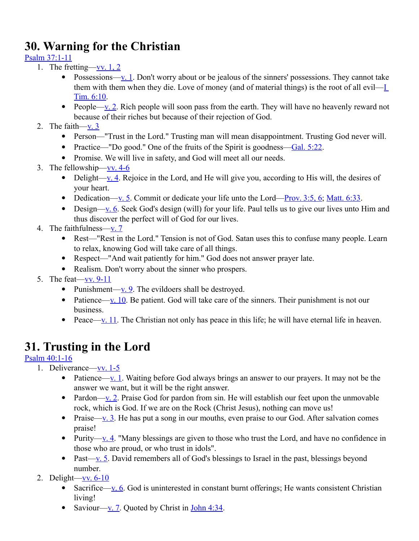# **30. Warning for the Christian**

[Psalm 37:1-11](http://www.crossbooks.com/verse.asp?ref=Ps+37%3A1-11)

- 1. The fretting—vv.  $1, 2$ 
	- Possessions— $\underline{v}.$  1. Don't worry about or be jealous of the sinners' possessions. They cannot take them with them when they die. Love of money (and of material things) is the root of all evil[—I](http://www.crossbooks.com/verse.asp?ref=1Ti+6%3A10)  [Tim. 6:10.](http://www.crossbooks.com/verse.asp?ref=1Ti+6%3A10)
	- People[—v. 2.](http://www.crossbooks.com/verse.asp?ref=Ps+37%3A2) Rich people will soon pass from the earth. They will have no heavenly reward not because of their riches but because of their rejection of God.
- 2. The faith[—v. 3](http://www.crossbooks.com/verse.asp?ref=Ps+37%3A3)
	- Person—"Trust in the Lord." Trusting man will mean disappointment. Trusting God never will.
	- Practice—"Do good." One of the fruits of the Spirit is goodness[—Gal. 5:22.](http://www.crossbooks.com/verse.asp?ref=Gal+5%3A22)
	- Promise. We will live in safety, and God will meet all our needs.
- 3. The fellowship[—vv. 4-6](http://www.crossbooks.com/verse.asp?ref=Ps+37%3A4-6)
	- Delight[—v. 4.](http://www.crossbooks.com/verse.asp?ref=Ps+37%3A4) Rejoice in the Lord, and He will give you, according to His will, the desires of your heart.
	- Dedication[—v. 5.](http://www.crossbooks.com/verse.asp?ref=Ps+37%3A5) Commit or dedicate your life unto the Lord—Prov.  $3:5, 6$ ; Matt.  $6:33$ .
	- $\bullet$  Design[—v. 6.](http://www.crossbooks.com/verse.asp?ref=Ps+37%3A6) Seek God's design (will) for your life. Paul tells us to give our lives unto Him and thus discover the perfect will of God for our lives.
- 4. The faithfulness[—v. 7](http://www.crossbooks.com/verse.asp?ref=Ps+37%3A7)
	- Rest—"Rest in the Lord." Tension is not of God. Satan uses this to confuse many people. Learn to relax, knowing God will take care of all things.
	- Respect—"And wait patiently for him." God does not answer prayer late.
	- Realism. Don't worry about the sinner who prospers.
- 5. The feat[—vv. 9-11](http://www.crossbooks.com/verse.asp?ref=Ps+37%3A9-11)
	- Punishment—<u>v. 9</u>. The evildoers shall be destroyed.
	- Patience[—v. 10.](http://www.crossbooks.com/verse.asp?ref=Ps+37%3A10) Be patient. God will take care of the sinners. Their punishment is not our business.
	- Peace[—v. 11.](http://www.crossbooks.com/verse.asp?ref=Ps+37%3A11) The Christian not only has peace in this life; he will have eternal life in heaven.

# **31. Trusting in the Lord**

### [Psalm 40:1-16](http://www.crossbooks.com/verse.asp?ref=Ps+40%3A1-16)

- 1. Deliverance—<u>vv. 1-5</u>
	- Patience[—v. 1.](http://www.crossbooks.com/verse.asp?ref=Ps+40%3A1) Waiting before God always brings an answer to our prayers. It may not be the answer we want, but it will be the right answer.
	- Pardon[—v. 2.](http://www.crossbooks.com/verse.asp?ref=Ps+40%3A2) Praise God for pardon from sin. He will establish our feet upon the unmovable rock, which is God. If we are on the Rock (Christ Jesus), nothing can move us!
	- Praise[—v. 3.](http://www.crossbooks.com/verse.asp?ref=Ps+40%3A3) He has put a song in our mouths, even praise to our God. After salvation comes praise!
	- Purity—<u>v. 4</u>. "Many blessings are given to those who trust the Lord, and have no confidence in those who are proud, or who trust in idols".
	- Past[—v. 5.](http://www.crossbooks.com/verse.asp?ref=Ps+40%3A5) David remembers all of God's blessings to Israel in the past, blessings beyond number.
	- 2. Delight[—vv. 6-10](http://www.crossbooks.com/verse.asp?ref=Ps+40%3A6-10)
		- Sacrifice[—v. 6.](http://www.crossbooks.com/verse.asp?ref=Ps+40%3A6) God is uninterested in constant burnt offerings; He wants consistent Christian living!
		- Saviour[—v. 7.](http://www.crossbooks.com/verse.asp?ref=Ps+40%3A7) Quoted by Christ in [John 4:34.](http://www.crossbooks.com/verse.asp?ref=Jn+4%3A34)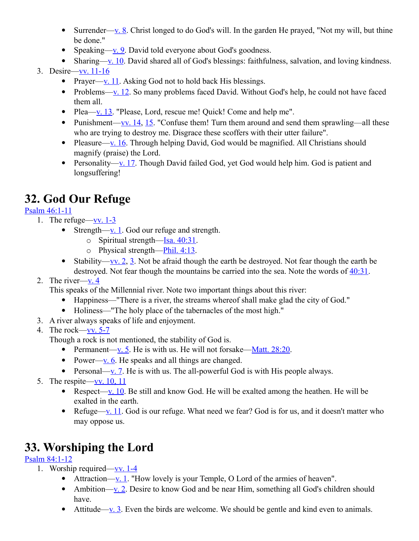- Surrender—<u>v. 8</u>. Christ longed to do God's will. In the garden He prayed, "Not my will, but thine be done."
- Speaking[—v. 9.](http://www.crossbooks.com/verse.asp?ref=Ps+40%3A9) David told everyone about God's goodness.
- Sharing[—v. 10.](http://www.crossbooks.com/verse.asp?ref=Ps+40%3A10) David shared all of God's blessings: faithfulness, salvation, and loving kindness.

### 3. Desire[—vv. 11-16](http://www.crossbooks.com/verse.asp?ref=Ps+40%3A11-16)

- Prayer[—v. 11.](http://www.crossbooks.com/verse.asp?ref=Ps+40%3A11) Asking God not to hold back His blessings.
- Problems[—v. 12.](http://www.crossbooks.com/verse.asp?ref=Ps+40%3A12) So many problems faced David. Without God's help, he could not have faced them all.
- Plea— $v. 13$ . "Please, Lord, rescue me! Quick! Come and help me".
- Punishment[—vv. 14,](http://www.crossbooks.com/verse.asp?ref=Ps+40%3A14) [15.](http://www.crossbooks.com/verse.asp?ref=Ps+40%3A15) "Confuse them! Turn them around and send them sprawling—all these who are trying to destroy me. Disgrace these scoffers with their utter failure".
- Pleasure[—v. 16.](http://www.crossbooks.com/verse.asp?ref=Ps+40%3A16) Through helping David, God would be magnified. All Christians should magnify (praise) the Lord.
- Personality[—v. 17.](http://www.crossbooks.com/verse.asp?ref=Ps+40%3A17) Though David failed God, yet God would help him. God is patient and longsuffering!

# **32. God Our Refuge**

### [Psalm 46:1-11](http://www.crossbooks.com/verse.asp?ref=Ps+46%3A1-11)

- 1. The refuge[—vv. 1-3](http://www.crossbooks.com/verse.asp?ref=Ps+46%3A1-3)
	- Strength[—v. 1.](http://www.crossbooks.com/verse.asp?ref=Ps+46%3A1) God our refuge and strength.
		- o Spiritual strength[—Isa. 40:31.](http://www.crossbooks.com/verse.asp?ref=Isa+40%3A31)
		- $\circ$  Physical strength[—Phil. 4:13.](http://www.crossbooks.com/verse.asp?ref=Php+4%3A13)
	- Stability[—vv. 2,](http://www.crossbooks.com/verse.asp?ref=Ps+46%3A2) [3.](http://www.crossbooks.com/verse.asp?ref=Ps+46%3A3) Not be afraid though the earth be destroyed. Not fear though the earth be destroyed. Not fear though the mountains be carried into the sea. Note the words of [40:31.](http://www.crossbooks.com/verse.asp?ref=Ps+40%3A31)
- 2. The river[—v. 4](http://www.crossbooks.com/verse.asp?ref=Ps+46%3A4)

This speaks of the Millennial river. Note two important things about this river:

- Happiness—"There is a river, the streams whereof shall make glad the city of God."
- Holiness—"The holy place of the tabernacles of the most high."
- 3. A river always speaks of life and enjoyment.
- 4. The rock[—vv. 5-7](http://www.crossbooks.com/verse.asp?ref=Ps+46%3A5-7)

Though a rock is not mentioned, the stability of God is.

- Permanent[—v. 5.](http://www.crossbooks.com/verse.asp?ref=Ps+46%3A5) He is with us. He will not forsake—Matt.  $28:20$ .
- Power—<u>v. 6</u>. He speaks and all things are changed.
- Personal[—v. 7.](http://www.crossbooks.com/verse.asp?ref=Ps+46%3A7) He is with us. The all-powerful God is with His people always.
- 5. The respite[—vv. 10, 11](http://www.crossbooks.com/verse.asp?ref=Ps+46%3A10-11)
	- Respect[—v. 10.](http://www.crossbooks.com/verse.asp?ref=Ps+46%3A10) Be still and know God. He will be exalted among the heathen. He will be exalted in the earth.
	- Refuge[—v. 11.](http://www.crossbooks.com/verse.asp?ref=Ps+46%3A11) God is our refuge. What need we fear? God is for us, and it doesn't matter who may oppose us.

### **33. Worshiping the Lord**

### [Psalm 84:1-12](http://www.crossbooks.com/verse.asp?ref=Ps+84%3A1-12)

- 1. Worship required[—vv. 1-4](http://www.crossbooks.com/verse.asp?ref=Ps+84%3A1-4)
	- Attraction— $\underline{v}$ . 1. "How lovely is your Temple, O Lord of the armies of heaven".
	- Ambition[—v. 2.](http://www.crossbooks.com/verse.asp?ref=Ps+84%3A2) Desire to know God and be near Him, something all God's children should have.
	- Attitude[—v. 3.](http://www.crossbooks.com/verse.asp?ref=Ps+84%3A3) Even the birds are welcome. We should be gentle and kind even to animals.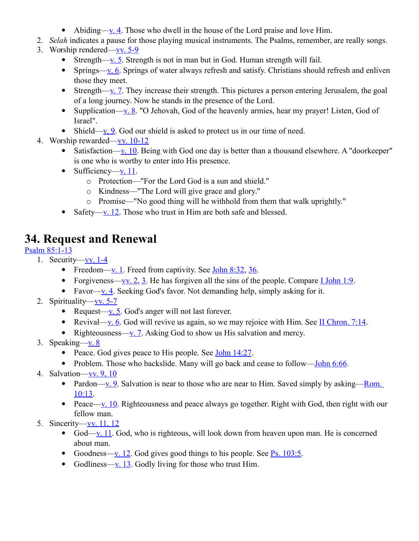- Abiding—<u>v. 4</u>. Those who dwell in the house of the Lord praise and love Him.
- 2. *Selah* indicates a pause for those playing musical instruments. The Psalms, remember, are really songs.
- 3. Worship rendered[—vv. 5-9](http://www.crossbooks.com/verse.asp?ref=Ps+84%3A5-9)
	- Strength[—v. 5.](http://www.crossbooks.com/verse.asp?ref=Ps+84%3A5) Strength is not in man but in God. Human strength will fail.
	- Springs[—v. 6.](http://www.crossbooks.com/verse.asp?ref=Ps+84%3A6) Springs of water always refresh and satisfy. Christians should refresh and enliven those they meet.
	- Strength[—v. 7.](http://www.crossbooks.com/verse.asp?ref=Ps+84%3A7) They increase their strength. This pictures a person entering Jerusalem, the goal of a long journey. Now he stands in the presence of the Lord.
	- Supplication[—v. 8.](http://www.crossbooks.com/verse.asp?ref=Ps+84%3A8) "O Jehovah, God of the heavenly armies, hear my prayer! Listen, God of Israel".
	- Shield—<u>v. 9</u>. God our shield is asked to protect us in our time of need.
- 4. Worship rewarded[—vv. 10-12](http://www.crossbooks.com/verse.asp?ref=Ps+84%3A10-12)
	- Satisfaction[—v. 10.](http://www.crossbooks.com/verse.asp?ref=Ps+84%3A10) Being with God one day is better than a thousand elsewhere. A "doorkeeper" is one who is worthy to enter into His presence.
	- Sufficiency[—v. 11.](http://www.crossbooks.com/verse.asp?ref=Ps+84%3A11)
		- o Protection—"For the Lord God is a sun and shield."
		- o Kindness—"The Lord will give grace and glory."
		- o Promise—"No good thing will he withhold from them that walk uprightly."
	- Safety[—v. 12.](http://www.crossbooks.com/verse.asp?ref=Ps+84%3A12) Those who trust in Him are both safe and blessed.

# **34. Request and Renewal**

### [Psalm 85:1-13](http://www.crossbooks.com/verse.asp?ref=Ps+85%3A1-13)

- 1. Security[—vv. 1-4](http://www.crossbooks.com/verse.asp?ref=Ps+85%3A1-4)
	- Freedom—<u>v. 1</u>. Freed from captivity. See <u>John 8:32, 36</u>.
	- Forgiveness[—vv. 2,](http://www.crossbooks.com/verse.asp?ref=Ps+85%3A2) [3.](http://www.crossbooks.com/verse.asp?ref=Ps+85%3A3) He has forgiven all the sins of the people. Compare [I John 1:9.](http://www.crossbooks.com/verse.asp?ref=1Jn+1%3A9)
	- Favor[—v. 4.](http://www.crossbooks.com/verse.asp?ref=Ps+85%3A4) Seeking God's favor. Not demanding help, simply asking for it.
- 2. Spirituality—<u>vv.</u> 5-7
	- Request[—v. 5.](http://www.crossbooks.com/verse.asp?ref=Ps+85%3A5) God's anger will not last forever.
	- Revival[—v. 6.](http://www.crossbooks.com/verse.asp?ref=Ps+85%3A6) God will revive us again, so we may rejoice with Him. See [II Chron. 7:14.](http://www.crossbooks.com/verse.asp?ref=2Ch+7%3A14)
	- Righteousness[—v. 7.](http://www.crossbooks.com/verse.asp?ref=Ps+85%3A7) Asking God to show us His salvation and mercy.
- 3. Speaking[—v. 8](http://www.crossbooks.com/verse.asp?ref=Ps+85%3A8)
	- Peace. God gives peace to His people. See John  $14:27$ .
	- Problem. Those who backslide. Many will go back and cease to follow[—John 6:66.](http://www.crossbooks.com/verse.asp?ref=Jn+6%3A66)
- 4. Salvation[—vv. 9, 10](http://www.crossbooks.com/verse.asp?ref=Ps+85%3A9-10)
	- Pardon[—v. 9.](http://www.crossbooks.com/verse.asp?ref=Ps+85%3A9) Salvation is near to those who are near to Him. Saved simply by asking—Rom. [10:13.](http://www.crossbooks.com/verse.asp?ref=Ro+10%3A13)
	- Peace[—v. 10.](http://www.crossbooks.com/verse.asp?ref=Ps+85%3A10) Righteousness and peace always go together. Right with God, then right with our fellow man.
- 5. Sincerity[—vv. 11, 12](http://www.crossbooks.com/verse.asp?ref=Ps+85%3A11-12)
	- God[—v. 11.](http://www.crossbooks.com/verse.asp?ref=Ps+85%3A11) God, who is righteous, will look down from heaven upon man. He is concerned about man.
	- Goodness—<u>v. 12</u>. God gives good things to his people. See <u>Ps. 103:5</u>.
	- Godliness[—v. 13.](http://www.crossbooks.com/verse.asp?ref=Ps+85%3A13) Godly living for those who trust Him.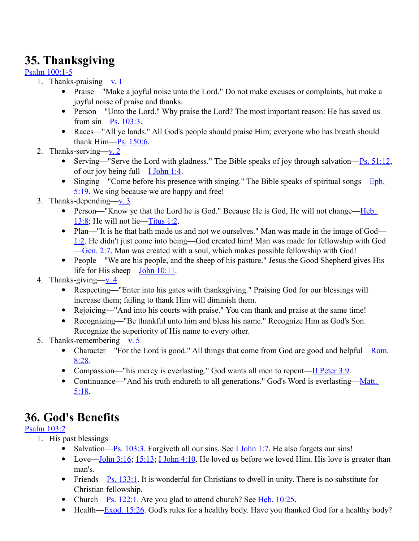# **35. Thanksgiving**

### [Psalm 100:1-5](http://www.crossbooks.com/verse.asp?ref=Ps+100%3A1-5)

- 1. Thanks-praising[—v. 1](http://www.crossbooks.com/verse.asp?ref=Ps+100%3A1)
	- Praise—"Make a joyful noise unto the Lord." Do not make excuses or complaints, but make a joyful noise of praise and thanks.
	- Person—"Unto the Lord." Why praise the Lord? The most important reason: He has saved us from sin[—Ps. 103:3.](http://www.crossbooks.com/verse.asp?ref=Ps+103%3A3)
	- Races—"All ye lands." All God's people should praise Him; everyone who has breath should thank Him[—Ps. 150:6.](http://www.crossbooks.com/verse.asp?ref=Ps+150%3A6)
- 2. Thanks-serving[—v. 2](http://www.crossbooks.com/verse.asp?ref=Ps+100%3A2)
	- Serving—"Serve the Lord with gladness." The Bible speaks of joy through salvation— $\frac{P_s}{S_1:12}$ , of our joy being full[—I John 1:4.](http://www.crossbooks.com/verse.asp?ref=1Jn+1%3A4)
	- Singing—"Come before his presence with singing." The Bible speaks of spiritual songs[—Eph.](http://www.crossbooks.com/verse.asp?ref=Eph+5%3A19)  [5:19.](http://www.crossbooks.com/verse.asp?ref=Eph+5%3A19) We sing because we are happy and free!
- 3. Thanks-depending— $v_1$ .
	- Person—"Know ye that the Lord he is God." Because He is God, He will not change—Heb. [13:8;](http://www.crossbooks.com/verse.asp?ref=Heb+13%3A8) He will not lie[—Titus 1:2.](http://www.crossbooks.com/verse.asp?ref=Tit+1%3A2)
	- Plan—"It is he that hath made us and not we ourselves." Man was made in the image of God— [1:2.](http://www.crossbooks.com/verse.asp?ref=Jn+1%3A2) He didn't just come into being—God created him! Man was made for fellowship with God [—Gen. 2:7.](http://www.crossbooks.com/verse.asp?ref=Ge+2%3A7) Man was created with a soul, which makes possible fellowship with God!
	- People—"We are his people, and the sheep of his pasture." Jesus the Good Shepherd gives His life for His sheep[—John 10:11.](http://www.crossbooks.com/verse.asp?ref=Jn+10%3A11)
- 4. Thanks-giving-y. 4
	- Respecting—"Enter into his gates with thanksgiving." Praising God for our blessings will increase them; failing to thank Him will diminish them.
	- Rejoicing—"And into his courts with praise." You can thank and praise at the same time!
	- Recognizing—"Be thankful unto him and bless his name." Recognize Him as God's Son. Recognize the superiority of His name to every other.
- 5. Thanks-remembering[—v. 5](http://www.crossbooks.com/verse.asp?ref=Ps+100%3A5)
	- Character—"For the Lord is good." All things that come from God are good and helpful—Rom. [8:28.](http://www.crossbooks.com/verse.asp?ref=Ro+8%3A28)
	- Compassion—"his mercy is everlasting." God wants all men to repent— $II$  Peter 3:9.
	- Continuance—"And his truth endureth to all generations." God's Word is everlasting—Matt. [5:18.](http://www.crossbooks.com/verse.asp?ref=Mt+5%3A18)

# **36. God's Benefits**

### [Psalm 103:2](http://www.crossbooks.com/verse.asp?ref=Ps+103%3A2)

- 1. His past blessings
	- Salvation—Ps.  $103:3$ . Forgiveth all our sins. See **I** John 1:7. He also forgets our sins!
	- Love—John  $3:16$ ;  $15:13$ ; I John  $4:10$ . He loved us before we loved Him. His love is greater than man's.
	- Friends[—Ps. 133:1.](http://www.crossbooks.com/verse.asp?ref=Ps+133%3A1) It is wonderful for Christians to dwell in unity. There is no substitute for Christian fellowship.
	- Church— $\frac{P_S}{122:1}$ . Are you glad to attend church? See [Heb. 10:25.](http://www.crossbooks.com/verse.asp?ref=Heb+10%3A25)
	- Health[—Exod. 15:26.](http://www.crossbooks.com/verse.asp?ref=Ex+15%3A26) God's rules for a healthy body. Have you thanked God for a healthy body?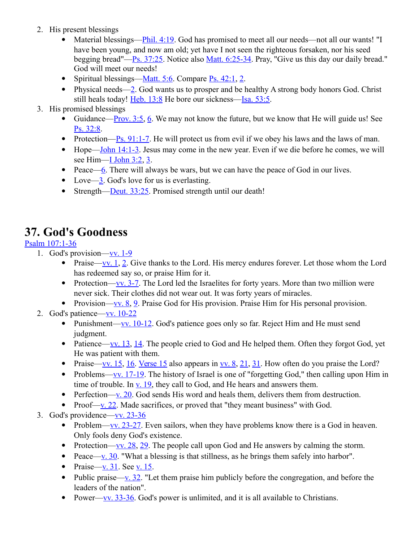- 2. His present blessings
	- Material blessings[—Phil. 4:19.](http://www.crossbooks.com/verse.asp?ref=Php+4%3A19) God has promised to meet all our needs—not all our wants! "I have been young, and now am old; yet have I not seen the righteous forsaken, nor his seed begging bread"[—Ps. 37:25.](http://www.crossbooks.com/verse.asp?ref=Ps+37%3A25) Notice also [Matt. 6:25-34.](http://www.crossbooks.com/verse.asp?ref=Mt+6%3A25-34) Pray, "Give us this day our daily bread." God will meet our needs!
	- Spiritual blessings— $M$ att. 5:6. Compare [Ps. 42:1,](http://www.crossbooks.com/verse.asp?ref=Ps+42%3A1) [2.](http://www.crossbooks.com/verse.asp?ref=Ps+42%3A2)
	- Physical needs[—2.](http://www.crossbooks.com/verse.asp?ref=Ps+42%3A2) God wants us to prosper and be healthy A strong body honors God. Christ still heals today! [Heb. 13:8](http://www.crossbooks.com/verse.asp?ref=Heb+13%3A8) He bore our sickness[—Isa. 53:5.](http://www.crossbooks.com/verse.asp?ref=Isa+53%3A5)
- 3. His promised blessings
	- Guidance[—Prov. 3:5,](http://www.crossbooks.com/verse.asp?ref=Pr+3%3A5) [6.](http://www.crossbooks.com/verse.asp?ref=Pr+3%3A6) We may not know the future, but we know that He will guide us! See [Ps. 32:8.](http://www.crossbooks.com/verse.asp?ref=Ps+32%3A8)
	- Protection[—Ps. 91:1-7.](http://www.crossbooks.com/verse.asp?ref=Ps+91%3A1-7) He will protect us from evil if we obey his laws and the laws of man.
	- $\bullet$  Hope[—John 14:1-3.](http://www.crossbooks.com/verse.asp?ref=Jn+14%3A1-3) Jesus may come in the new year. Even if we die before he comes, we will see Him[—I John 3:2,](http://www.crossbooks.com/verse.asp?ref=1Jn+3%3A2) [3.](http://www.crossbooks.com/verse.asp?ref=1Jn+3%3A3)
	- Peace[—6.](http://www.crossbooks.com/verse.asp?ref=Heb+3%3A6) There will always be wars, but we can have the peace of God in our lives.
	- Love[—3.](http://www.crossbooks.com/verse.asp?ref=Jn+3%3A3) God's love for us is everlasting.
	- Strength[—Deut. 33:25.](http://www.crossbooks.com/verse.asp?ref=Dt+33%3A25) Promised strength until our death!

### **37. God's Goodness**

#### [Psalm 107:1-36](http://www.crossbooks.com/verse.asp?ref=Ps+107%3A1-36)

- 1. God's provision[—vv. 1-9](http://www.crossbooks.com/verse.asp?ref=Ps+107%3A1-9)
	- Praise[—vv. 1,](http://www.crossbooks.com/verse.asp?ref=Ps+107%3A1) [2.](http://www.crossbooks.com/verse.asp?ref=Ps+107%3A2) Give thanks to the Lord. His mercy endures forever. Let those whom the Lord has redeemed say so, or praise Him for it.
	- Protection[—vv. 3-7.](http://www.crossbooks.com/verse.asp?ref=Ps+107%3A3-7) The Lord led the Israelites for forty years. More than two million were never sick. Their clothes did not wear out. It was forty years of miracles.
	- Provision—<u>vv. 8, 9</u>. Praise God for His provision. Praise Him for His personal provision.
- 2. God's patience[—vv. 10-22](http://www.crossbooks.com/verse.asp?ref=Ps+107%3A10-22)
	- Punishment—vv.  $10-12$ . God's patience goes only so far. Reject Him and He must send judgment.
	- Patience[—vv. 13,](http://www.crossbooks.com/verse.asp?ref=Ps+107%3A13) [14.](http://www.crossbooks.com/verse.asp?ref=Ps+107%3A14) The people cried to God and He helped them. Often they forgot God, yet He was patient with them.
	- Praise[—vv. 15,](http://www.crossbooks.com/verse.asp?ref=Ps+107%3A15) [16.](http://www.crossbooks.com/verse.asp?ref=Ps+107%3A16) [Verse 15](http://www.crossbooks.com/verse.asp?ref=Ps+107%3A15) also appears in  $\underline{vv}$ . 8, [21,](http://www.crossbooks.com/verse.asp?ref=Ps+107%3A21) [31.](http://www.crossbooks.com/verse.asp?ref=Ps+107%3A31) How often do you praise the Lord?
	- Problems[—vv. 17-19.](http://www.crossbooks.com/verse.asp?ref=Ps+107%3A17-19) The history of Israel is one of "forgetting God," then calling upon Him in time of trouble. In  $\underline{v}$ . 19, they call to God, and He hears and answers them.
	- Perfection[—v. 20.](http://www.crossbooks.com/verse.asp?ref=Ps+107%3A20) God sends His word and heals them, delivers them from destruction.
	- Proof[—v. 22.](http://www.crossbooks.com/verse.asp?ref=Ps+107%3A22) Made sacrifices, or proved that "they meant business" with God.
- 3. God's providence[—vv. 23-36](http://www.crossbooks.com/verse.asp?ref=Ps+107%3A23-36)
	- Problem[—vv. 23-27.](http://www.crossbooks.com/verse.asp?ref=Ps+107%3A23-27) Even sailors, when they have problems know there is a God in heaven. Only fools deny God's existence.
	- Protection—<u>vv. 28, 29</u>. The people call upon God and He answers by calming the storm.
	- Peace[—v. 30.](http://www.crossbooks.com/verse.asp?ref=Ps+107%3A30) "What a blessing is that stillness, as he brings them safely into harbor".
	- Praise—v.  $31.$  See [v. 15.](http://www.crossbooks.com/verse.asp?ref=Ps+107%3A15)
	- Public praise[—v. 32.](http://www.crossbooks.com/verse.asp?ref=Ps+107%3A32) "Let them praise him publicly before the congregation, and before the leaders of the nation".
	- Power—vv.  $33-36$ . God's power is unlimited, and it is all available to Christians.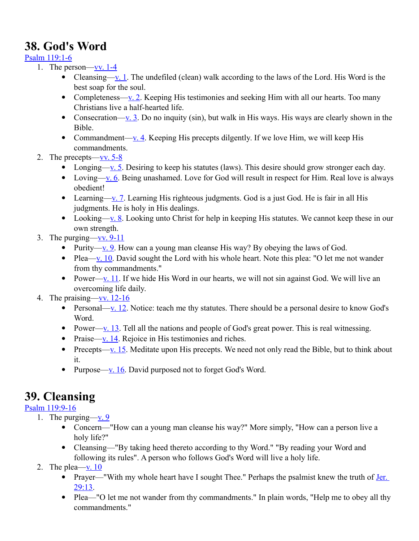# **38. God's Word**

### [Psalm 119:1-6](http://www.crossbooks.com/verse.asp?ref=Ps+119%3A1-6)

- 1. The person—vv.  $1-4$ 
	- Cleansing[—v. 1.](http://www.crossbooks.com/verse.asp?ref=Ps+119%3A1) The undefiled (clean) walk according to the laws of the Lord. His Word is the best soap for the soul.
	- Completeness[—v. 2.](http://www.crossbooks.com/verse.asp?ref=Ps+119%3A2) Keeping His testimonies and seeking Him with all our hearts. Too many Christians live a half-hearted life.
	- Consecration[—v. 3.](http://www.crossbooks.com/verse.asp?ref=Ps+119%3A3) Do no inquity (sin), but walk in His ways. His ways are clearly shown in the Bible.
	- Commandment—<u>v. 4</u>. Keeping His precepts dilgently. If we love Him, we will keep His commandments.
- 2. The precepts— $\underline{vv}$ . 5-8
	- Longing[—v. 5.](http://www.crossbooks.com/verse.asp?ref=Ps+119%3A5) Desiring to keep his statutes (laws). This desire should grow stronger each day.
	- Loving[—v. 6.](http://www.crossbooks.com/verse.asp?ref=Ps+119%3A6) Being unashamed. Love for God will result in respect for Him. Real love is always obedient!
	- Learning[—v. 7.](http://www.crossbooks.com/verse.asp?ref=Ps+119%3A7) Learning His righteous judgments. God is a just God. He is fair in all His judgments. He is holy in His dealings.
	- Looking[—v. 8.](http://www.crossbooks.com/verse.asp?ref=Ps+119%3A8) Looking unto Christ for help in keeping His statutes. We cannot keep these in our own strength.
- 3. The purging— $\underline{vv}$ . 9-11
	- Purity—<u>v. 9</u>. How can a young man cleanse His way? By obeying the laws of God.
	- Plea[—v. 10.](http://www.crossbooks.com/verse.asp?ref=Ps+119%3A10) David sought the Lord with his whole heart. Note this plea: "O let me not wander from thy commandments."
	- Power[—v. 11.](http://www.crossbooks.com/verse.asp?ref=Ps+119%3A11) If we hide His Word in our hearts, we will not sin against God. We will live an overcoming life daily.
- 4. The praising—vv.  $12-16$ 
	- Personal[—v. 12.](http://www.crossbooks.com/verse.asp?ref=Ps+119%3A12) Notice: teach me thy statutes. There should be a personal desire to know God's Word.
	- Power[—v. 13.](http://www.crossbooks.com/verse.asp?ref=Ps+119%3A13) Tell all the nations and people of God's great power. This is real witnessing.
	- Praise—v.  $14$ . Rejoice in His testimonies and riches.
	- Precepts—<u>v. 15</u>. Meditate upon His precepts. We need not only read the Bible, but to think about it.
	- Purpose[—v. 16.](http://www.crossbooks.com/verse.asp?ref=Ps+119%3A16) David purposed not to forget God's Word.

# **39. Cleansing**

### [Psalm 119:9-16](http://www.crossbooks.com/verse.asp?ref=Ps+119%3A9-16)

- 1. The purging[—v. 9](http://www.crossbooks.com/verse.asp?ref=Ps+119%3A9)
	- Concern—"How can a young man cleanse his way?" More simply, "How can a person live a holy life?"
	- Cleansing—"By taking heed thereto according to thy Word." "By reading your Word and following its rules". A person who follows God's Word will live a holy life.
- 2. The plea—v.  $10$ 
	- Prayer—"With my whole heart have I sought Thee." Perhaps the psalmist knew the truth of Jer. [29:13.](http://www.crossbooks.com/verse.asp?ref=Jer+29%3A13)
	- Plea—"O let me not wander from thy commandments." In plain words, "Help me to obey all thy commandments."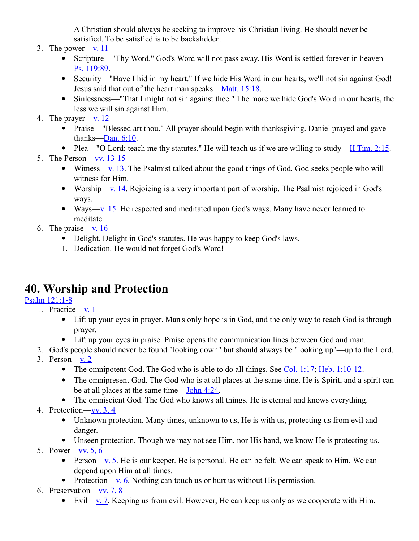A Christian should always be seeking to improve his Christian living. He should never be satisfied. To be satisfied is to be backslidden.

- 3. The power— $v. 11$ 
	- Scripture—"Thy Word." God's Word will not pass away. His Word is settled forever in heaven— [Ps. 119:89.](http://www.crossbooks.com/verse.asp?ref=Ps+119%3A89)
	- Security—"Have I hid in my heart." If we hide His Word in our hearts, we'll not sin against God! Jesus said that out of the heart man speaks[—Matt. 15:18.](http://www.crossbooks.com/verse.asp?ref=Mt+15%3A18)
	- Sinlessness—"That I might not sin against thee." The more we hide God's Word in our hearts, the less we will sin against Him.
- 4. The prayer[—v. 12](http://www.crossbooks.com/verse.asp?ref=Ps+119%3A12)
	- Praise—"Blessed art thou." All prayer should begin with thanksgiving. Daniel prayed and gave thanks[—Dan. 6:10.](http://www.crossbooks.com/verse.asp?ref=Da+6%3A10)
	- Plea—"O Lord: teach me thy statutes." He will teach us if we are willing to study[—II Tim. 2:15.](http://www.crossbooks.com/verse.asp?ref=2Ti+2%3A15)
- 5. The Person[—vv. 13-15](http://www.crossbooks.com/verse.asp?ref=Ps+119%3A13-15)
	- Witness[—v. 13.](http://www.crossbooks.com/verse.asp?ref=Ps+119%3A13) The Psalmist talked about the good things of God. God seeks people who will witness for Him.
	- Worship[—v. 14.](http://www.crossbooks.com/verse.asp?ref=Ps+119%3A14) Rejoicing is a very important part of worship. The Psalmist rejoiced in God's ways.
	- Ways[—v. 15.](http://www.crossbooks.com/verse.asp?ref=Ps+119%3A15) He respected and meditated upon God's ways. Many have never learned to meditate.
- 6. The praise—y.  $16$ 
	- Delight. Delight in God's statutes. He was happy to keep God's laws.
	- 1. Dedication. He would not forget God's Word!

# **40. Worship and Protection**

### [Psalm 121:1-8](http://www.crossbooks.com/verse.asp?ref=Ps+121%3A1-8)

- 1. Practice— $\underline{v}$ . 1
	- Lift up your eyes in prayer. Man's only hope is in God, and the only way to reach God is through prayer.
	- Lift up your eyes in praise. Praise opens the communication lines between God and man.
- 2. God's people should never be found "looking down" but should always be "looking up"—up to the Lord.
- 3. Person— $v_2$ . 2
	- The omnipotent God. The God who is able to do all things. See [Col. 1:17;](http://www.crossbooks.com/verse.asp?ref=Col+1%3A17) [Heb. 1:10-12.](http://www.crossbooks.com/verse.asp?ref=Heb+1%3A10-12)
	- The omnipresent God. The God who is at all places at the same time. He is Spirit, and a spirit can be at all places at the same time[—John 4:24.](http://www.crossbooks.com/verse.asp?ref=Jn+4%3A24)
	- The omniscient God. The God who knows all things. He is eternal and knows everything.
- 4. Protection[—vv. 3, 4](http://www.crossbooks.com/verse.asp?ref=Ps+121%3A3-4)
	- Unknown protection. Many times, unknown to us, He is with us, protecting us from evil and danger.
	- Unseen protection. Though we may not see Him, nor His hand, we know He is protecting us.
- 5. Power[—vv. 5, 6](http://www.crossbooks.com/verse.asp?ref=Ps+121%3A5-6)
	- Person[—v. 5.](http://www.crossbooks.com/verse.asp?ref=Ps+121%3A5) He is our keeper. He is personal. He can be felt. We can speak to Him. We can depend upon Him at all times.
	- Protection—<u>v. 6</u>. Nothing can touch us or hurt us without His permission.
- 6. Preservation[—vv. 7, 8](http://www.crossbooks.com/verse.asp?ref=Ps+121%3A7-8)
	- Evil[—v. 7.](http://www.crossbooks.com/verse.asp?ref=Ps+121%3A7) Keeping us from evil. However, He can keep us only as we cooperate with Him.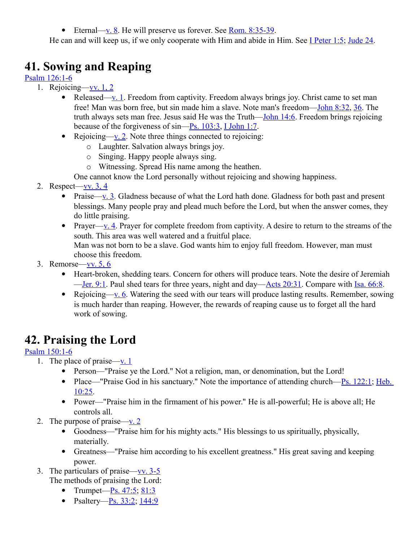Eternal[—v. 8.](http://www.crossbooks.com/verse.asp?ref=Ps+121%3A8) He will preserve us forever. See Rom.  $8:35-39$ .

He can and will keep us, if we only cooperate with Him and abide in Him. See [I Peter 1:5;](http://www.crossbooks.com/verse.asp?ref=1Pe+1%3A5) [Jude 24.](http://www.crossbooks.com/verse.asp?ref=Jude+1%3A24)

# **41. Sowing and Reaping**

[Psalm 126:1-6](http://www.crossbooks.com/verse.asp?ref=Ps+126%3A1-6)

- 1. Rejoicing[—vv. 1, 2](http://www.crossbooks.com/verse.asp?ref=Ps+126%3A1-2)
	- Released[—v. 1.](http://www.crossbooks.com/verse.asp?ref=Ps+126%3A1) Freedom from captivity. Freedom always brings joy. Christ came to set man free! Man was born free, but sin made him a slave. Note man's freedom[—John 8:32,](http://www.crossbooks.com/verse.asp?ref=Jn+8%3A32) [36.](http://www.crossbooks.com/verse.asp?ref=Jn+8%3A36) The truth always sets man free. Jesus said He was the Truth[—John 14:6.](http://www.crossbooks.com/verse.asp?ref=Jn+14%3A6) Freedom brings rejoicing because of the forgiveness of  $sin$ — $Ps$ . 103:3, [I John 1:7.](http://www.crossbooks.com/verse.asp?ref=1Jn+1%3A7)
	- Rejoicing[—v. 2.](http://www.crossbooks.com/verse.asp?ref=Ps+126%3A2) Note three things connected to rejoicing:
		- o Laughter. Salvation always brings joy.
		- o Singing. Happy people always sing.
		- o Witnessing. Spread His name among the heathen.

One cannot know the Lord personally without rejoicing and showing happiness.

- 2. Respect[—vv. 3, 4](http://www.crossbooks.com/verse.asp?ref=Ps+126%3A3-4)
	- Praise[—v. 3.](http://www.crossbooks.com/verse.asp?ref=Ps+126%3A3) Gladness because of what the Lord hath done. Gladness for both past and present blessings. Many people pray and plead much before the Lord, but when the answer comes, they do little praising.
	- Prayer[—v. 4.](http://www.crossbooks.com/verse.asp?ref=Ps+126%3A4) Prayer for complete freedom from captivity. A desire to return to the streams of the south. This area was well watered and a fruitful place. Man was not born to be a slave. God wants him to enjoy full freedom. However, man must choose this freedom.
- 3. Remorse[—vv. 5, 6](http://www.crossbooks.com/verse.asp?ref=Ps+126%3A5-6)
	- Heart-broken, shedding tears. Concern for others will produce tears. Note the desire of Jeremiah [—Jer. 9:1.](http://www.crossbooks.com/verse.asp?ref=Jer+9%3A1) Paul shed tears for three years, night and day[—Acts 20:31.](http://www.crossbooks.com/verse.asp?ref=Ac+20%3A31) Compare with [Isa. 66:8.](http://www.crossbooks.com/verse.asp?ref=Isa+66%3A8)
	- Rejoicing[—v. 6.](http://www.crossbooks.com/verse.asp?ref=Ps+126%3A6) Watering the seed with our tears will produce lasting results. Remember, sowing is much harder than reaping. However, the rewards of reaping cause us to forget all the hard work of sowing.

# **42. Praising the Lord**

### [Psalm 150:1-6](http://www.crossbooks.com/verse.asp?ref=Ps+150%3A1-6)

- 1. The place of praise[—v. 1](http://www.crossbooks.com/verse.asp?ref=Ps+150%3A1)
	- Person—"Praise ye the Lord." Not a religion, man, or denomination, but the Lord!
	- Place—"Praise God in his sanctuary." Note the importance of attending church—Ps.  $122:1$ ; Heb. [10:25.](http://www.crossbooks.com/verse.asp?ref=Heb+10%3A25)
	- Power—"Praise him in the firmament of his power." He is all-powerful; He is above all; He controls all.
- 2. The purpose of praise[—v. 2](http://www.crossbooks.com/verse.asp?ref=Ps+150%3A2)
	- Goodness—"Praise him for his mighty acts." His blessings to us spiritually, physically, materially.
	- Greatness—"Praise him according to his excellent greatness." His great saving and keeping power.
- 3. The particulars of praise[—vv. 3-5](http://www.crossbooks.com/verse.asp?ref=Ps+150%3A3-5) The methods of praising the Lord:
	- Trumpet— $P_s$ . 47:5; [81:3](http://www.crossbooks.com/verse.asp?ref=Ps+81%3A3)
	- Psaltery—Ps.  $33:2$ ;  $144:9$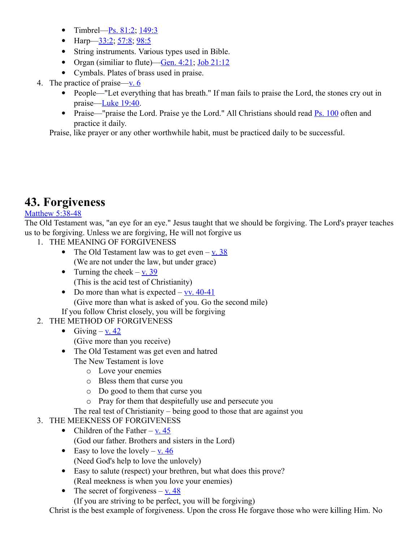- Timbrel—Ps.  $81:2$ ;  $149:3$
- Harp— $3:2$ ;  $57:8$ ;  $98:5$
- String instruments. Various types used in Bible.
- Organ (similiar to flute)—Gen.  $4:21$ ; Job  $21:12$
- Cymbals. Plates of brass used in praise.
- 4. The practice of praise[—v. 6](http://www.crossbooks.com/verse.asp?ref=Ps+150%3A6)
	- People—"Let everything that has breath." If man fails to praise the Lord, the stones cry out in praise[—Luke 19:40.](http://www.crossbooks.com/verse.asp?ref=Lk+19%3A40)
	- Praise—"praise the Lord. Praise ye the Lord." All Christians should read [Ps. 100](http://www.crossbooks.com/verse.asp?ref=Ps+100) often and practice it daily.

Praise, like prayer or any other worthwhile habit, must be practiced daily to be successful.

### **43. Forgiveness**

### [Matthew 5:38-48](http://www.crossbooks.com/verse.asp?ref=Mt+5%3A38-48)

The Old Testament was, "an eye for an eye." Jesus taught that we should be forgiving. The Lord's prayer teaches us to be forgiving. Unless we are forgiving, He will not forgive us

- 1. THE MEANING OF FORGIVENESS
	- The Old Testament law was to get even  $-\mathbf{v}$ . 38 (We are not under the law, but under grace)
	- Turning the cheek  $-$  [v. 39](http://www.crossbooks.com/verse.asp?ref=Mt+5%3A39) (This is the acid test of Christianity)
	- Do more than what is expected  $-\frac{vv}{.40-41}$ (Give more than what is asked of you. Go the second mile)
	- If you follow Christ closely, you will be forgiving
- 2. THE METHOD OF FORGIVENESS
	- Giving  $-\underline{v}$ . 42 (Give more than you receive)
	- The Old Testament was get even and hatred The New Testament is love
		- o Love your enemies
		- o Bless them that curse you
		- o Do good to them that curse you
		- o Pray for them that despitefully use and persecute you
		- The real test of Christianity being good to those that are against you
- 3. THE MEEKNESS OF FORGIVENESS
	- Children of the Father v.  $45$ 
		- (God our father. Brothers and sisters in the Lord)
	- Easy to love the lovely  $-\underline{v}$ . 46 (Need God's help to love the unlovely)
	- Easy to salute (respect) your brethren, but what does this prove? (Real meekness is when you love your enemies)
	- The secret of forgiveness  $-\mathbf{v}$ . 48
		- (If you are striving to be perfect, you will be forgiving)

Christ is the best example of forgiveness. Upon the cross He forgave those who were killing Him. No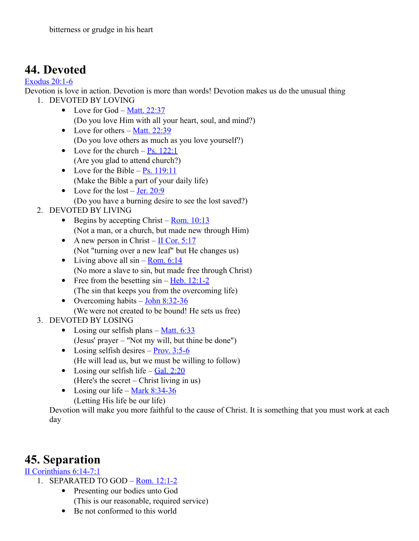# **44. Devoted**

#### [Exodus 20:1-6](http://www.crossbooks.com/verse.asp?ref=Ex+20%3A1-6)

Devotion is love in action. Devotion is more than words! Devotion makes us do the unusual thing 1. DEVOTED BY LOVING

- Love for God <u>Matt. 22:37</u> (Do you love Him with all your heart, soul, and mind?)
- Love for others Matt.  $22:39$ (Do you love others as much as you love yourself?)
- Love for the church  $-$  [Ps. 122:1](http://www.crossbooks.com/verse.asp?ref=Ps+122%3A1) (Are you glad to attend church?)
- Love for the Bible  $Ps. 119:11$ (Make the Bible a part of your daily life)
- Love for the lost  $-$  [Jer. 20:9](http://www.crossbooks.com/verse.asp?ref=Jer+20%3A9) (Do you have a burning desire to see the lost saved?)

### 2. DEVOTED BY LIVING

- Begins by accepting Christ Rom.  $10:13$ (Not a man, or a church, but made new through Him)
- A new person in Christ  $\text{II}$  Cor. 5:17 (Not "turning over a new leaf" but He changes us)
- Living above all  $sin Rom$ . 6:14 (No more a slave to sin, but made free through Christ)
- Free from the besetting  $sin Heb$ . 12:1-2 (The sin that keeps you from the overcoming life)
- Overcoming habits  $-\underline{\text{John } 8:32-36}$ (We were not created to be bound! He sets us free)
- 3. DEVOTED BY LOSING
	- Losing our selfish plans  $-\underline{\text{Matt. } 6:33}$ (Jesus' prayer – "Not my will, but thine be done")
	- Losing selfish desires  $-$  [Prov. 3:5-6](http://www.crossbooks.com/verse.asp?ref=Pr+3%3A5-6) (He will lead us, but we must be willing to follow)
	- Losing our selfish life Gal.  $2:20$ (Here's the secret – Christ living in us)
	- Losing our life Mark  $8:34-36$ (Letting His life be our life)

Devotion will make you more faithful to the cause of Christ. It is something that you must work at each day

### **45. Separation**

### [II Corinthians 6:14-7:1](http://www.crossbooks.com/verse.asp?ref=2Co+6%3A14-7%3A1)

- 1. SEPARATED TO GOD – [Rom. 12:1-2](http://www.crossbooks.com/verse.asp?ref=Ro+12%3A1-2)
	- Presenting our bodies unto God (This is our reasonable, required service)
	- Be not conformed to this world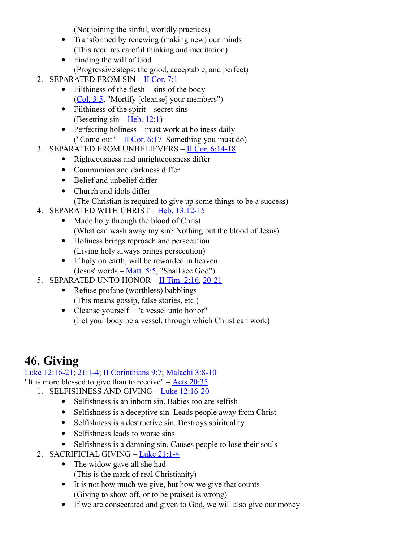(Not joining the sinful, worldly practices)

- Transformed by renewing (making new) our minds (This requires careful thinking and meditation)
- Finding the will of God
	- (Progressive steps: the good, acceptable, and perfect)
- 2. SEPARATED FROM SIN – [II Cor. 7:1](http://www.crossbooks.com/verse.asp?ref=2Co+7%3A1)
	- Filthiness of the flesh sins of the body [\(Col. 3:5,](http://www.crossbooks.com/verse.asp?ref=Col+3%3A5) "Mortify [cleanse] your members")
	- $\bullet$  Filthiness of the spirit secret sins (Besetting  $sin - Heb. 12:1$ )
	- Perfecting holiness must work at holiness daily ("Come out" – [II Cor. 6:17.](http://www.crossbooks.com/verse.asp?ref=2Co+6%3A17) Something you must do)
- 3. SEPARATED FROM UNBELIEVERS - [II Cor. 6:14-18](http://www.crossbooks.com/verse.asp?ref=2Co+6%3A14-18)
	- Righteousness and unrighteousness differ
	- Communion and darkness differ
	- Belief and unbelief differ
	- Church and idols differ
	- (The Christian is required to give up some things to be a success)
- 4. SEPARATED WITH CHRIST – [Heb. 13:12-15](http://www.crossbooks.com/verse.asp?ref=Heb+13%3A12-15)
	- Made holy through the blood of Christ (What can wash away my sin? Nothing but the blood of Jesus)
	- Holiness brings reproach and persecution (Living holy always brings persecution)
	- If holy on earth, will be rewarded in heaven (Jesus' words – [Matt. 5:5,](http://www.crossbooks.com/verse.asp?ref=Mt+5%3A5) "Shall see God")
- 5. SEPARATED UNTO HONOR II Tim.  $2:16$ ,  $20-21$ 
	- Refuse profane (worthless) babblings (This means gossip, false stories, etc.)
	- Cleanse yourself "a vessel unto honor" (Let your body be a vessel, through which Christ can work)

# **46. Giving**

[Luke 12:16-21;](http://www.crossbooks.com/verse.asp?ref=Lk+12%3A16-21) [21:1-4;](http://www.crossbooks.com/verse.asp?ref=Lk+21%3A1-4) [II Corinthians 9:7;](http://www.crossbooks.com/verse.asp?ref=2Co+9%3A7) [Malachi 3:8-10](http://www.crossbooks.com/verse.asp?ref=Mal+3%3A8-10)

- "It is more blessed to give than to receive"  $-\text{Acts } 20:35$ 
	- 1. SELFISHNESS AND GIVING – [Luke 12:16-20](http://www.crossbooks.com/verse.asp?ref=Lk+12%3A16-20)
		- Selfishness is an inborn sin. Babies too are selfish
		- Selfishness is a deceptive sin. Leads people away from Christ
		- Selfishness is a destructive sin. Destroys spirituality
		- Selfishness leads to worse sins
		- Selfishness is a damning sin. Causes people to lose their souls
		- 2. SACRIFICIAL GIVING – [Luke 21:1-4](http://www.crossbooks.com/verse.asp?ref=Lk+21%3A1-4)
			- The widow gave all she had
				- (This is the mark of real Christianity)
			- It is not how much we give, but how we give that counts (Giving to show off, or to be praised is wrong)
			- If we are consecrated and given to God, we will also give our money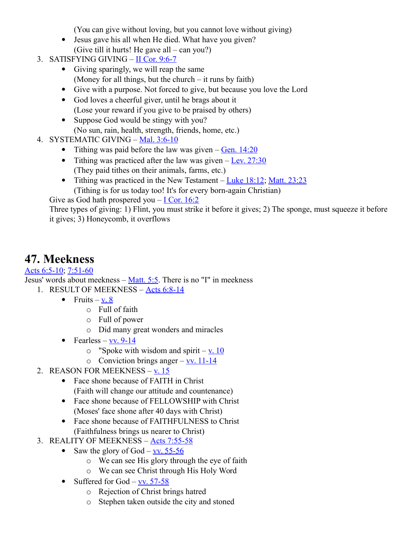(You can give without loving, but you cannot love without giving)

- Jesus gave his all when He died. What have you given? (Give till it hurts! He gave all – can you?)
- 3. SATISFYING GIVING  $\text{II}$  Cor. 9:6-7
	- Giving sparingly, we will reap the same (Money for all things, but the church – it runs by faith)
	- Give with a purpose. Not forced to give, but because you love the Lord
	- God loves a cheerful giver, until he brags about it (Lose your reward if you give to be praised by others)
	- Suppose God would be stingy with you? (No sun, rain, health, strength, friends, home, etc.)
- 4. SYSTEMATIC GIVING – [Mal. 3:6-10](http://www.crossbooks.com/verse.asp?ref=Mal+3%3A6-10)
	- Tithing was paid before the law was given  $-\underline{Gen. 14:20}$
	- Tithing was practiced after the law was given  $-$  [Lev. 27:30](http://www.crossbooks.com/verse.asp?ref=Lev+27%3A30) (They paid tithes on their animals, farms, etc.)
	- Tithing was practiced in the New Testament – [Luke 18:12;](http://www.crossbooks.com/verse.asp?ref=Lk+18%3A12) [Matt. 23:23](http://www.crossbooks.com/verse.asp?ref=Mt+23%3A23) (Tithing is for us today too! It's for every born-again Christian)

Give as God hath prospered you  $-$  [I Cor. 16:2](http://www.crossbooks.com/verse.asp?ref=1Co+16%3A2)

Three types of giving: 1) Flint, you must strike it before it gives; 2) The sponge, must squeeze it before it gives; 3) Honeycomb, it overflows

### **47. Meekness**

[Acts 6:5-10;](http://www.crossbooks.com/verse.asp?ref=Ac+6%3A5-10) [7:51-60](http://www.crossbooks.com/verse.asp?ref=Ac+7%3A51-60)

Jesus' words about meekness – [Matt. 5:5.](http://www.crossbooks.com/verse.asp?ref=Mt+5%3A5) There is no "I" in meekness 1. RESULT OF MEEKNESS - [Acts 6:8-14](http://www.crossbooks.com/verse.asp?ref=Ac+6%3A8-14)

- Fruits  $v. 8$ 
	- o Full of faith
	- o Full of power
	- o Did many great wonders and miracles
- Fearless vv.  $9-14$ 
	- $\circ$  "Spoke with wisdom and spirit <u>v. 10</u>
	- $\circ$  Conviction brings anger <u>vv. 11-14</u>
- 2. REASON FOR MEEKNESS – [v. 15](http://www.crossbooks.com/verse.asp?ref=Ac+6%3A15)
	- Face shone because of FAITH in Christ (Faith will change our attitude and countenance)
	- Face shone because of FELLOWSHIP with Christ (Moses' face shone after 40 days with Christ)
	- Face shone because of FAITHFULNESS to Christ (Faithfulness brings us nearer to Christ)
- 3. REALITY OF MEEKNESS - [Acts 7:55-58](http://www.crossbooks.com/verse.asp?ref=Ac+7%3A55-58)
	- Saw the glory of God  $v$ , 55-56</u>
		- o We can see His glory through the eye of faith
		- o We can see Christ through His Holy Word
	- Suffered for God  $\underline{v}v. 57-58$ 
		- o Rejection of Christ brings hatred
		- o Stephen taken outside the city and stoned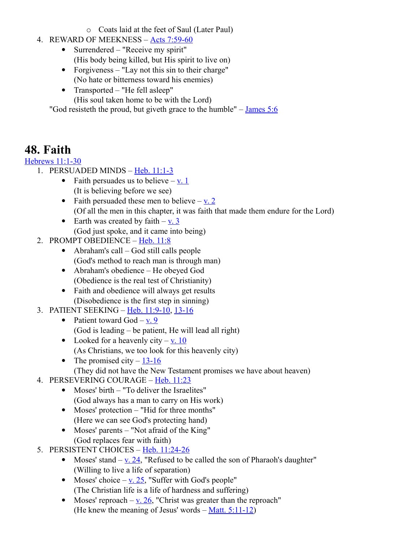- o Coats laid at the feet of Saul (Later Paul)
- 4. REWARD OF MEEKNESS – [Acts 7:59-60](http://www.crossbooks.com/verse.asp?ref=Ac+7%3A59-60)
	- Surrendered "Receive my spirit" (His body being killed, but His spirit to live on)
	- Forgiveness "Lay not this sin to their charge" (No hate or bitterness toward his enemies)
	- Transported "He fell asleep"
		- (His soul taken home to be with the Lord)

"God resisteth the proud, but giveth grace to the humble"  $-$  [James 5:6](http://www.crossbooks.com/verse.asp?ref=Jas+5%3A6)

# **48. Faith**

### [Hebrews 11:1-30](http://www.crossbooks.com/verse.asp?ref=Heb+11%3A1-30)

- 1. PERSUADED MINDS – [Heb. 11:1-3](http://www.crossbooks.com/verse.asp?ref=Heb+11%3A1-3)
	- Faith persuades us to believe  $-\mathbf{v}$ . 1 (It is believing before we see)
	- Faith persuaded these men to believe  $v$ . 2 (Of all the men in this chapter, it was faith that made them endure for the Lord)
	- Earth was created by faith  $-\underline{v}$ . 3 (God just spoke, and it came into being)
- 2. PROMPT OBEDIENCE – [Heb. 11:8](http://www.crossbooks.com/verse.asp?ref=Heb+11%3A8)
	- Abraham's call God still calls people (God's method to reach man is through man)
	- Abraham's obedience He obeyed God (Obedience is the real test of Christianity)
	- Faith and obedience will always get results (Disobedience is the first step in sinning)
- 3. PATIENT SEEKING – [Heb. 11:9-10,](http://www.crossbooks.com/verse.asp?ref=Heb+11%3A9-10) [13-16](http://www.crossbooks.com/verse.asp?ref=Heb+11%3A13-16)
	- Patient toward  $God v. 9$  $God v. 9$ (God is leading – be patient, He will lead all right)
	- Looked for a heavenly city  $-$  [v. 10](http://www.crossbooks.com/verse.asp?ref=Heb+11%3A10) (As Christians, we too look for this heavenly city)
	- The promised city  $-13-16$
	- (They did not have the New Testament promises we have about heaven)
- 4. PERSEVERING COURAGE – [Heb. 11:23](http://www.crossbooks.com/verse.asp?ref=Heb+11%3A23)
	- Moses' birth "To deliver the Israelites" (God always has a man to carry on His work)
	- Moses' protection "Hid for three months" (Here we can see God's protecting hand)
	- Moses' parents "Not afraid of the King" (God replaces fear with faith)
- 5. PERSISTENT CHOICES – [Heb. 11:24-26](http://www.crossbooks.com/verse.asp?ref=Heb+11%3A24-26)
	- Moses' stand  $-\underline{v}$ . 24, "Refused to be called the son of Pharaoh's daughter" (Willing to live a life of separation)
	- Moses' choice  $-\underline{v}$ . 25, "Suffer with God's people" (The Christian life is a life of hardness and suffering)
	- Moses' reproach – [v. 26,](http://www.crossbooks.com/verse.asp?ref=Heb+11%3A26) "Christ was greater than the reproach" (He knew the meaning of Jesus' words  $-$  [Matt. 5:11-12\)](http://www.crossbooks.com/verse.asp?ref=Mt+5%3A11-12)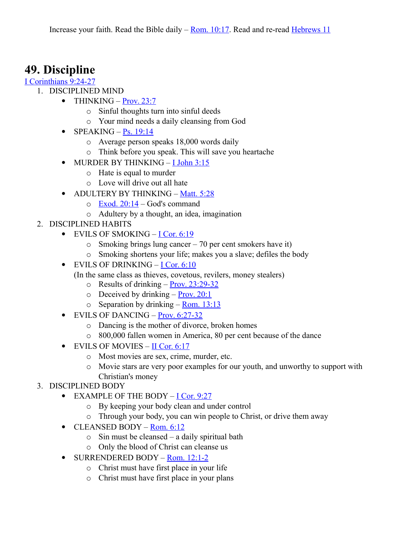### **49. Discipline**

#### [I Corinthians 9:24-27](http://www.crossbooks.com/verse.asp?ref=1Co+9%3A24-27)

- 1. DISCIPLINED MIND
	- THINKING  $Prov. 23:7$ 
		- o Sinful thoughts turn into sinful deeds
		- o Your mind needs a daily cleansing from God
	- SPEAKING  $Ps. 19:14$ 
		- o Average person speaks 18,000 words daily
		- o Think before you speak. This will save you heartache
	- MURDER BY THINKING - [I John 3:15](http://www.crossbooks.com/verse.asp?ref=1Jn+3%3A15)
		- o Hate is equal to murder
		- o Love will drive out all hate
	- ADULTERY BY THINKING – [Matt. 5:28](http://www.crossbooks.com/verse.asp?ref=Mt+5%3A28)
		- $\circ$  [Exod. 20:14](http://www.crossbooks.com/verse.asp?ref=Ex+20%3A14)  God's command
		- o Adultery by a thought, an idea, imagination
- 2. DISCIPLINED HABITS
	- $\bullet$  EVILS OF SMOKING – [I Cor. 6:19](http://www.crossbooks.com/verse.asp?ref=1Co+6%3A19)
		- o Smoking brings lung cancer 70 per cent smokers have it)
		- o Smoking shortens your life; makes you a slave; defiles the body
	- $\bullet$  EVILS OF DRINKING – [I Cor. 6:10](http://www.crossbooks.com/verse.asp?ref=1Co+6%3A10)
		- (In the same class as thieves, covetous, revilers, money stealers)
			- $\circ$  Results of drinking – [Prov. 23:29-32](http://www.crossbooks.com/verse.asp?ref=Pr+23%3A29-32)
			- $\circ$  Deceived by drinking – [Prov. 20:1](http://www.crossbooks.com/verse.asp?ref=Pr+20%3A1)
			- $\circ$  Separation by drinking – [Rom. 13:13](http://www.crossbooks.com/verse.asp?ref=Ro+13%3A13)
	- $\bullet$  EVILS OF DANCING – [Prov. 6:27-32](http://www.crossbooks.com/verse.asp?ref=Pr+6%3A27-32)
		- o Dancing is the mother of divorce, broken homes
		- o 800,000 fallen women in America, 80 per cent because of the dance
	- EVILS OF MOVIES – [II Cor. 6:17](http://www.crossbooks.com/verse.asp?ref=2Co+6%3A17)
		- o Most movies are sex, crime, murder, etc.
		- o Movie stars are very poor examples for our youth, and unworthy to support with Christian's money

### 3. DISCIPLINED BODY

- EXAMPLE OF THE BODY - [I Cor. 9:27](http://www.crossbooks.com/verse.asp?ref=1Co+9%3A27)
	- o By keeping your body clean and under control
	- o Through your body, you can win people to Christ, or drive them away
- $\bullet$  CLEANSED BODY – [Rom. 6:12](http://www.crossbooks.com/verse.asp?ref=Ro+6%3A12)
	- $\circ$  Sin must be cleansed a daily spiritual bath
	- o Only the blood of Christ can cleanse us
- SURRENDERED BODY – [Rom. 12:1-2](http://www.crossbooks.com/verse.asp?ref=Ro+12%3A1-2)
	- o Christ must have first place in your life
	- o Christ must have first place in your plans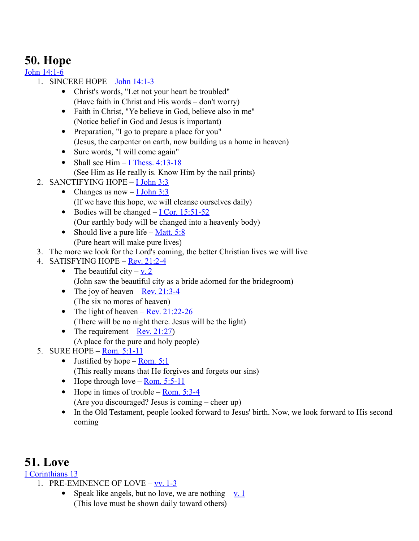# **50. Hope**

[John 14:1-6](http://www.crossbooks.com/verse.asp?ref=Jn+14%3A1-6)

- 1. SINCERE HOPE – [John 14:1-3](http://www.crossbooks.com/verse.asp?ref=Jn+14%3A1-3)
	- Christ's words, "Let not your heart be troubled" (Have faith in Christ and His words – don't worry)
	- Faith in Christ, "Ye believe in God, believe also in me" (Notice belief in God and Jesus is important)
	- Preparation, "I go to prepare a place for you" (Jesus, the carpenter on earth, now building us a home in heaven)
	- Sure words, "I will come again"
	- Shall see Him  $-$  [I Thess. 4:13-18](http://www.crossbooks.com/verse.asp?ref=1Th+4%3A13-18) (See Him as He really is. Know Him by the nail prints)
- 2. SANCTIFYING HOPE  $-\underline{I}$  John 3:3
	- Changes us now  $-$  [I John 3:3](http://www.crossbooks.com/verse.asp?ref=1Jn+3%3A3) (If we have this hope, we will cleanse ourselves daily)
	- $\bullet$  Bodies will be changed – [I Cor. 15:51-52](http://www.crossbooks.com/verse.asp?ref=1Co+15%3A51-52) (Our earthly body will be changed into a heavenly body)
	- Should live a pure life Matt.  $5:8$ (Pure heart will make pure lives)
- 3. The more we look for the Lord's coming, the better Christian lives we will live
- 4. SATISFYING HOPE – [Rev. 21:2-4](http://www.crossbooks.com/verse.asp?ref=Rev+21%3A2-4)
	- The beautiful city  $v_2$ . (John saw the beautiful city as a bride adorned for the bridegroom)
	- The joy of heaven – [Rev. 21:3-4](http://www.crossbooks.com/verse.asp?ref=Rev+21%3A3-4) (The six no mores of heaven)
	- The light of heaven  $Rev. 21:22-26$ (There will be no night there. Jesus will be the light)
	- The requirement  $Rev. 21:27$ (A place for the pure and holy people)
- 5. SURE HOPE – [Rom. 5:1-11](http://www.crossbooks.com/verse.asp?ref=Ro+5%3A1-11)
	- Justified by hope <u>Rom. 5:1</u> (This really means that He forgives and forgets our sins)
	- $\bullet$  Hope through love – [Rom. 5:5-11](http://www.crossbooks.com/verse.asp?ref=Ro+5%3A5-11)
	- $\bullet$  Hope in times of trouble – [Rom. 5:3-4](http://www.crossbooks.com/verse.asp?ref=Ro+5%3A3-4) (Are you discouraged? Jesus is coming – cheer up)
	- In the Old Testament, people looked forward to Jesus' birth. Now, we look forward to His second coming

### **51. Love**

### [I Corinthians 13](http://www.crossbooks.com/verse.asp?ref=1Co+13)

- 1. PRE-EMINENCE OF LOVE  $vv. 1-3$ 
	- Speak like angels, but no love, we are nothing  $-\underline{v}$ . (This love must be shown daily toward others)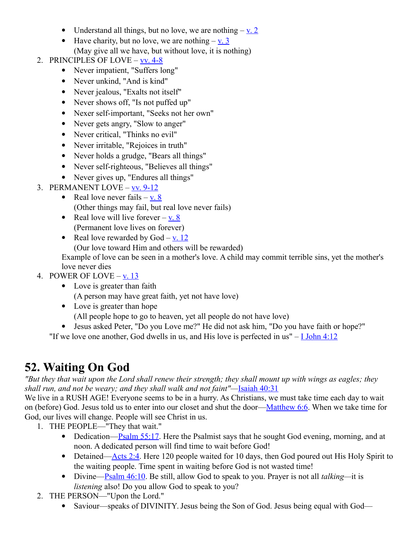- Understand all things, but no love, we are nothing  $-\underline{v}$ . 2
- $\bullet$  Have charity, but no love, we are nothing  $-v. 3$ (May give all we have, but without love, it is nothing)
- 2. PRINCIPLES OF LOVE – [vv. 4-8](http://www.crossbooks.com/verse.asp?ref=1Co+13%3A4-8)
	- Never impatient, "Suffers long"
	- Never unkind, "And is kind"
	- Never jealous, "Exalts not itself"
	- Never shows off, "Is not puffed up"
	- Nexer self-important, "Seeks not her own"
	- Never gets angry, "Slow to anger"
	- Never critical, "Thinks no evil"
	- Never irritable, "Rejoices in truth"
	- Never holds a grudge, "Bears all things"
	- Never self-righteous, "Believes all things"
	- Never gives up, "Endures all things"
- 3. PERMANENT LOVE – [vv. 9-12](http://www.crossbooks.com/verse.asp?ref=1Co+13%3A9-12)
	- Real love never fails  $-\underline{v}$ . 8 (Other things may fail, but real love never fails)
	- Real love will live forever  $-v. 8$ (Permanent love lives on forever)
	- Real love rewarded by  $God v. 12$  $God v. 12$ 
		- (Our love toward Him and others will be rewarded)

Example of love can be seen in a mother's love. A child may commit terrible sins, yet the mother's love never dies

### 4. POWER OF LOVE –  $v. 13$

- Love is greater than faith
	- (A person may have great faith, yet not have love)
- Love is greater than hope
	- (All people hope to go to heaven, yet all people do not have love)
- Jesus asked Peter, "Do you Love me?" He did not ask him, "Do you have faith or hope?"

"If we love one another, God dwells in us, and His love is perfected in us"  $-$  [I John 4:12](http://www.crossbooks.com/verse.asp?ref=1Jn+4%3A12)

# **52. Waiting On God**

*"But they that wait upon the Lord shall renew their strength; they shall mount up with wings as eagles; they shall run, and not be weary; and they shall walk and not faint"—*[Isaiah 40:31](http://www.crossbooks.com/verse.asp?ref=Isa+40%3A31)

We live in a RUSH AGE! Everyone seems to be in a hurry. As Christians, we must take time each day to wait on (before) God. Jesus told us to enter into our closet and shut the door[—Matthew 6:6.](http://www.crossbooks.com/verse.asp?ref=Mt+6%3A6) When we take time for God, our lives will change. People will see Christ in us.

- 1. THE PEOPLE—"They that wait."
	- Dedication[—Psalm 55:17.](http://www.crossbooks.com/verse.asp?ref=Ps+55%3A17) Here the Psalmist says that he sought God evening, morning, and at noon. A dedicated person will find time to wait before God!
	- Detained[—Acts 2:4.](http://www.crossbooks.com/verse.asp?ref=Ac+2%3A4) Here 120 people waited for 10 days, then God poured out His Holy Spirit to the waiting people. Time spent in waiting before God is not wasted time!
	- Divine[—Psalm 46:10.](http://www.crossbooks.com/verse.asp?ref=Ps+46%3A10) Be still, allow God to speak to you. Prayer is not all *talking—*it is *listening* also! Do you allow God to speak to you?
- 2. THE PERSON—"Upon the Lord."
	- Saviour—speaks of DIVINITY. Jesus being the Son of God. Jesus being equal with God—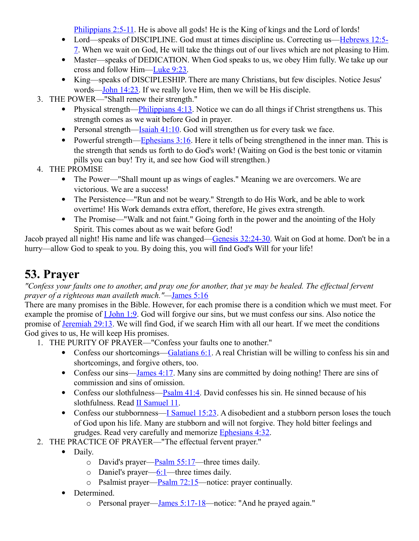[Philippians 2:5-11.](http://www.crossbooks.com/verse.asp?ref=Php+2%3A5-11) He is above all gods! He is the King of kings and the Lord of lords!

- Lord—speaks of DISCIPLINE. God must at times discipline us. Correcting us[—Hebrews 12:5-](http://www.crossbooks.com/verse.asp?ref=Heb+12%3A5-7) [7.](http://www.crossbooks.com/verse.asp?ref=Heb+12%3A5-7) When we wait on God, He will take the things out of our lives which are not pleasing to Him.
- Master—speaks of DEDICATION. When God speaks to us, we obey Him fully. We take up our cross and follow Him[—Luke 9:23.](http://www.crossbooks.com/verse.asp?ref=Lk+9%3A23)
- King—speaks of DISCIPLESHIP. There are many Christians, but few disciples. Notice Jesus' words[—John 14:23.](http://www.crossbooks.com/verse.asp?ref=Jn+14%3A23) If we really love Him, then we will be His disciple.
- 3. THE POWER—"Shall renew their strength."
	- Physical strength—Philippians  $4:13$ . Notice we can do all things if Christ strengthens us. This strength comes as we wait before God in prayer.
	- Personal strength[—Isaiah 41:10.](http://www.crossbooks.com/verse.asp?ref=Isa+41%3A10) God will strengthen us for every task we face.
	- Powerful strength—Ephesians  $3:16$ . Here it tells of being strengthened in the inner man. This is the strength that sends us forth to do God's work! (Waiting on God is the best tonic or vitamin pills you can buy! Try it, and see how God will strengthen.)
- 4. THE PROMISE
	- The Power—"Shall mount up as wings of eagles." Meaning we are overcomers. We are victorious. We are a success!
	- The Persistence—"Run and not be weary." Strength to do His Work, and be able to work overtime! His Work demands extra effort, therefore, He gives extra strength.
	- The Promise—"Walk and not faint." Going forth in the power and the anointing of the Holy Spirit. This comes about as we wait before God!

Jacob prayed all night! His name and life was changed[—Genesis 32:24-30.](http://www.crossbooks.com/verse.asp?ref=Ge+32%3A24-30) Wait on God at home. Don't be in a hurry—allow God to speak to you. By doing this, you will find God's Will for your life!

# **53. Prayer**

#### *"Confess your faults one to another, and pray one for another, that ye may be healed. The effectual fervent prayer of a righteous man availeth much."—*[James 5:16](http://www.crossbooks.com/verse.asp?ref=Jas+5%3A16)

There are many promises in the Bible. However, for each promise there is a condition which we must meet. For example the promise of [I John 1:9.](http://www.crossbooks.com/verse.asp?ref=1Jn+1%3A9) God will forgive our sins, but we must confess our sins. Also notice the promise of [Jeremiah 29:13.](http://www.crossbooks.com/verse.asp?ref=Jer+29%3A13) We will find God, if we search Him with all our heart. If we meet the conditions God gives to us, He will keep His promises.

- 1. THE PURITY OF PRAYER—"Confess your faults one to another."
	- Confess our shortcomings—Galatians  $6:1$ . A real Christian will be willing to confess his sin and shortcomings, and forgive others, too.
	- Confess our sins[—James 4:17.](http://www.crossbooks.com/verse.asp?ref=Jas+4%3A17) Many sins are committed by doing nothing! There are sins of commission and sins of omission.
	- Confess our slothfulness[—Psalm 41:4.](http://www.crossbooks.com/verse.asp?ref=Ps+41%3A4) David confesses his sin. He sinned because of his slothfulness. Read [II Samuel 11.](http://www.crossbooks.com/verse.asp?ref=2Sa+11)
	- Confess our stubbornness[—I Samuel 15:23.](http://www.crossbooks.com/verse.asp?ref=1Sa+15%3A23) A disobedient and a stubborn person loses the touch of God upon his life. Many are stubborn and will not forgive. They hold bitter feelings and grudges. Read very carefully and memorize [Ephesians 4:32.](http://www.crossbooks.com/verse.asp?ref=Eph+4%3A32)
- 2. THE PRACTICE OF PRAYER—"The effectual fervent prayer."
	- Daily.
		- o David's prayer— $\frac{Psalm}{55:17}$ —three times daily.
		- $\circ$  Daniel's prayer[—6:1—](http://www.crossbooks.com/verse.asp?ref=Jer+6%3A1)three times daily.
		- $\circ$  Psalmist prayer[—Psalm 72:15—](http://www.crossbooks.com/verse.asp?ref=Ps+72%3A15)notice: prayer continually.
	- Determined.
		- o Personal prayer[—James 5:17-18—](http://www.crossbooks.com/verse.asp?ref=Jas+5%3A17-18)notice: "And he prayed again."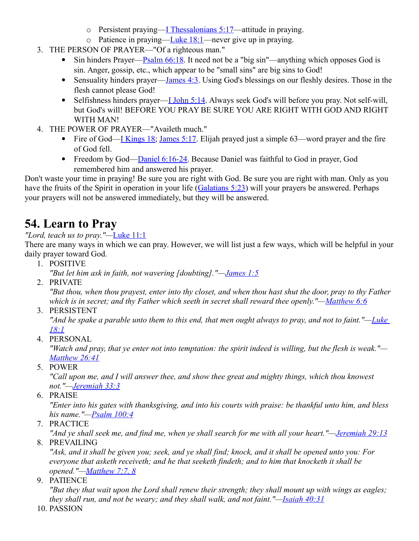- o Persistent praying—I Thessalonians  $5:17$ —attitude in praying.
- o Patience in praying—Luke  $18:1$ —never give up in praying.
- 3. THE PERSON OF PRAYER—"Of a righteous man."
	- Sin hinders Prayer—Psalm  $66:18$ . It need not be a "big sin"—anything which opposes God is sin. Anger, gossip, etc., which appear to be "small sins" are big sins to God!
	- Sensuality hinders prayer[—James 4:3.](http://www.crossbooks.com/verse.asp?ref=Jas+4%3A3) Using God's blessings on our fleshly desires. Those in the flesh cannot please God!
	- Selfishness hinders prayer—I John  $5:14$ . Always seek God's will before you pray. Not self-will, but God's will! BEFORE YOU PRAY BE SURE YOU ARE RIGHT WITH GOD AND RIGHT WITH MAN!
- 4. THE POWER OF PRAYER—"Availeth much."
	- Fire of God[—I Kings 18;](http://www.crossbooks.com/verse.asp?ref=1Ki+18) [James 5:17.](http://www.crossbooks.com/verse.asp?ref=Jas+5%3A17) Elijah prayed just a simple 63—word prayer and the fire of God fell.
	- Freedom by God[—Daniel 6:16-24.](http://www.crossbooks.com/verse.asp?ref=Da+6%3A16-24) Because Daniel was faithful to God in prayer, God remembered him and answered his prayer.

Don't waste your time in praying! Be sure you are right with God. Be sure you are right with man. Only as you have the fruits of the Spirit in operation in your life [\(Galatians 5:23\)](http://www.crossbooks.com/verse.asp?ref=Gal+5%3A23) will your prayers be answered. Perhaps your prayers will not be answered immediately, but they will be answered.

# **54. Learn to Pray**

### *"Lord, teach us to pray."—*[Luke 11:1](http://www.crossbooks.com/verse.asp?ref=Lk+11%3A1)

There are many ways in which we can pray. However, we will list just a few ways, which will be helpful in your daily prayer toward God.

- 1. POSITIVE
	- *"But let him ask in faith, not wavering [doubting]."[—James 1:5](http://www.crossbooks.com/verse.asp?ref=Jas+1%3A5)*
- 2. PRIVATE

*"But thou, when thou prayest, enter into thy closet, and when thou hast shut the door, pray to thy Father which is in secret; and thy Father which seeth in secret shall reward thee openly."[—Matthew 6:6](http://www.crossbooks.com/verse.asp?ref=Mt+6%3A6)*

3. PERSISTENT

*"And he spake a parable unto them to this end, that men ought always to pray, and not to faint."[—Luke](http://www.crossbooks.com/verse.asp?ref=Lk+18%3A1)  [18:1](http://www.crossbooks.com/verse.asp?ref=Lk+18%3A1)*

4. PERSONAL

*"Watch and pray, that ye enter not into temptation: the spirit indeed is willing, but the flesh is weak."— [Matthew 26:41](http://www.crossbooks.com/verse.asp?ref=Mt+26%3A41)*

5. POWER

*"Call upon me, and I will answer thee, and show thee great and mighty things, which thou knowest not."[—Jeremiah 33:3](http://www.crossbooks.com/verse.asp?ref=Jer+33%3A3)*

6. PRAISE

*"Enter into his gates with thanksgiving, and into his courts with praise: be thankful unto him, and bless his name."[—Psalm 100:4](http://www.crossbooks.com/verse.asp?ref=Ps+100%3A4)*

7. PRACTICE

*"And ye shall seek me, and find me, when ye shall search for me with all your heart."[—Jeremiah 29:13](http://www.crossbooks.com/verse.asp?ref=Jer+29%3A13)* 8. PREVAILING

*"Ask, and it shall be given you; seek, and ye shall find; knock, and it shall be opened unto you: For everyone that asketh receiveth; and he that seeketh findeth; and to him that knocketh it shall be opened."[—Matthew 7:7, 8](http://www.crossbooks.com/verse.asp?ref=Mt+7%3A7-8)*

9. PATIENCE

*"But they that wait upon the Lord shall renew their strength; they shall mount up with wings as eagles; they shall run, and not be weary; and they shall walk, and not faint."[—Isaiah 40:31](http://www.crossbooks.com/verse.asp?ref=Isa+40%3A31)*

10. PASSION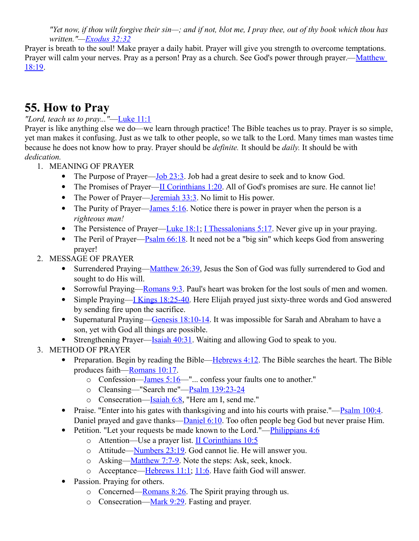*"Yet now, if thou wilt forgive their sin—; and if not, blot me, I pray thee, out of thy book which thou has written."[—Exodus 32:32](http://www.crossbooks.com/verse.asp?ref=Ex+32%3A32)*

Prayer is breath to the soul! Make prayer a daily habit. Prayer will give you strength to overcome temptations. Prayer will calm your nerves. Pray as a person! Pray as a church. See God's power through prayer.—Matthew [18:19.](http://www.crossbooks.com/verse.asp?ref=Mt+18%3A19)

### **55. How to Pray**

*"Lord, teach us to pray..."*[—Luke 11:1](http://www.crossbooks.com/verse.asp?ref=Lk+11%3A1)

Prayer is like anything else we do—we learn through practice! The Bible teaches us to pray. Prayer is so simple, yet man makes it confusing. Just as we talk to other people, so we talk to the Lord. Many times man wastes time because he does not know how to pray. Prayer should be *definite.* It should be *daily.* It should be with *dedication.*

- 1. MEANING OF PRAYER
	- The Purpose of Prayer—Job  $23:3$ . Job had a great desire to seek and to know God.
	- The Promises of Prayer[—II Corinthians 1:20.](http://www.crossbooks.com/verse.asp?ref=2Co+1%3A20) All of God's promises are sure. He cannot lie!
	- The Power of Prayer[—Jeremiah 33:3.](http://www.crossbooks.com/verse.asp?ref=Jer+33%3A3) No limit to His power.
	- The Purity of Prayer[—James 5:16.](http://www.crossbooks.com/verse.asp?ref=Jas+5%3A16) Notice there is power in prayer when the person is a *righteous man!*
	- The Persistence of Prayer[—Luke 18:1;](http://www.crossbooks.com/verse.asp?ref=Lk+18%3A1) [I Thessalonians 5:17.](http://www.crossbooks.com/verse.asp?ref=1Th+5%3A17) Never give up in your praying.
	- The Peril of Prayer—Psalm  $66:18$ . It need not be a "big sin" which keeps God from answering prayer!
- 2. MESSAGE OF PRAYER
	- Surrendered Praying[—Matthew 26:39,](http://www.crossbooks.com/verse.asp?ref=Mt+26%3A39) Jesus the Son of God was fully surrendered to God and sought to do His will.
	- Sorrowful Praying[—Romans 9:3.](http://www.crossbooks.com/verse.asp?ref=Ro+9%3A3) Paul's heart was broken for the lost souls of men and women.
	- Simple Praying[—I Kings 18:25-40.](http://www.crossbooks.com/verse.asp?ref=1Ki+18%3A25-40) Here Elijah prayed just sixty-three words and God answered by sending fire upon the sacrifice.
	- Supernatural Praying[—Genesis 18:10-14.](http://www.crossbooks.com/verse.asp?ref=Ge+18%3A10-14) It was impossible for Sarah and Abraham to have a son, yet with God all things are possible.
	- Strengthening Prayer—Isaiah  $40:31$ . Waiting and allowing God to speak to you.
- 3. METHOD OF PRAYER
	- Preparation. Begin by reading the Bible—Hebrews  $4:12$ . The Bible searches the heart. The Bible produces faith[—Romans 10:17.](http://www.crossbooks.com/verse.asp?ref=Ro+10%3A17)
		- o Confession[—James 5:16—](http://www.crossbooks.com/verse.asp?ref=Jas+5%3A16)"... confess your faults one to another."
		- o Cleansing—"Search me"[—Psalm 139:23-24](http://www.crossbooks.com/verse.asp?ref=Ps+139%3A23-24)
		- o Consecration[—Isaiah 6:8,](http://www.crossbooks.com/verse.asp?ref=Isa+6%3A8) "Here am I, send me."
	- Praise. "Enter into his gates with thanksgiving and into his courts with praise."— $\frac{P}{\text{Salm}}$  100:4. Daniel prayed and gave thanks[—Daniel 6:10.](http://www.crossbooks.com/verse.asp?ref=Da+6%3A10) Too often people beg God but never praise Him.
	- Petition. "Let your requests be made known to the Lord."—Philippians  $4:6$ 
		- o Attention—Use a prayer list. [II Corinthians 10:5](http://www.crossbooks.com/verse.asp?ref=2Co+10%3A5)
		- o Attitude[—Numbers 23:19.](http://www.crossbooks.com/verse.asp?ref=Nu+23%3A19) God cannot lie. He will answer you.
		- o Asking[—Matthew 7:7-9.](http://www.crossbooks.com/verse.asp?ref=Mt+7%3A7-9) Note the steps: Ask, seek, knock.
		- o Acceptance[—Hebrews 11:1;](http://www.crossbooks.com/verse.asp?ref=Heb+11%3A1) [11:6.](http://www.crossbooks.com/verse.asp?ref=Heb+11%3A6) Have faith God will answer.
	- Passion. Praying for others.
		- o Concerned[—Romans 8:26.](http://www.crossbooks.com/verse.asp?ref=Ro+8%3A26) The Spirit praying through us.
		- o Consecration[—Mark 9:29.](http://www.crossbooks.com/verse.asp?ref=Mk+9%3A29) Fasting and prayer.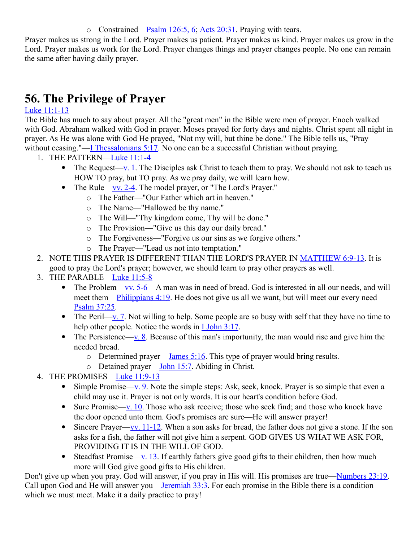o Constrained—Psalm  $126:5, 6$ , Acts  $20:31$ . Praying with tears.

Prayer makes us strong in the Lord. Prayer makes us patient. Prayer makes us kind. Prayer makes us grow in the Lord. Prayer makes us work for the Lord. Prayer changes things and prayer changes people. No one can remain the same after having daily prayer.

# **56. The Privilege of Prayer**

### [Luke 11:1-13](http://www.crossbooks.com/verse.asp?ref=Lk+11%3A1-13)

The Bible has much to say about prayer. All the "great men" in the Bible were men of prayer. Enoch walked with God. Abraham walked with God in prayer. Moses prayed for forty days and nights. Christ spent all night in prayer. As He was alone with God He prayed, "Not my will, but thine be done." The Bible tells us, "Pray without ceasing."[—I Thessalonians 5:17.](http://www.crossbooks.com/verse.asp?ref=1Th+5%3A17) No one can be a successful Christian without praying.

- 1. THE PATTERN[—Luke 11:1-4](http://www.crossbooks.com/verse.asp?ref=Lk+11%3A1-4)
	- The Request[—v. 1.](http://www.crossbooks.com/verse.asp?ref=Lk+11%3A1) The Disciples ask Christ to teach them to pray. We should not ask to teach us HOW TO pray, but TO pray. As we pray daily, we will learn how.
	- The Rule—vv.  $2-4$ . The model prayer, or "The Lord's Prayer."
		- o The Father—"Our Father which art in heaven."
		- o The Name—"Hallowed be thy name."
		- o The Will—"Thy kingdom come, Thy will be done."
		- o The Provision—"Give us this day our daily bread."
		- o The Forgiveness—"Forgive us our sins as we forgive others."
		- o The Prayer—"Lead us not into temptation."
- 2. NOTE THIS PRAYER IS DIFFERENT THAN THE LORD'S PRAYER IN [MATTHEW 6:9-13.](http://www.crossbooks.com/verse.asp?ref=Mt+6%3A9-13) It is good to pray the Lord's prayer; however, we should learn to pray other prayers as well.
- 3. THE PARABLE[—Luke 11:5-8](http://www.crossbooks.com/verse.asp?ref=Lk+11%3A5-8)
	- The Problem[—vv. 5-6—](http://www.crossbooks.com/verse.asp?ref=Lk+11%3A5-6)A man was in need of bread. God is interested in all our needs, and will meet them[—Philippians 4:19.](http://www.crossbooks.com/verse.asp?ref=Php+4%3A19) He does not give us all we want, but will meet our every need— [Psalm 37:25.](http://www.crossbooks.com/verse.asp?ref=Ps+37%3A25)
	- The Peril[—v. 7.](http://www.crossbooks.com/verse.asp?ref=Ps+37%3A7) Not willing to help. Some people are so busy with self that they have no time to help other people. Notice the words in **I John 3:17.**
	- The Persistence[—v. 8.](http://www.crossbooks.com/verse.asp?ref=1Jn+3%3A8) Because of this man's importunity, the man would rise and give him the needed bread.
		- o Determined prayer—James  $5:16$ . This type of prayer would bring results.
		- o Detained prayer[—John 15:7.](http://www.crossbooks.com/verse.asp?ref=Jn+15%3A7) Abiding in Christ.
- 4. THE PROMISES[—Luke 11:9-13](http://www.crossbooks.com/verse.asp?ref=Lk+11%3A9-13)
	- Simple Promise[—v. 9.](http://www.crossbooks.com/verse.asp?ref=Lk+11%3A9) Note the simple steps: Ask, seek, knock. Prayer is so simple that even a child may use it. Prayer is not only words. It is our heart's condition before God.
	- Sure Promise[—v. 10.](http://www.crossbooks.com/verse.asp?ref=Lk+11%3A10) Those who ask receive; those who seek find; and those who knock have the door opened unto them. God's promises are sure—He will answer prayer!
	- Sincere Prayer—vv.  $11-12$ . When a son asks for bread, the father does not give a stone. If the son asks for a fish, the father will not give him a serpent. GOD GIVES US WHAT WE ASK FOR, PROVIDING IT IS IN THE WILL OF GOD.
	- Steadfast Promise[—v. 13.](http://www.crossbooks.com/verse.asp?ref=Lk+11%3A13) If earthly fathers give good gifts to their children, then how much more will God give good gifts to His children.

Don't give up when you pray. God will answer, if you pray in His will. His promises are true[—Numbers 23:19.](http://www.crossbooks.com/verse.asp?ref=Nu+23%3A19) Call upon God and He will answer you[—Jeremiah 33:3.](http://www.crossbooks.com/verse.asp?ref=Jer+33%3A3) For each promise in the Bible there is a condition which we must meet. Make it a daily practice to pray!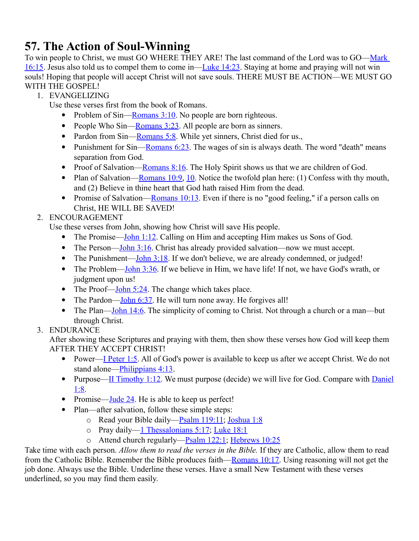# **57. The Action of Soul-Winning**

To win people to Christ, we must GO WHERE THEY ARE! The last command of the Lord was to GO[—Mark](http://www.crossbooks.com/verse.asp?ref=Mk+16%3A15)  [16:15.](http://www.crossbooks.com/verse.asp?ref=Mk+16%3A15) Jesus also told us to compel them to come in[—Luke 14:23.](http://www.crossbooks.com/verse.asp?ref=Lk+14%3A23) Staying at home and praying will not win souls! Hoping that people will accept Christ will not save souls. THERE MUST BE ACTION—WE MUST GO WITH THE GOSPEL!

1. EVANGELIZING

Use these verses first from the book of Romans.

- Problem of Sin—Romans  $3:10$ . No people are born righteous.
- People Who Sin—Romans  $3:23$ . All people are born as sinners.
- Pardon from  $Sin$ [—Romans 5:8.](http://www.crossbooks.com/verse.asp?ref=Ro+5%3A8) While yet sinners, Christ died for us.,
- Punishment for Sin—Romans  $6:23$ . The wages of sin is always death. The word "death" means separation from God.
- Proof of Salvation[—Romans 8:16.](http://www.crossbooks.com/verse.asp?ref=Ro+8%3A16) The Holy Spirit shows us that we are children of God.
- Plan of Salvation—Romans  $10:9$ , [10.](http://www.crossbooks.com/verse.asp?ref=Ro+10%3A10) Notice the twofold plan here: (1) Confess with thy mouth, and (2) Believe in thine heart that God hath raised Him from the dead.
- Promise of Salvation—Romans  $10:13$ . Even if there is no "good feeling," if a person calls on Christ, HE WILL BE SAVED!
- 2. ENCOURAGEMENT

Use these verses from John, showing how Christ will save His people.

- The Promise[—John 1:12.](http://www.crossbooks.com/verse.asp?ref=Jn+1%3A12) Calling on Him and accepting Him makes us Sons of God.
- The Person—John  $3:16$ . Christ has already provided salvation—now we must accept.
- The Punishment—John  $3:18$ . If we don't believe, we are already condemned, or judged!
- The Problem—John  $3:36$ . If we believe in Him, we have life! If not, we have God's wrath, or judgment upon us!
- The Proof—John  $5:24$ . The change which takes place.
- The Pardon—John  $6:37$ . He will turn none away. He forgives all!
- The Plan[—John 14:6.](http://www.crossbooks.com/verse.asp?ref=Jn+14%3A6) The simplicity of coming to Christ. Not through a church or a man—but through Christ.
- 3. ENDURANCE

After showing these Scriptures and praying with them, then show these verses how God will keep them AFTER THEY ACCEPT CHRIST!

- Power[—I Peter 1:5.](http://www.crossbooks.com/verse.asp?ref=1Pe+1%3A5) All of God's power is available to keep us after we accept Christ. We do not stand alone—*Philippians* 4:13.
- Purpose[—II Timothy 1:12.](http://www.crossbooks.com/verse.asp?ref=2Ti+1%3A12) We must purpose (decide) we will live for God. Compare with [Daniel](http://www.crossbooks.com/verse.asp?ref=Da+1%3A8) [1:8.](http://www.crossbooks.com/verse.asp?ref=Da+1%3A8)
- Promise[—Jude 24.](http://www.crossbooks.com/verse.asp?ref=Jude+1%3A24) He is able to keep us perfect!
- Plan—after salvation, follow these simple steps:
	- o Read your Bible daily[—Psalm 119:11;](http://www.crossbooks.com/verse.asp?ref=Ps+119%3A11) [Joshua 1:8](http://www.crossbooks.com/verse.asp?ref=Jos+1%3A8)
	- o Pray daily[—1 Thessalonians 5:17;](http://www.crossbooks.com/verse.asp?ref=1Th+5%3A17) [Luke 18:1](http://www.crossbooks.com/verse.asp?ref=Lk+18%3A1)
	- o Attend church regularly[—Psalm 122:1;](http://www.crossbooks.com/verse.asp?ref=Ps+122%3A1) [Hebrews 10:25](http://www.crossbooks.com/verse.asp?ref=Heb+10%3A25)

Take time with each person. *Allow them to read the verses in the Bible.* If they are Catholic, allow them to read from the Catholic Bible. Remember the Bible produces faith[—Romans 10:17.](http://www.crossbooks.com/verse.asp?ref=Ro+10%3A17) Using reasoning will not get the job done. Always use the Bible. Underline these verses. Have a small New Testament with these verses underlined, so you may find them easily.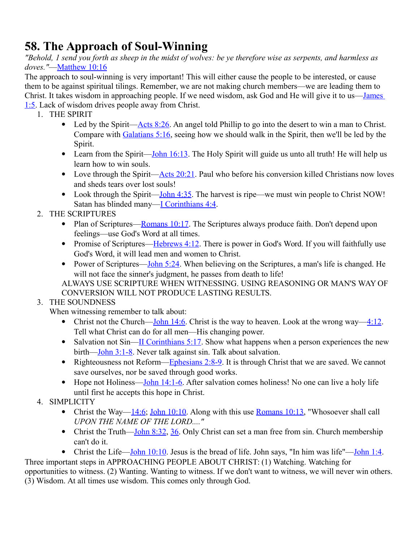# **58. The Approach of Soul-Winning**

*"Behold, 1 send you forth as sheep in the midst of wolves: be ye therefore wise as serpents, and harmless as doves."*[—Matthew 10:16](http://www.crossbooks.com/verse.asp?ref=Mt+10%3A16)

The approach to soul-winning is very important! This will either cause the people to be interested, or cause them to be against spiritual tilings. Remember, we are not making church members—we are leading them to Christ. It takes wisdom in approaching people. If we need wisdom, ask God and He will give it to us[—James](http://www.crossbooks.com/verse.asp?ref=Jas+1%3A5)  [1:5.](http://www.crossbooks.com/verse.asp?ref=Jas+1%3A5) Lack of wisdom drives people away from Christ.

- 1. THE SPIRIT
	- Led by the Spirit[—Acts 8:26.](http://www.crossbooks.com/verse.asp?ref=Ac+8%3A26) An angel told Phillip to go into the desert to win a man to Christ. Compare with [Galatians 5:16,](http://www.crossbooks.com/verse.asp?ref=Gal+5%3A16) seeing how we should walk in the Spirit, then we'll be led by the Spirit.
	- Learn from the Spirit—John  $16:13$ . The Holy Spirit will guide us unto all truth! He will help us learn how to win souls.
	- Love through the Spirit[—Acts 20:21.](http://www.crossbooks.com/verse.asp?ref=Ac+20%3A21) Paul who before his conversion killed Christians now loves and sheds tears over lost souls!
	- Look through the Spirit—John  $4:35$ . The harvest is ripe—we must win people to Christ NOW! Satan has blinded many[—I Corinthians 4:4.](http://www.crossbooks.com/verse.asp?ref=1Co+4%3A4)
- 2. THE SCRIPTURES
	- Plan of Scriptures—Romans  $10:17$ . The Scriptures always produce faith. Don't depend upon feelings—use God's Word at all times.
	- Promise of Scriptures—Hebrews  $4:12$ . There is power in God's Word. If you will faithfully use God's Word, it will lead men and women to Christ.
	- Power of Scriptures—John  $5:24$ . When believing on the Scriptures, a man's life is changed. He will not face the sinner's judgment, he passes from death to life!

ALWAYS USE SCRIPTURE WHEN WITNESSING. USING REASONING OR MAN'S WAY OF CONVERSION WILL NOT PRODUCE LASTING RESULTS.

3. THE SOUNDNESS

When witnessing remember to talk about:

- Christ not the Church[—John 14:6.](http://www.crossbooks.com/verse.asp?ref=Jn+14%3A6) Christ is the way to heaven. Look at the wrong way— $4:12$ . Tell what Christ can do for all men—His changing power.
- Salvation not Sin[—II Corinthians 5:17.](http://www.crossbooks.com/verse.asp?ref=2Co+5%3A17) Show what happens when a person experiences the new birth[—John 3:1-8.](http://www.crossbooks.com/verse.asp?ref=Jn+3%3A1-8) Never talk against sin. Talk about salvation.
- Righteousness not Reform[—Ephesians 2:8-9.](http://www.crossbooks.com/verse.asp?ref=Eph+2%3A8-9) It is through Christ that we are saved. We cannot save ourselves, nor be saved through good works.
- Hope not Holiness[—John 14:1-6.](http://www.crossbooks.com/verse.asp?ref=Jn+14%3A1-6) After salvation comes holiness! No one can live a holy life until first he accepts this hope in Christ.
- 4. SIMPLICITY
	- Christ the Way— $14:6$ ; [John 10:10.](http://www.crossbooks.com/verse.asp?ref=Jn+10%3A10) Along with this use [Romans 10:13,](http://www.crossbooks.com/verse.asp?ref=Ro+10%3A13) "Whosoever shall call *UPON THE NAME OF THE LORD...."*
	- Christ the Truth[—John 8:32,](http://www.crossbooks.com/verse.asp?ref=Jn+8%3A32) [36.](http://www.crossbooks.com/verse.asp?ref=Jn+8%3A36) Only Christ can set a man free from sin. Church membership can't do it.
	- Christ the Life[—John 10:10.](http://www.crossbooks.com/verse.asp?ref=Jn+10%3A10) Jesus is the bread of life. John says, "In him was life"[—John 1:4.](http://www.crossbooks.com/verse.asp?ref=Jn+1%3A4)

Three important steps in APPROACHING PEOPLE ABOUT CHRIST: (1) Watching. Watching for opportunities to witness. (2) Wanting. Wanting to witness. If we don't want to witness, we will never win others. (3) Wisdom. At all times use wisdom. This comes only through God.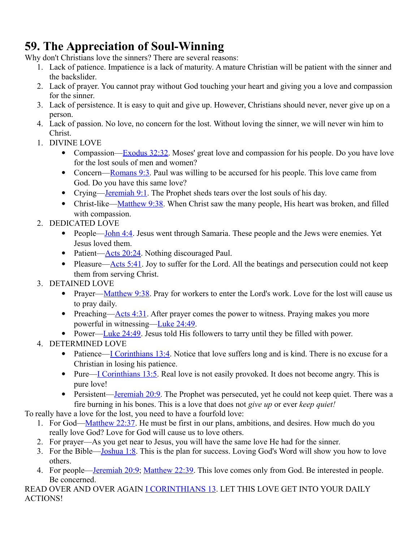# **59. The Appreciation of Soul-Winning**

Why don't Christians love the sinners? There are several reasons:

- 1. Lack of patience. Impatience is a lack of maturity. A mature Christian will be patient with the sinner and the backslider.
- 2. Lack of prayer. You cannot pray without God touching your heart and giving you a love and compassion for the sinner.
- 3. Lack of persistence. It is easy to quit and give up. However, Christians should never, never give up on a person.
- 4. Lack of passion. No love, no concern for the lost. Without loving the sinner, we will never win him to Christ.
- 1. DIVINE LOVE
	- Compassion—Exodus  $32:32$ . Moses' great love and compassion for his people. Do you have love for the lost souls of men and women?
	- Concern—Romans  $9:3$ . Paul was willing to be accursed for his people. This love came from God. Do you have this same love?
	- Crying[—Jeremiah 9:1.](http://www.crossbooks.com/verse.asp?ref=Jer+9%3A1) The Prophet sheds tears over the lost souls of his day.
	- Christ-like[—Matthew 9:38.](http://www.crossbooks.com/verse.asp?ref=Mt+9%3A38) When Christ saw the many people, His heart was broken, and filled with compassion.
- 2. DEDICATED LOVE
	- People[—John 4:4.](http://www.crossbooks.com/verse.asp?ref=Jn+4%3A4) Jesus went through Samaria. These people and the Jews were enemies. Yet Jesus loved them.
	- Patient[—Acts 20:24.](http://www.crossbooks.com/verse.asp?ref=Ac+20%3A24) Nothing discouraged Paul.
	- Pleasure[—Acts 5:41.](http://www.crossbooks.com/verse.asp?ref=Ac+5%3A41) Joy to suffer for the Lord. All the beatings and persecution could not keep them from serving Christ.

### 3. DETAINED LOVE

- Prayer[—Matthew 9:38.](http://www.crossbooks.com/verse.asp?ref=Mt+9%3A38) Pray for workers to enter the Lord's work. Love for the lost will cause us to pray daily.
- Preaching— $\triangle$ cts 4:31. After prayer comes the power to witness. Praying makes you more powerful in witnessing[—Luke 24:49.](http://www.crossbooks.com/verse.asp?ref=Lk+24%3A49)
- Power—Luke  $24:49$ . Jesus told His followers to tarry until they be filled with power.

### 4. DETERMINED LOVE

- Patience[—I Corinthians 13:4.](http://www.crossbooks.com/verse.asp?ref=1Co+13%3A4) Notice that love suffers long and is kind. There is no excuse for a Christian in losing his patience.
- Pure[—I Corinthians 13:5.](http://www.crossbooks.com/verse.asp?ref=1Co+13%3A5) Real love is not easily provoked. It does not become angry. This is pure love!
- Persistent[—Jeremiah 20:9.](http://www.crossbooks.com/verse.asp?ref=Jer+20%3A9) The Prophet was persecuted, yet he could not keep quiet. There was a fire burning in his bones. This is a love that does not *give up* or ever *keep quiet!*

To really have a love for the lost, you need to have a fourfold love:

- 1. For God[—Matthew 22:37.](http://www.crossbooks.com/verse.asp?ref=Mt+22%3A37) He must be first in our plans, ambitions, and desires. How much do you really love God? Love for God will cause us to love others.
- 2. For prayer—As you get near to Jesus, you will have the same love He had for the sinner.
- 3. For the Bible[—Joshua 1:8.](http://www.crossbooks.com/verse.asp?ref=Jos+1%3A8) This is the plan for success. Loving God's Word will show you how to love others.
- 4. For people[—Jeremiah 20:9;](http://www.crossbooks.com/verse.asp?ref=Jer+20%3A9) [Matthew 22:39.](http://www.crossbooks.com/verse.asp?ref=Mt+22%3A39) This love comes only from God. Be interested in people. Be concerned.

READ OVER AND OVER AGAIN [I CORINTHIANS 13.](http://www.crossbooks.com/verse.asp?ref=1Co+13) LET THIS LOVE GET INTO YOUR DAILY ACTIONS!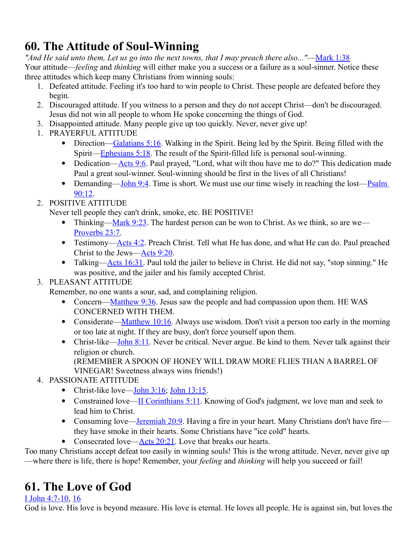# **60. The Attitude of Soul-Winning**

*"And He said unto them, Let us go into the next towns, that I may preach there also..."*[—Mark 1:38](http://www.crossbooks.com/verse.asp?ref=Mk+1%3A38) Your attitude—*feeling* and *thinking* will either make you a success or a failure as a soul-sinner. Notice these three attitudes which keep many Christians from winning souls:

- 1. Defeated attitude. Feeling it's too hard to win people to Christ. These people are defeated before they begin.
- 2. Discouraged attitude. If you witness to a person and they do not accept Christ—don't be discouraged. Jesus did not win all people to whom He spoke concerning the things of God.
- 3. Disappointed attitude. Many people give up too quickly. Never, never give up!
- 1. PRAYERFUL ATTITUDE
	- Direction[—Galatians 5:16.](http://www.crossbooks.com/verse.asp?ref=Gal+5%3A16) Walking in the Spirit. Being led by the Spirit. Being filled with the Spirit[—Ephesians 5:18.](http://www.crossbooks.com/verse.asp?ref=Eph+5%3A18) The result of the Spirit-filled life is personal soul-winning.
	- Dedication[—Acts 9:6.](http://www.crossbooks.com/verse.asp?ref=Ac+9%3A6) Paul prayed, "Lord, what wilt thou have me to do?" This dedication made Paul a great soul-winner. Soul-winning should be first in the lives of all Christians!
	- Demanding[—John 9:4.](http://www.crossbooks.com/verse.asp?ref=Jn+9%3A4) Time is short. We must use our time wisely in reaching the lost—Psalm [90:12.](http://www.crossbooks.com/verse.asp?ref=Ps+90%3A12)

### 2. POSITIVE ATTITUDE

Never tell people they can't drink, smoke, etc. BE POSITIVE!

- Thinking[—Mark 9:23.](http://www.crossbooks.com/verse.asp?ref=Mk+9%3A23) The hardest person can be won to Christ. As we think, so are we— [Proverbs 23:7.](http://www.crossbooks.com/verse.asp?ref=Pr+23%3A7)
- Testimony[—Acts 4:2.](http://www.crossbooks.com/verse.asp?ref=Ac+4%3A2) Preach Christ. Tell what He has done, and what He can do. Paul preached Christ to the Jews[—Acts 9:20.](http://www.crossbooks.com/verse.asp?ref=Ac+9%3A20)
- Talking—Acts  $16:31$ . Paul told the jailer to believe in Christ. He did not say, "stop sinning." He was positive, and the jailer and his family accepted Christ.

### 3. PLEASANT ATTITUDE

Remember, no one wants a sour, sad, and complaining religion.

- Concern[—Matthew 9:36.](http://www.crossbooks.com/verse.asp?ref=Mt+9%3A36) Jesus saw the people and had compassion upon them. HE WAS CONCERNED WITH THEM.
- Considerate[—Matthew 10:16.](http://www.crossbooks.com/verse.asp?ref=Mt+10%3A16) Always use wisdom. Don't visit a person too early in the morning or too late at night. If they are busy, don't force yourself upon them.
- Christ-like[—John 8:11.](http://www.crossbooks.com/verse.asp?ref=Jn+8%3A11) Never be critical. Never argue. Be kind to them. Never talk against their religion or church.

(REMEMBER A SPOON OF HONEY WILL DRAW MORE FLIES THAN A BARREL OF VINEGAR! Sweetness always wins friends!)

- 4. PASSIONATE ATTITUDE
	- Christ-like love—John  $3:16$ ; John  $13:15$ .
	- Constrained love[—II Corinthians 5:11.](http://www.crossbooks.com/verse.asp?ref=2Co+5%3A11) Knowing of God's judgment, we love man and seek to lead him to Christ.
	- Consuming love[—Jeremiah 20:9.](http://www.crossbooks.com/verse.asp?ref=Jer+20%3A9) Having a fire in your heart. Many Christians don't have fire they have smoke in their hearts. Some Christians have "ice cold" hearts.
	- Consecrated love— $\triangle$ dets 20:21. Love that breaks our hearts.

Too many Christians accept defeat too easily in winning souls! This is the wrong attitude. Never, never give up —where there is life, there is hope! Remember, your *feeling* and *thinking* will help you succeed or fail!

# **61. The Love of God**

### [I John 4:7-10,](http://www.crossbooks.com/verse.asp?ref=1Jn+4%3A7-10) [16](http://www.crossbooks.com/verse.asp?ref=1Jn+4%3A16)

God is love. His love is beyond measure. His love is eternal. He loves all people. He is against sin, but loves the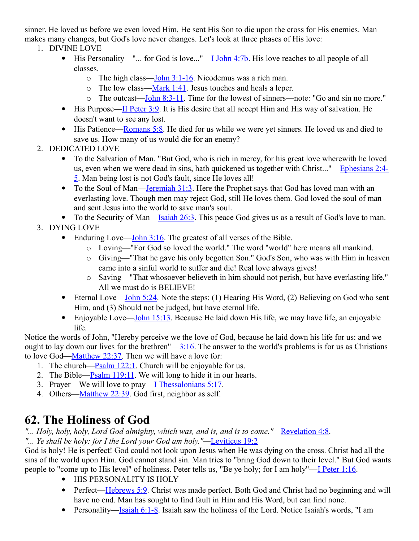sinner. He loved us before we even loved Him. He sent His Son to die upon the cross for His enemies. Man makes many changes, but God's love never changes. Let's look at three phases of His love:

- 1. DIVINE LOVE
	- $\bullet$  His Personality—"... for God is love..."—<u>I John 4:7b</u>. His love reaches to all people of all classes.
		- $\circ$  The high class[—John 3:1-16.](http://www.crossbooks.com/verse.asp?ref=Jn+3%3A1-16) Nicodemus was a rich man.
		- o The low class[—Mark 1:41.](http://www.crossbooks.com/verse.asp?ref=Mk+1%3A41) Jesus touches and heals a leper.
		- o The outcast[—John 8:3-11.](http://www.crossbooks.com/verse.asp?ref=Jn+8%3A3-11) Time for the lowest of sinners—note: "Go and sin no more."
	- $\bullet$  His Purpose[—II Peter 3:9.](http://www.crossbooks.com/verse.asp?ref=2Pe+3%3A9) It is His desire that all accept Him and His way of salvation. He doesn't want to see any lost.
	- His Patience[—Romans 5:8.](http://www.crossbooks.com/verse.asp?ref=Ro+5%3A8) He died for us while we were yet sinners. He loved us and died to save us. How many of us would die for an enemy?
- 2. DEDICATED LOVE
	- To the Salvation of Man. "But God, who is rich in mercy, for his great love wherewith he loved us, even when we were dead in sins, hath quickened us together with Christ..."[—Ephesians 2:4-](http://www.crossbooks.com/verse.asp?ref=Eph+2%3A4-5) [5.](http://www.crossbooks.com/verse.asp?ref=Eph+2%3A4-5) Man being lost is not God's fault, since He loves all!
	- To the Soul of Man—Jeremiah  $31:3$ . Here the Prophet says that God has loved man with an everlasting love. Though men may reject God, still He loves them. God loved the soul of man and sent Jesus into the world to save man's soul.
	- $\bullet$  To the Security of Man[—Isaiah 26:3.](http://www.crossbooks.com/verse.asp?ref=Isa+26%3A3) This peace God gives us as a result of God's love to man.
- 3. DYING LOVE
	- Enduring Love—John  $3:16$ . The greatest of all verses of the Bible.
		- o Loving—"For God so loved the world." The word "world" here means all mankind.
		- o Giving—"That he gave his only begotten Son." God's Son, who was with Him in heaven came into a sinful world to suffer and die! Real love always gives!
		- o Saving—"That whosoever believeth in him should not perish, but have everlasting life." All we must do is BELIEVE!
	- Eternal Love[—John 5:24.](http://www.crossbooks.com/verse.asp?ref=Jn+5%3A24) Note the steps: (1) Hearing His Word, (2) Believing on God who sent Him, and (3) Should not be judged, but have eternal life.
	- **Enjoyable Love[—John 15:13.](http://www.crossbooks.com/verse.asp?ref=Jn+15%3A13)** Because He laid down His life, we may have life, an enjoyable life.

Notice the words of John, "Hereby perceive we the love of God, because he laid down his life for us: and we ought to lay down our lives for the brethren"[—3:16.](http://www.crossbooks.com/verse.asp?ref=Jn+3%3A16) The answer to the world's problems is for us as Christians to love God[—Matthew 22:37.](http://www.crossbooks.com/verse.asp?ref=Mt+22%3A37) Then we will have a love for:

- 1. The church[—Psalm 122:1.](http://www.crossbooks.com/verse.asp?ref=Ps+122%3A1) Church will be enjoyable for us.
- 2. The Bible[—Psalm 119:11.](http://www.crossbooks.com/verse.asp?ref=Ps+119%3A11) We will long to hide it in our hearts.
- 3. Prayer—We will love to pray[—I Thessalonians 5:17.](http://www.crossbooks.com/verse.asp?ref=1Th+5%3A17)
- 4. Others[—Matthew 22:39.](http://www.crossbooks.com/verse.asp?ref=Mt+22%3A39) God first, neighbor as self.

# **62. The Holiness of God**

*"... Holy, holy, holy, Lord God almighty, which was, and is, and is to come."—*[Revelation 4:8.](http://www.crossbooks.com/verse.asp?ref=Rev+4%3A8) *"... Ye shall be holy: for I the Lord your God am holy."—*[Leviticus 19:2](http://www.crossbooks.com/verse.asp?ref=Lev+19%3A2)

God is holy! He is perfect! God could not look upon Jesus when He was dying on the cross. Christ had all the sins of the world upon Him. God cannot stand sin. Man tries to "bring God down to their level." But God wants people to "come up to His level" of holiness. Peter tells us, "Be ye holy; for I am holy"—[I Peter 1:16.](http://www.crossbooks.com/verse.asp?ref=1Pe+1%3A16)

- HIS PERSONALITY IS HOLY
- Perfect[—Hebrews 5:9.](http://www.crossbooks.com/verse.asp?ref=Heb+5%3A9) Christ was made perfect. Both God and Christ had no beginning and will have no end. Man has sought to find fault in Him and His Word, but can find none.
- Personality[—Isaiah 6:1-8.](http://www.crossbooks.com/verse.asp?ref=Isa+6%3A1-8) Isaiah saw the holiness of the Lord. Notice Isaiah's words, "I am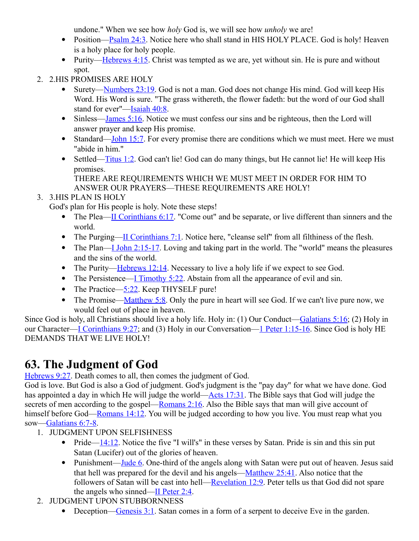undone." When we see how *holy* God is, we will see how *unholy* we are!

- Position[—Psalm 24:3.](http://www.crossbooks.com/verse.asp?ref=Ps+24%3A3) Notice here who shall stand in HIS HOLY PLACE. God is holy! Heaven is a holy place for holy people.
- Purity—Hebrews  $4:15$ . Christ was tempted as we are, yet without sin. He is pure and without spot.
- 2. 2.HIS PROMISES ARE HOLY
	- Surety—Numbers  $23:19$ . God is not a man. God does not change His mind. God will keep His Word. His Word is sure. "The grass withereth, the flower fadeth: but the word of our God shall stand for ever"[—Isaiah 40:8.](http://www.crossbooks.com/verse.asp?ref=Isa+40%3A8)
	- Sinless[—James 5:16.](http://www.crossbooks.com/verse.asp?ref=Jas+5%3A16) Notice we must confess our sins and be righteous, then the Lord will answer prayer and keep His promise.
	- Standard[—John 15:7.](http://www.crossbooks.com/verse.asp?ref=Jn+15%3A7) For every promise there are conditions which we must meet. Here we must "abide in him."
	- Settled[—Titus 1:2.](http://www.crossbooks.com/verse.asp?ref=Tit+1%3A2) God can't lie! God can do many things, but He cannot lie! He will keep His promises.

THERE ARE REQUIREMENTS WHICH WE MUST MEET IN ORDER FOR HIM TO ANSWER OUR PRAYERS—THESE REQUIREMENTS ARE HOLY!

### 3. 3.HIS PLAN IS HOLY

God's plan for His people is holy. Note these steps!

- The Plea[—II Corinthians 6:17.](http://www.crossbooks.com/verse.asp?ref=2Co+6%3A17) "Come out" and be separate, or live different than sinners and the world.
- The Purging[—II Corinthians 7:1.](http://www.crossbooks.com/verse.asp?ref=2Co+7%3A1) Notice here, "cleanse self" from all filthiness of the flesh.
- The Plan[—I John 2:15-17.](http://www.crossbooks.com/verse.asp?ref=1Jn+2%3A15-17) Loving and taking part in the world. The "world" means the pleasures and the sins of the world.
- The Purity[—Hebrews 12:14.](http://www.crossbooks.com/verse.asp?ref=Heb+12%3A14) Necessary to live a holy life if we expect to see God.
- The Persistence—I Timothy  $5:22$ . Abstain from all the appearance of evil and sin.
- The Practice— $5:22$ . Keep THYSELF pure!
- The Promise[—Matthew 5:8.](http://www.crossbooks.com/verse.asp?ref=Mt+5%3A8) Only the pure in heart will see God. If we can't live pure now, we would feel out of place in heaven.

Since God is holy, all Christians should live a holy life. Holy in: (1) Our Conduct[—Galatians 5:16;](http://www.crossbooks.com/verse.asp?ref=Gal+5%3A16) (2) Holy in our Character[—I Corinthians 9:27;](http://www.crossbooks.com/verse.asp?ref=1Co+9%3A27) and (3) Holy in our Conversation[—1 Peter 1:15-16.](http://www.crossbooks.com/verse.asp?ref=1Pe+1%3A15-16) Since God is holy HE DEMANDS THAT WE LIVE HOLY!

# **63. The Judgment of God**

[Hebrews 9:27.](http://www.crossbooks.com/verse.asp?ref=Heb+9%3A27) Death comes to all, then comes the judgment of God.

God is love. But God is also a God of judgment. God's judgment is the "pay day" for what we have done. God has appointed a day in which He will judge the world[—Acts 17:31.](http://www.crossbooks.com/verse.asp?ref=Ac+17%3A31) The Bible says that God will judge the secrets of men according to the gospel[—Romans 2:16.](http://www.crossbooks.com/verse.asp?ref=Ro+2%3A16) Also the Bible says that man will give account of himself before God[—Romans 14:12.](http://www.crossbooks.com/verse.asp?ref=Ro+14%3A12) You will be judged according to how you live. You must reap what you sow[—Galatians 6:7-8.](http://www.crossbooks.com/verse.asp?ref=Gal+6%3A7-8)

- 1. JUDGMENT UPON SELFISHNESS
	- Pride— $14:12$ . Notice the five "I will's" in these verses by Satan. Pride is sin and this sin put Satan (Lucifer) out of the glories of heaven.
	- Punishment[—Jude 6.](http://www.crossbooks.com/verse.asp?ref=Jude+1%3A6) One-third of the angels along with Satan were put out of heaven. Jesus said that hell was prepared for the devil and his angels[—Matthew 25:41.](http://www.crossbooks.com/verse.asp?ref=Mt+25%3A41) Also notice that the followers of Satan will be cast into hell[—Revelation 12:9.](http://www.crossbooks.com/verse.asp?ref=Rev+12%3A9) Peter tells us that God did not spare the angels who sinned[—II Peter 2:4.](http://www.crossbooks.com/verse.asp?ref=2Pe+2%3A4)
- 2. JUDGMENT UPON STUBBORNNESS
	- Deception[—Genesis 3:1.](http://www.crossbooks.com/verse.asp?ref=Ge+3%3A1) Satan comes in a form of a serpent to deceive Eve in the garden.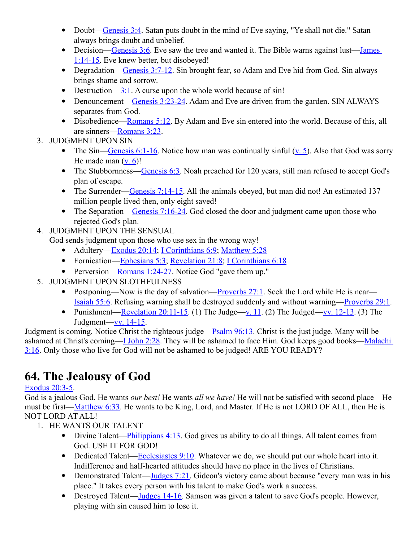- Doubt[—Genesis 3:4.](http://www.crossbooks.com/verse.asp?ref=Ge+3%3A4) Satan puts doubt in the mind of Eve saying, "Ye shall not die." Satan always brings doubt and unbelief.
- Decision[—Genesis 3:6.](http://www.crossbooks.com/verse.asp?ref=Ge+3%3A6) Eve saw the tree and wanted it. The Bible warns against lust—James [1:14-15.](http://www.crossbooks.com/verse.asp?ref=Jas+1%3A14-15) Eve knew better, but disobeyed!
- Degradation[—Genesis 3:7-12.](http://www.crossbooks.com/verse.asp?ref=Ge+3%3A7-12) Sin brought fear, so Adam and Eve hid from God. Sin always brings shame and sorrow.
- Destruction— $3:1$ . A curse upon the whole world because of sin!
- Denouncement[—Genesis 3:23-24.](http://www.crossbooks.com/verse.asp?ref=Ge+3%3A23-24) Adam and Eve are driven from the garden. SIN ALWAYS separates from God.
- Disobedience[—Romans 5:12.](http://www.crossbooks.com/verse.asp?ref=Ro+5%3A12) By Adam and Eve sin entered into the world. Because of this, all are sinners[—Romans 3:23.](http://www.crossbooks.com/verse.asp?ref=Ro+3%3A23)
- 3. JUDGMENT UPON SIN
	- The Sin[—Genesis 6:1-16.](http://www.crossbooks.com/verse.asp?ref=Ge+6%3A1-16) Notice how man was continually sinful  $(v, 5)$ . Also that God was sorry He made man  $(v, 6)!$
	- The Stubbornness—Genesis  $6:3$ . Noah preached for 120 years, still man refused to accept God's plan of escape.
	- The Surrender[—Genesis 7:14-15.](http://www.crossbooks.com/verse.asp?ref=Ge+7%3A14-15) All the animals obeyed, but man did not! An estimated 137 million people lived then, only eight saved!
	- The Separation[—Genesis 7:16-24.](http://www.crossbooks.com/verse.asp?ref=Ge+7%3A16-24) God closed the door and judgment came upon those who rejected God's plan.
- 4. JUDGMENT UPON THE SENSUAL

God sends judgment upon those who use sex in the wrong way!

- Adultery[—Exodus 20:14;](http://www.crossbooks.com/verse.asp?ref=Ex+20%3A14) [I Corinthians 6:9;](http://www.crossbooks.com/verse.asp?ref=1Co+6%3A9) [Matthew 5:28](http://www.crossbooks.com/verse.asp?ref=Mt+5%3A28)
- Fornication[—Ephesians 5:3;](http://www.crossbooks.com/verse.asp?ref=Eph+5%3A3) [Revelation 21:8;](http://www.crossbooks.com/verse.asp?ref=Rev+21%3A8) [I Corinthians 6:18](http://www.crossbooks.com/verse.asp?ref=1Co+6%3A18)
- Perversion[—Romans 1:24-27.](http://www.crossbooks.com/verse.asp?ref=Ro+1%3A24-27) Notice God "gave them up."
- 5. JUDGMENT UPON SLOTHFULNESS
	- Postponing—Now is the day of salvation— $\frac{P}{P}$  Proverbs 27:1. Seek the Lord while He is near— [Isaiah 55:6.](http://www.crossbooks.com/verse.asp?ref=Isa+55%3A6) Refusing warning shall be destroyed suddenly and without warning[—Proverbs 29:1.](http://www.crossbooks.com/verse.asp?ref=Pr+29%3A1)
	- Punishment[—Revelation 20:11-15.](http://www.crossbooks.com/verse.asp?ref=Rev+20%3A11-15) (1) The Judge[—v. 11.](http://www.crossbooks.com/verse.asp?ref=Rev+20%3A11) (2) The Judged[—vv. 12-13.](http://www.crossbooks.com/verse.asp?ref=Rev+20%3A12-13) (3) The Judgment[—vv. 14-15.](http://www.crossbooks.com/verse.asp?ref=Rev+20%3A14-15)

Judgment is coming. Notice Christ the righteous judge[—Psalm 96:13.](http://www.crossbooks.com/verse.asp?ref=Ps+96%3A13) Christ is the just judge. Many will be ashamed at Christ's coming[—I John 2:28.](http://www.crossbooks.com/verse.asp?ref=1Jn+2%3A28) They will be ashamed to face Him. God keeps good books—Malachi [3:16.](http://www.crossbooks.com/verse.asp?ref=Mal+3%3A16) Only those who live for God will not be ashamed to be judged! ARE YOU READY?

# **64. The Jealousy of God**

### [Exodus 20:3-5.](http://www.crossbooks.com/verse.asp?ref=Ex+20%3A3-5)

God is a jealous God. He wants *our best!* He wants *all we have!* He will not be satisfied with second place—He must be first[—Matthew 6:33.](http://www.crossbooks.com/verse.asp?ref=Mt+6%3A33) He wants to be King, Lord, and Master. If He is not LORD OF ALL, then He is NOT LORD AT ALL!

- 1. HE WANTS OUR TALENT
	- Divine Talent—Philippians  $4:13$ . God gives us ability to do all things. All talent comes from God. USE IT FOR GOD!
	- Dedicated Talent[—Ecclesiastes 9:10.](http://www.crossbooks.com/verse.asp?ref=Ecc+9%3A10) Whatever we do, we should put our whole heart into it. Indifference and half-hearted attitudes should have no place in the lives of Christians.
	- Demonstrated Talent—Judges  $7:21$ . Gideon's victory came about because "every man was in his place." It takes every person with his talent to make God's work a success.
	- Destroyed Talent[—Judges 14-16.](http://www.crossbooks.com/verse.asp?ref=Jdg+14-16) Samson was given a talent to save God's people. However, playing with sin caused him to lose it.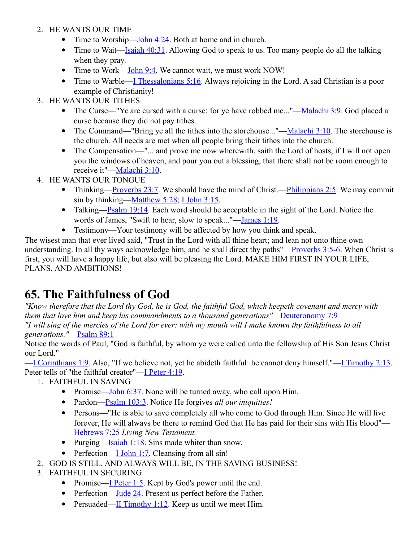- 2. HE WANTS OUR TIME
	- Time to Worship—John  $4:24$ . Both at home and in church.
	- Time to Wait[—Isaiah 40:31.](http://www.crossbooks.com/verse.asp?ref=Isa+40%3A31) Allowing God to speak to us. Too many people do all the talking when they pray.
	- Time to Work[—John 9:4.](http://www.crossbooks.com/verse.asp?ref=Jn+9%3A4) We cannot wait, we must work NOW!
	- Time to Warble[—I Thessalonians 5:16.](http://www.crossbooks.com/verse.asp?ref=1Th+5%3A16) Always rejoicing in the Lord. A sad Christian is a poor example of Christianity!
- 3. HE WANTS OUR TITHES
	- The Curse—"Ye are cursed with a curse: for ye have robbed me..."[—Malachi 3:9.](http://www.crossbooks.com/verse.asp?ref=Mal+3%3A9) God placed a curse because they did not pay tithes.
	- The Command—"Bring ye all the tithes into the storehouse..."— $Malachi 3:10$ . The storehouse is</u> the church. All needs are met when all people bring their tithes into the church.
	- The Compensation—"... and prove me now wherewith, saith the Lord of hosts, if I will not open you the windows of heaven, and pour you out a blessing, that there shall not be room enough to receive it"[—Malachi 3:10.](http://www.crossbooks.com/verse.asp?ref=Mal+3%3A10)
- 4. HE WANTS OUR TONGUE
	- Thinking[—Proverbs 23:7.](http://www.crossbooks.com/verse.asp?ref=Pr+23%3A7) We should have the mind of Christ.[—Philippians 2:5.](http://www.crossbooks.com/verse.asp?ref=Php+2%3A5) We may commit sin by thinking[—Matthew 5:28;](http://www.crossbooks.com/verse.asp?ref=Mt+5%3A28) [I John 3:15.](http://www.crossbooks.com/verse.asp?ref=1Jn+3%3A15)
	- Talking[—Psalm 19:14.](http://www.crossbooks.com/verse.asp?ref=Ps+19%3A14) Each word should be acceptable in the sight of the Lord. Notice the words of James, "Swift to hear, slow to speak..."[—James 1:19.](http://www.crossbooks.com/verse.asp?ref=Jas+1%3A19)
	- Testimony—Your testimony will be affected by how you think and speak.

The wisest man that ever lived said, "Trust in the Lord with all thine heart; and lean not unto thine own understanding. In all thy ways acknowledge him, and he shall direct thy paths"[—Proverbs 3:5-6.](http://www.crossbooks.com/verse.asp?ref=Pr+3%3A5-6) When Christ is first, you will have a happy life, but also will be pleasing the Lord. MAKE HIM FIRST IN YOUR LIFE, PLANS, AND AMBITIONS!

### **65. The Faithfulness of God**

*"Know therefore that the Lord thy God, he is God, the faithful God, which keepeth covenant and mercy with them that love him and keep his commandments to a thousand generations"—[Deuteronomy 7:9](http://www.crossbooks.com/verse.asp?ref=Dt+7%3A9) "I will sing of the mercies of the Lord for ever: with my mouth will I make known thy faithfulness to all* 

*generations."*[—Psalm 89:1](http://www.crossbooks.com/verse.asp?ref=Ps+89%3A1)

Notice the words of Paul, "God is faithful, by whom ye were called unto the fellowship of His Son Jesus Christ our Lord."

[—I Corinthians 1:9.](http://www.crossbooks.com/verse.asp?ref=1Co+1%3A9) Also, "If we believe not, yet he abideth faithful: he cannot deny himself."[—I Timothy 2:13.](http://www.crossbooks.com/verse.asp?ref=1Ti+2%3A13) Peter tells of "the faithful creator"[—I Peter 4:19.](http://www.crossbooks.com/verse.asp?ref=1Pe+4%3A19)

1. FAITHFUL IN SAVING

- Promise—John  $6:37$ . None will be turned away, who call upon Him.
- Pardon[—Psalm 103:3.](http://www.crossbooks.com/verse.asp?ref=Ps+103%3A3) Notice He forgives *all our iniquities!*
- Persons—"He is able to save completely all who come to God through Him. Since He will live forever, He will always be there to remind God that He has paid for their sins with His blood"— [Hebrews 7:25](http://www.crossbooks.com/verse.asp?ref=Heb+7%3A25) *Living New Testament.*
- Purging—Isaiah  $1:18$ . Sins made whiter than snow.
- Perfection[—I John 1:7.](http://www.crossbooks.com/verse.asp?ref=1Jn+1%3A7) Cleansing from all sin!
- 2. GOD IS STILL, AND ALWAYS WILL BE, IN THE SAVING BUSINESS!
- 3. FAITHFUL IN SECURING
	- Promise[—I Peter 1:5.](http://www.crossbooks.com/verse.asp?ref=1Pe+1%3A5) Kept by God's power until the end.
	- Perfection[—Jude 24.](http://www.crossbooks.com/verse.asp?ref=Jude+1%3A24) Present us perfect before the Father.
	- Persuaded[—II Timothy 1:12.](http://www.crossbooks.com/verse.asp?ref=2Ti+1%3A12) Keep us until we meet Him.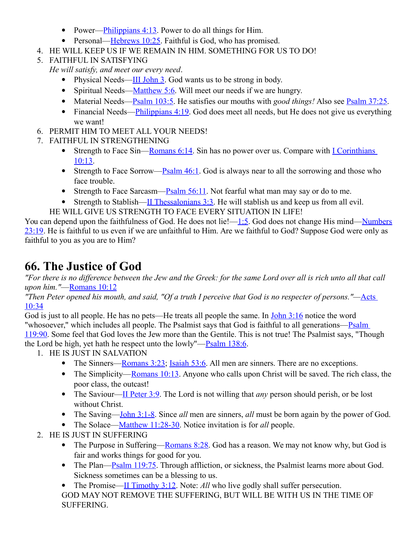- Power—Philippians  $4:13$ . Power to do all things for Him.
- Personal[—Hebrews 10:25.](http://www.crossbooks.com/verse.asp?ref=Heb+10%3A25) Faithful is God, who has promised.
- 4. HE WILL KEEP US IF WE REMAIN IN HIM. SOMETHING FOR US TO DO!
- 5. FAITHFUL IN SATISFYING

*He will satisfy, and meet our every need*.

- Physical Needs[—III John 3.](http://www.crossbooks.com/verse.asp?ref=3Jn+1%3A3) God wants us to be strong in body.
- Spiritual Needs[—Matthew 5:6.](http://www.crossbooks.com/verse.asp?ref=Mt+5%3A6) Will meet our needs if we are hungry.
- Material Needs[—Psalm 103:5.](http://www.crossbooks.com/verse.asp?ref=Ps+103%3A5) He satisfies our mouths with *good things!* Also see [Psalm 37:25.](http://www.crossbooks.com/verse.asp?ref=Ps+37%3A25)
- Financial Needs—**Philippians 4:19**. God does meet all needs, but He does not give us everything we want!
- 6. PERMIT HIM TO MEET ALL YOUR NEEDS!
- 7. FAITHFUL IN STRENGTHENING
	- Strength to Face Sin—Romans  $6:14$ . Sin has no power over us. Compare with I Corinthians [10:13.](http://www.crossbooks.com/verse.asp?ref=1Co+10%3A13)
	- Strength to Face Sorrow—Psalm  $46:1$ . God is always near to all the sorrowing and those who face trouble.
	- Strength to Face Sarcasm— $P$ salm 56:11. Not fearful what man may say or do to me.
	- Strength to Stablish—II Thessalonians  $3:3$ . He will stablish us and keep us from all evil.
	- HE WILL GIVE US STRENGTH TO FACE EVERY SITUATION IN LIFE!

You can depend upon the faithfulness of God. He does not lie![—1:5.](http://www.crossbooks.com/verse.asp?ref=Jn+1%3A5) God does not change His mind[—Numbers](http://www.crossbooks.com/verse.asp?ref=Nu+23%3A19) [23:19.](http://www.crossbooks.com/verse.asp?ref=Nu+23%3A19) He is faithful to us even if we are unfaithful to Him. Are we faithful to God? Suppose God were only as faithful to you as you are to Him?

# **66. The Justice of God**

*"For there is no difference between the Jew and the Greek: for the same Lord over all is rich unto all that call upon him."*[—Romans 10:12](http://www.crossbooks.com/verse.asp?ref=Ro+10%3A12)

*"Then Peter opened his mouth, and said, "Of a truth I perceive that God is no respecter of persons."—*[Acts](http://www.crossbooks.com/verse.asp?ref=Ac+10%3A34)  [10:34](http://www.crossbooks.com/verse.asp?ref=Ac+10%3A34)

God is just to all people. He has no pets—He treats all people the same. In [John 3:16](http://www.crossbooks.com/verse.asp?ref=Jn+3%3A16) notice the word "whosoever," which includes all people. The Psalmist says that God is faithful to all generations—Psalm [119:90.](http://www.crossbooks.com/verse.asp?ref=Ps+119%3A90) Some feel that God loves the Jew more than the Gentile. This is not true! The Psalmist says, "Though the Lord be high, yet hath he respect unto the lowly"[—Psalm 138:6.](http://www.crossbooks.com/verse.asp?ref=Ps+138%3A6)

- 1. HE IS JUST IN SALVATION
	- The Sinners[—Romans 3:23;](http://www.crossbooks.com/verse.asp?ref=Ro+3%3A23) [Isaiah 53:6.](http://www.crossbooks.com/verse.asp?ref=Isa+53%3A6) All men are sinners. There are no exceptions.
	- The Simplicity—Romans  $10:13$ . Anyone who calls upon Christ will be saved. The rich class, the poor class, the outcast!
	- The Saviour[—II Peter 3:9.](http://www.crossbooks.com/verse.asp?ref=2Pe+3%3A9) The Lord is not willing that *any* person should perish, or be lost without Christ.
	- The Saving[—John 3:1-8.](http://www.crossbooks.com/verse.asp?ref=Jn+3%3A1-8) Since *all* men are sinners, *all* must be born again by the power of God.
	- The Solace[—Matthew 11:28-30.](http://www.crossbooks.com/verse.asp?ref=Mt+11%3A28-30) Notice invitation is for *all* people.
- 2. HE IS JUST IN SUFFERING
	- The Purpose in Suffering—Romans  $8:28$ . God has a reason. We may not know why, but God is fair and works things for good for you.
	- The Plan[—Psalm 119:75.](http://www.crossbooks.com/verse.asp?ref=Ps+119%3A75) Through affliction, or sickness, the Psalmist learns more about God. Sickness sometimes can be a blessing to us.

• The Promise[—II Timothy 3:12.](http://www.crossbooks.com/verse.asp?ref=2Ti+3%3A12) Note: *All* who live godly shall suffer persecution. GOD MAY NOT REMOVE THE SUFFERING, BUT WILL BE WITH US IN THE TIME OF SUFFERING.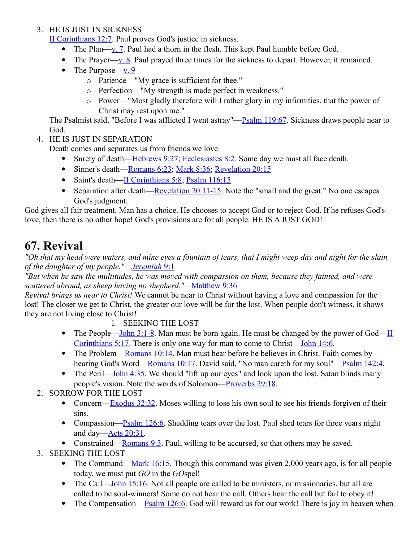#### 3. HE IS JUST IN SICKNESS

[II Corinthians 12:7.](http://www.crossbooks.com/verse.asp?ref=2Co+12%3A7) Paul proves God's justice in sickness.

- The Plan[—v. 7.](http://www.crossbooks.com/verse.asp?ref=2Co+12%3A7) Paul had a thorn in the flesh. This kept Paul humble before God.
- The Prayer[—v. 8.](http://www.crossbooks.com/verse.asp?ref=2Co+12%3A8) Paul prayed three times for the sickness to depart. However, it remained.
- The Purpose—v.  $9$ 
	- o Patience—"My grace is sufficient for thee."
	- o Perfection—"My strength is made perfect in weakness."
	- o Power—"Most gladly therefore will I rather glory in my infirmities, that the power of Christ may rest upon me."

The Psalmist said, "Before I was afflicted I went astray"—**Psalm 119:67**. Sickness draws people near to God.

4. HE IS JUST IN SEPARATION

Death comes and separates us from friends we love.

- Surety of death[—Hebrews 9:27;](http://www.crossbooks.com/verse.asp?ref=Heb+9%3A27) [Ecclesiastes 8:2.](http://www.crossbooks.com/verse.asp?ref=Ecc+8%3A2) Some day we must all face death.
- Sinner's death[—Romans 6:23;](http://www.crossbooks.com/verse.asp?ref=Ro+6%3A23) [Mark 8:36;](http://www.crossbooks.com/verse.asp?ref=Mk+8%3A36) [Revelation 20:15](http://www.crossbooks.com/verse.asp?ref=Rev+20%3A15)
- Saint's death[—II Corinthians 5:8;](http://www.crossbooks.com/verse.asp?ref=2Co+5%3A8) [Psalm 116:15](http://www.crossbooks.com/verse.asp?ref=Ps+116%3A15)
- Separation after death[—Revelation 20:11-15.](http://www.crossbooks.com/verse.asp?ref=Rev+20%3A11-15) Note the "small and the great." No one escapes God's judgment.

God gives all fair treatment. Man has a choice. He chooses to accept God or to reject God. If he refuses God's love, then there is no other hope! God's provisions are for all people. HE IS A JUST GOD!

# **67. Revival**

*"Oh that my head were waters, and mine eyes a fountain of tears, that I might weep day and night for the slain of the daughter of my people."[— Jeremiah](http://www.crossbooks.com/verse.asp?ref=Jer+9%3A1)* 9:1

*"But when he saw the multitudes, he was moved with compassion on them, because they fainted, and were scattered abroad, as sheep having no shepherd."—*[Matthew 9:36](http://www.crossbooks.com/verse.asp?ref=Mt+9%3A36)

*Revival brings us near to Christ!* We cannot be near to Christ without having a love and compassion for the lost! The closer we get to Christ, the greater our love will be for the lost. When people don't witness, it shows they are not living close to Christ!

- 1. SEEKING THE LOST
- The People[—John 3:1-8.](http://www.crossbooks.com/verse.asp?ref=Jn+3%3A1-8) Man must be born again. He must be changed by the power of God[—II](http://www.crossbooks.com/verse.asp?ref=2Co+5%3A17) [Corinthians 5:17.](http://www.crossbooks.com/verse.asp?ref=2Co+5%3A17) There is only one way for man to come to Christ[—John 14:6.](http://www.crossbooks.com/verse.asp?ref=Jn+14%3A6)
- The Problem[—Romans 10:14.](http://www.crossbooks.com/verse.asp?ref=Ro+10%3A14) Man must hear before he believes in Christ. Faith comes by hearing God's Word[—Romans 10:17.](http://www.crossbooks.com/verse.asp?ref=Ro+10%3A17) David said, "No man careth for my soul"[—Psalm 142:4.](http://www.crossbooks.com/verse.asp?ref=Ps+142%3A4)
- The Peril[—John 4:35.](http://www.crossbooks.com/verse.asp?ref=Jn+4%3A35) We should "lift up our eyes" and look upon the lost. Satan blinds many people's vision. Note the words of Solomon[—Proverbs 29:18.](http://www.crossbooks.com/verse.asp?ref=Pr+29%3A18)
- 2. SORROW FOR THE LOST
	- Concern[—Exodus 32:32.](http://www.crossbooks.com/verse.asp?ref=Ex+32%3A32) Moses willing to lose his own soul to see his friends forgiven of their sins.
	- Compassion[—Psalm 126:6.](http://www.crossbooks.com/verse.asp?ref=Ps+126%3A6) Shedding tears over the lost. Paul shed tears for three years night and day[—Acts 20:31.](http://www.crossbooks.com/verse.asp?ref=Ac+20%3A31)
	- Constrained[—Romans 9:3.](http://www.crossbooks.com/verse.asp?ref=Ro+9%3A3) Paul, willing to be accursed, so that others may be saved.
- 3. SEEKING THE LOST
	- The Command[—Mark 16:15.](http://www.crossbooks.com/verse.asp?ref=Mk+16%3A15) Though this command was given 2,000 years ago, is for all people today, we must put *GO* in the *GO*spel!
	- The Call—John  $15:16$ . Not all people are called to be ministers, or missionaries, but all are called to be soul-winners! Some do not hear the call. Others hear the call but fail to obey it!
	- The Compensation— $P_{\text{Salm}}$  126:6. God will reward us for our work! There is joy in heaven when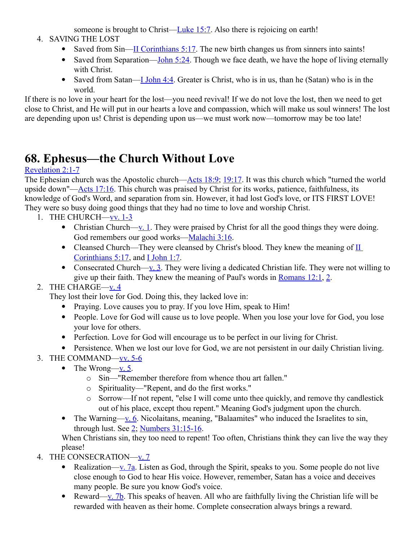someone is brought to Christ[—Luke 15:7.](http://www.crossbooks.com/verse.asp?ref=Lk+15%3A7) Also there is rejoicing on earth!

#### 4. SAVING THE LOST

- Saved from Sin[—II Corinthians 5:17.](http://www.crossbooks.com/verse.asp?ref=2Co+5%3A17) The new birth changes us from sinners into saints!
- Saved from Separation[—John 5:24.](http://www.crossbooks.com/verse.asp?ref=Jn+5%3A24) Though we face death, we have the hope of living eternally with Christ.
- Saved from Satan[—I John 4:4.](http://www.crossbooks.com/verse.asp?ref=1Jn+4%3A4) Greater is Christ, who is in us, than he (Satan) who is in the world.

If there is no love in your heart for the lost—you need revival! If we do not love the lost, then we need to get close to Christ, and He will put in our hearts a love and compassion, which will make us soul winners! The lost are depending upon us! Christ is depending upon us—we must work now—tomorrow may be too late!

# **68. Ephesus—the Church Without Love**

#### [Revelation 2:1-7](http://www.crossbooks.com/verse.asp?ref=Rev+2%3A1-7)

The Ephesian church was the Apostolic church[—Acts 18:9;](http://www.crossbooks.com/verse.asp?ref=Ac+18%3A9) [19:17.](http://www.crossbooks.com/verse.asp?ref=Ac+19%3A17) It was this church which "turned the world" upside down"[—Acts 17:16.](http://www.crossbooks.com/verse.asp?ref=Ac+17%3A16) This church was praised by Christ for its works, patience, faithfulness, its knowledge of God's Word, and separation from sin. However, it had lost God's love, or ITS FIRST LOVE! They were so busy doing good things that they had no time to love and worship Christ.

- 1. THE CHURCH[—vv. 1-3](http://www.crossbooks.com/verse.asp?ref=Ac+17%3A1-3)
	- Christian Church—<u>v. 1</u>. They were praised by Christ for all the good things they were doing. God remembers our good works[—Malachi 3:16.](http://www.crossbooks.com/verse.asp?ref=Mal+3%3A16)
	- Cleansed Church—They were cleansed by Christ's blood. They knew the meaning of II [Corinthians 5:17,](http://www.crossbooks.com/verse.asp?ref=2Co+5%3A17) and [I John 1:7.](http://www.crossbooks.com/verse.asp?ref=1Jn+1%3A7)
	- Consecrated Church[—v. 3.](http://www.crossbooks.com/verse.asp?ref=1Jn+1%3A3) They were living a dedicated Christian life. They were not willing to give up their faith. They knew the meaning of Paul's words in [Romans 12:1,](http://www.crossbooks.com/verse.asp?ref=Ro+12%3A1) [2.](http://www.crossbooks.com/verse.asp?ref=Ro+12%3A2)

### 2. THE CHARGE-v. 4

They lost their love for God. Doing this, they lacked love in:

- Praying. Love causes you to pray. If you love Him, speak to Him!
- People. Love for God will cause us to love people. When you lose your love for God, you lose your love for others.
- Perfection. Love for God will encourage us to be perfect in our living for Christ.
- Persistence. When we lost our love for God, we are not persistent in our daily Christian living.
- 3. THE COMMAND[—vv. 5-6](http://www.crossbooks.com/verse.asp?ref=Ro+12%3A5-6)
	- The Wrong—v.  $5$ .
		- o Sin—"Remember therefore from whence thou art fallen."
		- o Spirituality—"Repent, and do the first works."
		- o Sorrow—If not repent, "else I will come unto thee quickly, and remove thy candlestick out of his place, except thou repent." Meaning God's judgment upon the church.
	- The Warning[—v. 6.](http://www.crossbooks.com/verse.asp?ref=Ro+12%3A6) Nicolaitans, meaning, "Balaamites" who induced the Israelites to sin, through lust. See [2;](http://www.crossbooks.com/verse.asp?ref=Ro+12%3A2) [Numbers 31:15-16.](http://www.crossbooks.com/verse.asp?ref=Nu+31%3A15-16)

When Christians sin, they too need to repent! Too often, Christians think they can live the way they please!

- 4. THE CONSECRATION[—v. 7](http://www.crossbooks.com/verse.asp?ref=Nu+31%3A7)
	- Realization[—v. 7a.](http://www.crossbooks.com/verse.asp?ref=Nu+31%3A7) Listen as God, through the Spirit, speaks to you. Some people do not live close enough to God to hear His voice. However, remember, Satan has a voice and deceives many people. Be sure you know God's voice.
	- Reward[—v. 7b.](http://www.crossbooks.com/verse.asp?ref=Nu+31%3A7) This speaks of heaven. All who are faithfully living the Christian life will be rewarded with heaven as their home. Complete consecration always brings a reward.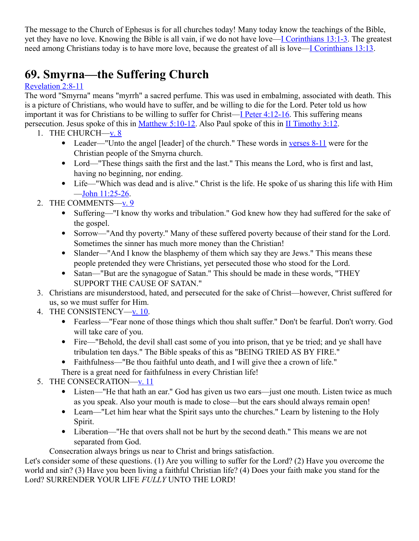The message to the Church of Ephesus is for all churches today! Many today know the teachings of the Bible, yet they have no love. Knowing the Bible is all vain, if we do not have love[—I Corinthians 13:1-3.](http://www.crossbooks.com/verse.asp?ref=1Co+13%3A1-3) The greatest need among Christians today is to have more love, because the greatest of all is love[—I Corinthians 13:13.](http://www.crossbooks.com/verse.asp?ref=1Co+13%3A13)

# **69. Smyrna—the Suffering Church**

### [Revelation 2:8-11](http://www.crossbooks.com/verse.asp?ref=Rev+2%3A8-11)

The word "Smyrna" means "myrrh" a sacred perfume. This was used in embalming, associated with death. This is a picture of Christians, who would have to suffer, and be willing to die for the Lord. Peter told us how important it was for Christians to be willing to suffer for Christ[—I Peter 4:12-16.](http://www.crossbooks.com/verse.asp?ref=1Pe+4%3A12-16) This suffering means persecution. Jesus spoke of this in <u>Matthew 5:10-12</u>. Also Paul spoke of this in <u>II Timothy 3:12</u>.

- 1. THE CHURCH $-\underline{v}$ . 8
	- Leader—"Unto the angel [leader] of the church." These words in [verses 8-11](http://www.crossbooks.com/verse.asp?ref=2Ti+3%3A8-11) were for the Christian people of the Smyrna church.
	- Lord—"These things saith the first and the last." This means the Lord, who is first and last, having no beginning, nor ending.
	- Life—"Which was dead and is alive." Christ is the life. He spoke of us sharing this life with Him [—John 11:25-26.](http://www.crossbooks.com/verse.asp?ref=Jn+11%3A25-26)
- 2. THE COMMENTS-V. 9
	- Suffering—"I know thy works and tribulation." God knew how they had suffered for the sake of the gospel.
	- Sorrow—"And thy poverty." Many of these suffered poverty because of their stand for the Lord. Sometimes the sinner has much more money than the Christian!
	- Slander—"And I know the blasphemy of them which say they are Jews." This means these people pretended they were Christians, yet persecuted those who stood for the Lord.
	- Satan—"But are the synagogue of Satan." This should be made in these words, "THEY SUPPORT THE CAUSE OF SATAN."
- 3. Christians are misunderstood, hated, and persecuted for the sake of Christ—however, Christ suffered for us, so we must suffer for Him.
- 4. THE CONSISTENCY[—v. 10.](http://www.crossbooks.com/verse.asp?ref=Jn+11%3A10)
	- Fearless—"Fear none of those things which thou shalt suffer." Don't be fearful. Don't worry. God will take care of you.
	- Fire—"Behold, the devil shall cast some of you into prison, that ye be tried; and ye shall have tribulation ten days." The Bible speaks of this as "BEING TRIED AS BY FIRE."
	- Faithfulness—"Be thou faithful unto death, and I will give thee a crown of life."
	- There is a great need for faithfulness in every Christian life!
- 5. THE CONSECRATION[—v. 11](http://www.crossbooks.com/verse.asp?ref=Jn+11%3A11)
	- Listen—"He that hath an ear." God has given us two ears—just one mouth. Listen twice as much as you speak. Also your mouth is made to close—but the ears should always remain open!
	- Learn—"Let him hear what the Spirit says unto the churches." Learn by listening to the Holy Spirit.
	- Liberation—"He that overs shall not be hurt by the second death." This means we are not separated from God.

Consecration always brings us near to Christ and brings satisfaction.

Let's consider some of these questions. (1) Are you willing to suffer for the Lord? (2) Have you overcome the world and sin? (3) Have you been living a faithful Christian life? (4) Does your faith make you stand for the Lord? SURRENDER YOUR LIFE *FULLY* UNTO THE LORD!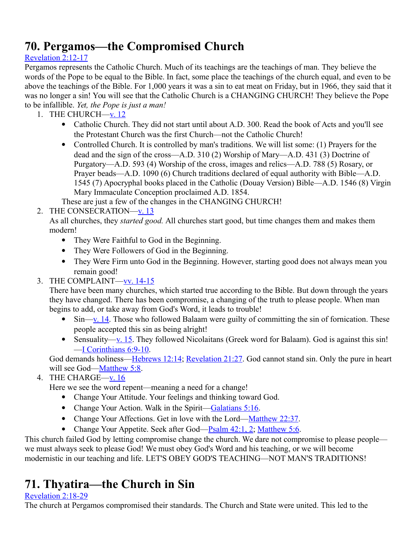# **70. Pergamos—the Compromised Church**

### [Revelation 2:12-17](http://www.crossbooks.com/verse.asp?ref=Rev+2%3A12-17)

Pergamos represents the Catholic Church. Much of its teachings are the teachings of man. They believe the words of the Pope to be equal to the Bible. In fact, some place the teachings of the church equal, and even to be above the teachings of the Bible. For 1,000 years it was a sin to eat meat on Friday, but in 1966, they said that it was no longer a sin! You will see that the Catholic Church is a CHANGING CHURCH! They believe the Pope to be infallible. *Yet, the Pope is just a man!*

- 1. THE CHURCH[—v. 12](http://www.crossbooks.com/verse.asp?ref=Rev+2%3A12)
	- Catholic Church. They did not start until about A.D. 300. Read the book of Acts and you'll see the Protestant Church was the first Church—not the Catholic Church!
	- Controlled Church. It is controlled by man's traditions. We will list some: (1) Prayers for the dead and the sign of the cross—A.D. 310 (2) Worship of Mary—A.D. 431 (3) Doctrine of Purgatory—A.D. 593 (4) Worship of the cross, images and relics—A.D. 788 (5) Rosary, or Prayer beads—A.D. 1090 (6) Church traditions declared of equal authority with Bible—A.D. 1545 (7) Apocryphal books placed in the Catholic (Douay Version) Bible—A.D. 1546 (8) Virgin Mary Immaculate Conception proclaimed A.D. 1854.
	- These are just a few of the changes in the CHANGING CHURCH!
- 2. THE CONSECRATION[—v. 13](http://www.crossbooks.com/verse.asp?ref=Rev+2%3A13)

As all churches, they *started good.* All churches start good, but time changes them and makes them modern!

- They Were Faithful to God in the Beginning.
- They Were Followers of God in the Beginning.
- They Were Firm unto God in the Beginning. However, starting good does not always mean you remain good!
- 3. THE COMPLAINT[—vv. 14-15](http://www.crossbooks.com/verse.asp?ref=Rev+2%3A14-15)

There have been many churches, which started true according to the Bible. But down through the years they have changed. There has been compromise, a changing of the truth to please people. When man begins to add, or take away from God's Word, it leads to trouble!

- $\bullet$  Sin[—v. 14.](http://www.crossbooks.com/verse.asp?ref=Rev+2%3A14) Those who followed Balaam were guilty of committing the sin of fornication. These people accepted this sin as being alright!
- Sensuality—y. 15. They followed Nicolaitans (Greek word for Balaam). God is against this sin! [—I Corinthians 6:9-10.](http://www.crossbooks.com/verse.asp?ref=1Co+6%3A9-10)

God demands holiness[—Hebrews 12:14;](http://www.crossbooks.com/verse.asp?ref=Heb+12%3A14) [Revelation 21:27.](http://www.crossbooks.com/verse.asp?ref=Rev+21%3A27) God cannot stand sin. Only the pure in heart will see God[—Matthew 5:8.](http://www.crossbooks.com/verse.asp?ref=Mt+5%3A8)

### 4. THE CHARGE[—v. 16](http://www.crossbooks.com/verse.asp?ref=Mt+5%3A16)

Here we see the word repent—meaning a need for a change!

- Change Your Attitude. Your feelings and thinking toward God.
- Change Your Action. Walk in the Spirit[—Galatians 5:16.](http://www.crossbooks.com/verse.asp?ref=Gal+5%3A16)
- Change Your Affections. Get in love with the Lord[—Matthew 22:37.](http://www.crossbooks.com/verse.asp?ref=Mt+22%3A37)
- Change Your Appetite. Seek after God[—Psalm 42:1, 2;](http://www.crossbooks.com/verse.asp?ref=Ps+42%3A1-2) [Matthew 5:6.](http://www.crossbooks.com/verse.asp?ref=Mt+5%3A6)

This church failed God by letting compromise change the church. We dare not compromise to please people we must always seek to please God! We must obey God's Word and his teaching, or we will become modernistic in our teaching and life. LET'S OBEY GOD'S TEACHING—NOT MAN'S TRADITIONS!

# **71. Thyatira—the Church in Sin**

### [Revelation 2:18-29](http://www.crossbooks.com/verse.asp?ref=Rev+2%3A18-29)

The church at Pergamos compromised their standards. The Church and State were united. This led to the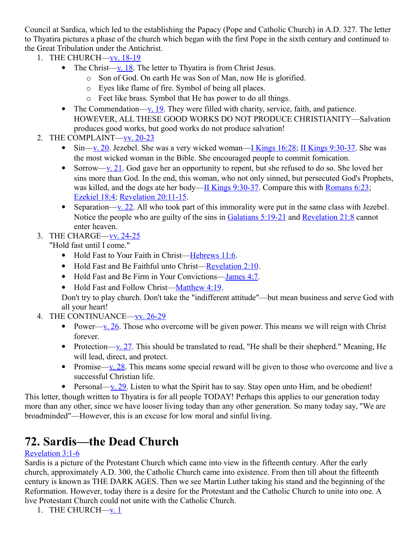Council at Sardica, which led to the establishing the Papacy (Pope and Catholic Church) in A.D. 327. The letter to Thyatira pictures a phase of the church which began with the first Pope in the sixth century and continued to the Great Tribulation under the Antichrist.

- 1. THE CHURCH[—vv. 18-19](http://www.crossbooks.com/verse.asp?ref=Rev+2%3A18-19)
	- The Christ[—v. 18.](http://www.crossbooks.com/verse.asp?ref=Rev+2%3A18) The letter to Thyatira is from Christ Jesus.
		- o Son of God. On earth He was Son of Man, now He is glorified.
		- o Eyes like flame of fire. Symbol of being all places.
		- o Feet like brass. Symbol that He has power to do all things.
	- The Commendation[—v. 19.](http://www.crossbooks.com/verse.asp?ref=Rev+2%3A19) They were filled with charity, service, faith, and patience. HOWEVER, ALL THESE GOOD WORKS DO NOT PRODUCE CHRISTIANITY—Salvation produces good works, but good works do not produce salvation!
- 2. THE COMPLAINT[—vv. 20-23](http://www.crossbooks.com/verse.asp?ref=Rev+2%3A20-23)
	- $\bullet$  Sin[—v. 20.](http://www.crossbooks.com/verse.asp?ref=Rev+2%3A20) Jezebel. She was a very wicked woman[—I Kings 16:28;](http://www.crossbooks.com/verse.asp?ref=1Ki+16%3A28) [II Kings 9:30-37.](http://www.crossbooks.com/verse.asp?ref=2Ki+9%3A30-37) She was the most wicked woman in the Bible. She encouraged people to commit fornication.
	- Sorrow[—v. 21.](http://www.crossbooks.com/verse.asp?ref=Rev+2%3A21) God gave her an opportunity to repent, but she refused to do so. She loved her sins more than God. In the end, this woman, who not only sinned, but persecuted God's Prophets, was killed, and the dogs ate her body—II Kings  $9:30-37$ . Compare this with [Romans 6:23;](http://www.crossbooks.com/verse.asp?ref=Ro+6%3A23) [Ezekiel 18:4;](http://www.crossbooks.com/verse.asp?ref=Eze+18%3A4) [Revelation 20:11-15.](http://www.crossbooks.com/verse.asp?ref=Rev+20%3A11-15)
	- Separation[—v. 22.](http://www.crossbooks.com/verse.asp?ref=Rev+2%3A22) All who took part of this immorality were put in the same class with Jezebel. Notice the people who are guilty of the sins in [Galatians 5:19-21](http://www.crossbooks.com/verse.asp?ref=Gal+5%3A19-21) and [Revelation 21:8](http://www.crossbooks.com/verse.asp?ref=Rev+21%3A8) cannot enter heaven.
- 3. THE CHARGE[—vv. 24-25](http://www.crossbooks.com/verse.asp?ref=Rev+2%3A24-25)
	- "Hold fast until I come."
		- Hold Fast to Your Faith in Christ[—Hebrews 11:6.](http://www.crossbooks.com/verse.asp?ref=Heb+11%3A6)
		- Hold Fast and Be Faithful unto Christ[—Revelation 2:10.](http://www.crossbooks.com/verse.asp?ref=Rev+2%3A10)
		- Hold Fast and Be Firm in Your Convictions[—James 4:7.](http://www.crossbooks.com/verse.asp?ref=Jas+4%3A7)
		- Hold Fast and Follow Christ[—Matthew 4:19.](http://www.crossbooks.com/verse.asp?ref=Mt+4%3A19)

Don't try to play church. Don't take the "indifferent attitude"—but mean business and serve God with all your heart!

- 4. THE CONTINUANCE[—vv. 26-29](http://www.crossbooks.com/verse.asp?ref=Rev+2%3A26-29)
	- Power[—v. 26.](http://www.crossbooks.com/verse.asp?ref=Rev+2%3A26) Those who overcome will be given power. This means we will reign with Christ forever.
	- Protection[—v. 27.](http://www.crossbooks.com/verse.asp?ref=Rev+2%3A27) This should be translated to read, "He shall be their shepherd." Meaning, He will lead, direct, and protect.
	- Promise[—v. 28.](http://www.crossbooks.com/verse.asp?ref=Rev+2%3A28) This means some special reward will be given to those who overcome and live a successful Christian life.
	- Personal—<u>v. 29</u>. Listen to what the Spirit has to say. Stay open unto Him, and be obedient!

This letter, though written to Thyatira is for all people TODAY! Perhaps this applies to our generation today more than any other, since we have looser living today than any other generation. So many today say, "We are broadminded"—However, this is an excuse for low moral and sinful living.

# **72. Sardis—the Dead Church**

### [Revelation 3:1-6](http://www.crossbooks.com/verse.asp?ref=Rev+3%3A1-6)

Sardis is a picture of the Protestant Church which came into view in the fifteenth century. After the early church, approximately A.D. 300, the Catholic Church came into existence. From then till about the fifteenth century is known as THE DARK AGES. Then we see Martin Luther taking his stand and the beginning of the Reformation. However, today there is a desire for the Protestant and the Catholic Church to unite into one. A live Protestant Church could not unite with the Catholic Church.

1. THE CHURCH—<u>v. 1</u>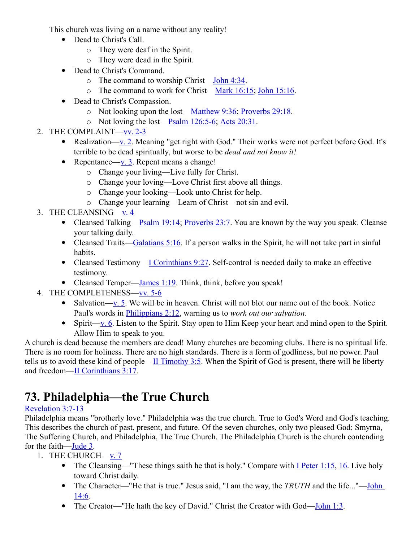This church was living on a name without any reality!

- Dead to Christ's Call.
	- o They were deaf in the Spirit.
	- o They were dead in the Spirit.
- Dead to Christ's Command.
	- $\circ$  The command to worship Christ[—John 4:34.](http://www.crossbooks.com/verse.asp?ref=Jn+4%3A34)
	- o The command to work for Christ[—Mark 16:15;](http://www.crossbooks.com/verse.asp?ref=Mk+16%3A15) [John 15:16.](http://www.crossbooks.com/verse.asp?ref=Jn+15%3A16)
- Dead to Christ's Compassion.
	- o Not looking upon the lost[—Matthew 9:36;](http://www.crossbooks.com/verse.asp?ref=Mt+9%3A36) [Proverbs 29:18.](http://www.crossbooks.com/verse.asp?ref=Pr+29%3A18)
	- o Not loving the lost[—Psalm 126:5-6;](http://www.crossbooks.com/verse.asp?ref=Ps+126%3A5-6) [Acts 20:31.](http://www.crossbooks.com/verse.asp?ref=Ac+20%3A31)
- 2. THE COMPLAINT[—vv. 2-3](http://www.crossbooks.com/verse.asp?ref=Rev+3%3A2-3)
	- Realization[—v. 2.](http://www.crossbooks.com/verse.asp?ref=Rev+3%3A2) Meaning "get right with God." Their works were not perfect before God. It's terrible to be dead spiritually, but worse to be *dead and not know it!*
	- Repentance[—v. 3.](http://www.crossbooks.com/verse.asp?ref=Rev+3%3A3) Repent means a change!
		- o Change your living—Live fully for Christ.
		- o Change your loving—Love Christ first above all things.
		- o Change your looking—Look unto Christ for help.
		- o Change your learning—Learn of Christ—not sin and evil.
- 3. THE CLEANSING[—v. 4](http://www.crossbooks.com/verse.asp?ref=Rev+3%3A4)
	- Cleansed Talking[—Psalm 19:14;](http://www.crossbooks.com/verse.asp?ref=Ps+19%3A14) [Proverbs 23:7.](http://www.crossbooks.com/verse.asp?ref=Pr+23%3A7) You are known by the way you speak. Cleanse your talking daily.
	- Cleansed Traits[—Galatians 5:16.](http://www.crossbooks.com/verse.asp?ref=Gal+5%3A16) If a person walks in the Spirit, he will not take part in sinful habits.
	- Cleansed Testimony—<u>I Corinthians 9:27</u>. Self-control is needed daily to make an effective testimony.
	- Cleansed Temper[—James 1:19.](http://www.crossbooks.com/verse.asp?ref=Jas+1%3A19) Think, think, before you speak!
- 4. THE COMPLETENESS[—vv. 5-6](http://www.crossbooks.com/verse.asp?ref=Rev+3%3A5-6)
	- Salvation[—v. 5.](http://www.crossbooks.com/verse.asp?ref=Rev+3%3A5) We will be in heaven. Christ will not blot our name out of the book. Notice Paul's words in [Philippians 2:12,](http://www.crossbooks.com/verse.asp?ref=Php+2%3A12) warning us to *work out our salvation.*
	- Spirit[—v. 6.](http://www.crossbooks.com/verse.asp?ref=Php+2%3A6) Listen to the Spirit. Stay open to Him Keep your heart and mind open to the Spirit. Allow Him to speak to you.

A church is dead because the members are dead! Many churches are becoming clubs. There is no spiritual life. There is no room for holiness. There are no high standards. There is a form of godliness, but no power. Paul tells us to avoid these kind of people[—II Timothy 3:5.](http://www.crossbooks.com/verse.asp?ref=2Ti+3%3A5) When the Spirit of God is present, there will be liberty and freedom[—II Corinthians 3:17.](http://www.crossbooks.com/verse.asp?ref=2Co+3%3A17)

# **73. Philadelphia—the True Church**

### [Revelation 3:7-13](http://www.crossbooks.com/verse.asp?ref=Rev+3%3A7-13)

Philadelphia means "brotherly love." Philadelphia was the true church. True to God's Word and God's teaching. This describes the church of past, present, and future. Of the seven churches, only two pleased God: Smyrna, The Suffering Church, and Philadelphia, The True Church. The Philadelphia Church is the church contending for the faith[—Jude 3.](http://www.crossbooks.com/verse.asp?ref=Jude+1%3A3)

- 1. THE CHURCH[—v. 7](http://www.crossbooks.com/verse.asp?ref=Jude+1%3A7)
	- The Cleansing—"These things saith he that is holy." Compare with  $I$  Peter 1:15, [16.](http://www.crossbooks.com/verse.asp?ref=1Pe+1%3A16) Live holy toward Christ daily.
	- The Character—"He that is true." Jesus said, "I am the way, the *TRUTH* and the life..."—John [14:6.](http://www.crossbooks.com/verse.asp?ref=Jn+14%3A6)
	- The Creator—"He hath the key of David." Christ the Creator with God—John  $1:3$ .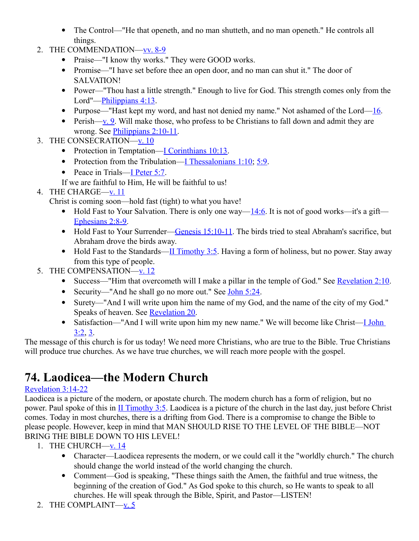- The Control—"He that openeth, and no man shutteth, and no man openeth." He controls all things.
- 2. THE COMMENDATION[—vv. 8-9](http://www.crossbooks.com/verse.asp?ref=Rev+3%3A8-9)
	- Praise—"I know thy works." They were GOOD works.
	- Promise—"I have set before thee an open door, and no man can shut it." The door of SALVATION!
	- Power—"Thou hast a little strength." Enough to live for God. This strength comes only from the Lord"[—Philippians 4:13.](http://www.crossbooks.com/verse.asp?ref=Php+4%3A13)
	- Purpose—"Hast kept my word, and hast not denied my name." Not ashamed of the Lord— $16$ .
	- Perish[—v. 9.](http://www.crossbooks.com/verse.asp?ref=Ro+1%3A9) Will make those, who profess to be Christians to fall down and admit they are wrong. See [Philippians 2:10-11.](http://www.crossbooks.com/verse.asp?ref=Php+2%3A10-11)
- 3. THE CONSECRATION[—v. 10](http://www.crossbooks.com/verse.asp?ref=Rev+3%3A10)
	- Protection in Temptation[—I Corinthians 10:13.](http://www.crossbooks.com/verse.asp?ref=1Co+10%3A13)
	- Protection from the Tribulation[—I Thessalonians 1:10;](http://www.crossbooks.com/verse.asp?ref=1Th+1%3A10) [5:9.](http://www.crossbooks.com/verse.asp?ref=1Th+5%3A9)
	- Peace in Trials[—I Peter 5:7.](http://www.crossbooks.com/verse.asp?ref=1Pe+5%3A7)
	- If we are faithful to Him, He will be faithful to us!
- 4. THE CHARGE[—v. 11](http://www.crossbooks.com/verse.asp?ref=Rev+3%3A11)
	- Christ is coming soon—hold fast (tight) to what you have!
		- $\bullet$  Hold Fast to Your Salvation. There is only one way[—14:6.](http://www.crossbooks.com/verse.asp?ref=1Pe+14%3A6) It is not of good works—it's a gift— [Ephesians 2:8-9.](http://www.crossbooks.com/verse.asp?ref=Eph+2%3A8-9)
		- Hold Fast to Your Surrender[—Genesis 15:10-11.](http://www.crossbooks.com/verse.asp?ref=Ge+15%3A10-11) The birds tried to steal Abraham's sacrifice, but Abraham drove the birds away.
		- $\bullet$  Hold Fast to the Standards[—II Timothy 3:5.](http://www.crossbooks.com/verse.asp?ref=2Ti+3%3A5) Having a form of holiness, but no power. Stay away from this type of people.
- 5. THE COMPENSATION[—v. 12](http://www.crossbooks.com/verse.asp?ref=Rev+3%3A12)
	- Success—"Him that overcometh will I make a pillar in the temple of God." See [Revelation 2:10.](http://www.crossbooks.com/verse.asp?ref=Rev+2%3A10)
	- Security—"And he shall go no more out." See [John 5:24.](http://www.crossbooks.com/verse.asp?ref=Jn+5%3A24)
	- Surety—"And I will write upon him the name of my God, and the name of the city of my God." Speaks of heaven. See [Revelation 20.](http://www.crossbooks.com/verse.asp?ref=Rev+20)
	- Satisfaction—"And I will write upon him my new name." We will become like Christ—*L John* [3:2,](http://www.crossbooks.com/verse.asp?ref=1Jn+3%3A2) [3.](http://www.crossbooks.com/verse.asp?ref=1Jn+3%3A3)

The message of this church is for us today! We need more Christians, who are true to the Bible. True Christians will produce true churches. As we have true churches, we will reach more people with the gospel.

# **74. Laodicea—the Modern Church**

### [Revelation 3:14-22](http://www.crossbooks.com/verse.asp?ref=Rev+3%3A14-22)

Laodicea is a picture of the modern, or apostate church. The modern church has a form of religion, but no power. Paul spoke of this in [II Timothy 3:5.](http://www.crossbooks.com/verse.asp?ref=2Ti+3%3A5) Laodicea is a picture of the church in the last day, just before Christ comes. Today in most churches, there is a drifting from God. There is a compromise to change the Bible to please people. However, keep in mind that MAN SHOULD RISE TO THE LEVEL OF THE BIBLE—NOT BRING THE BIBLE DOWN TO HIS LEVEL!

- 1. THE CHURCH $-\underline{v}$ . 14
	- Character—Laodicea represents the modern, or we could call it the "worldly church." The church should change the world instead of the world changing the church.
	- Comment—God is speaking, "These things saith the Amen, the faithful and true witness, the beginning of the creation of God." As God spoke to this church, so He wants to speak to all churches. He will speak through the Bible, Spirit, and Pastor—LISTEN!
- 2. THE COMPLAINT[—v. 5](http://www.crossbooks.com/verse.asp?ref=Rev+3%3A5)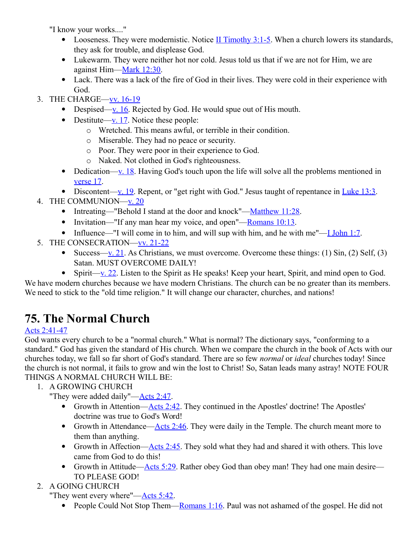"I know your works...."

- Looseness. They were modernistic. Notice  $II$  Timothy 3:1-5. When a church lowers its standards, they ask for trouble, and displease God.
- Lukewarm. They were neither hot nor cold. Jesus told us that if we are not for Him, we are against Him[—Mark 12:30.](http://www.crossbooks.com/verse.asp?ref=Mk+12%3A30)
- Lack. There was a lack of the fire of God in their lives. They were cold in their experience with God.
- 3. THE CHARGE[—vv. 16-19](http://www.crossbooks.com/verse.asp?ref=Rev+3%3A16-19)
	- Despised[—v. 16.](http://www.crossbooks.com/verse.asp?ref=Rev+3%3A16) Rejected by God. He would spue out of His mouth.
	- Destitute[—v. 17.](http://www.crossbooks.com/verse.asp?ref=Rev+3%3A17) Notice these people:
		- o Wretched. This means awful, or terrible in their condition.
		- o Miserable. They had no peace or security.
		- o Poor. They were poor in their experience to God.
		- o Naked. Not clothed in God's righteousness.
	- Dedication[—v. 18.](http://www.crossbooks.com/verse.asp?ref=Rev+3%3A18) Having God's touch upon the life will solve all the problems mentioned in [verse 17.](http://www.crossbooks.com/verse.asp?ref=Rev+3%3A17)
	- Discontent[—v. 19.](http://www.crossbooks.com/verse.asp?ref=Rev+3%3A19) Repent, or "get right with God." Jesus taught of repentance in Luke  $13:3$ .
- 4. THE COMMUNION[—v. 20](http://www.crossbooks.com/verse.asp?ref=Rev+3%3A20)
	- Intreating—"Behold I stand at the door and knock"[—Matthew 11:28.](http://www.crossbooks.com/verse.asp?ref=Mt+11%3A28)
	- Invitation—"If any man hear my voice, and open"—Romans  $10:13$ .
	- Influence—"I will come in to him, and will sup with him, and he with me"[—I John 1:7.](http://www.crossbooks.com/verse.asp?ref=1Jn+1%3A7)
- 5. THE CONSECRATION[—vv. 21-22](http://www.crossbooks.com/verse.asp?ref=Rev+3%3A21-22)
	- Success[—v. 21.](http://www.crossbooks.com/verse.asp?ref=Rev+3%3A21) As Christians, we must overcome. Overcome these things: (1)  $\sin$ , (2) Self, (3) Satan. MUST OVERCOME DAILY!
	- Spirit[—v. 22.](http://www.crossbooks.com/verse.asp?ref=Rev+3%3A22) Listen to the Spirit as He speaks! Keep your heart, Spirit, and mind open to God.

We have modern churches because we have modern Christians. The church can be no greater than its members. We need to stick to the "old time religion." It will change our character, churches, and nations!

# **75. The Normal Church**

### [Acts 2:41-47](http://www.crossbooks.com/verse.asp?ref=Ac+2%3A41-47)

God wants every church to be a "normal church." What is normal? The dictionary says, "conforming to a standard." God has given the standard of His church. When we compare the church in the book of Acts with our churches today, we fall so far short of God's standard. There are so few *normal* or *ideal* churches today! Since the church is not normal, it fails to grow and win the lost to Christ! So, Satan leads many astray! NOTE FOUR THINGS A NORMAL CHURCH WILL BE:

1. A GROWING CHURCH

"They were added daily"[—Acts 2:47.](http://www.crossbooks.com/verse.asp?ref=Ac+2%3A47)

- Growth in Attention[—Acts 2:42.](http://www.crossbooks.com/verse.asp?ref=Ac+2%3A42) They continued in the Apostles' doctrine! The Apostles' doctrine was true to God's Word!
- Growth in Attendance—Acts  $2:46$ . They were daily in the Temple. The church meant more to them than anything.
- Growth in Affection— $\frac{\text{Acts 2:45}}{\text{Aets 2:45}}$ . They sold what they had and shared it with others. This love came from God to do this!
- Growth in Attitude[—Acts 5:29.](http://www.crossbooks.com/verse.asp?ref=Ac+5%3A29) Rather obey God than obey man! They had one main desire— TO PLEASE GOD!
- 2. A GOING CHURCH

"They went every where"[—Acts 5:42.](http://www.crossbooks.com/verse.asp?ref=Ac+5%3A42)

• People Could Not Stop Them—Romans  $1:16$ . Paul was not ashamed of the gospel. He did not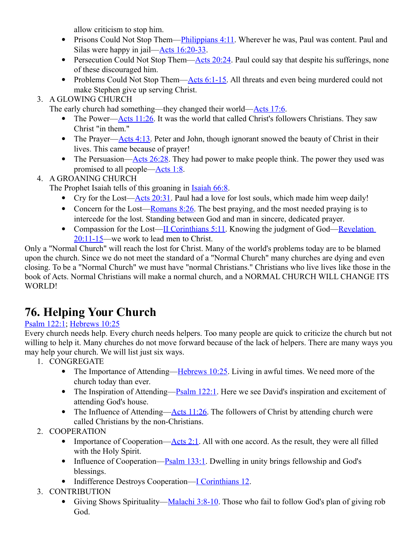allow criticism to stop him.

- Prisons Could Not Stop Them[—Philippians 4:11.](http://www.crossbooks.com/verse.asp?ref=Php+4%3A11) Wherever he was, Paul was content. Paul and Silas were happy in jail[—Acts 16:20-33.](http://www.crossbooks.com/verse.asp?ref=Ac+16%3A20-33)
- Persecution Could Not Stop Them— $\triangle$ cts 20:24. Paul could say that despite his sufferings, none of these discouraged him.
- Problems Could Not Stop Them[—Acts 6:1-15.](http://www.crossbooks.com/verse.asp?ref=Ac+6%3A1-15) All threats and even being murdered could not make Stephen give up serving Christ.
- 3. A GLOWING CHURCH

The early church had something—they changed their world[—Acts 17:6.](http://www.crossbooks.com/verse.asp?ref=Ac+17%3A6)

- The Power[—Acts 11:26.](http://www.crossbooks.com/verse.asp?ref=Ac+11%3A26) It was the world that called Christ's followers Christians. They saw Christ "in them."
- The Prayer— $\frac{\text{Acts }4:13}{\text{C}}$ . Peter and John, though ignorant snowed the beauty of Christ in their lives. This came because of prayer!
- The Persuasion—Acts  $26:28$ . They had power to make people think. The power they used was promised to all people[—Acts 1:8.](http://www.crossbooks.com/verse.asp?ref=Ac+1%3A8)
- 4. A GROANING CHURCH

The Prophet Isaiah tells of this groaning in **Isaiah 66:8**.

- Cry for the Lost— $\triangle$ cts 20:31. Paul had a love for lost souls, which made him weep daily!
- Concern for the Lost—Romans  $8:26$ . The best praying, and the most needed praying is to intercede for the lost. Standing between God and man in sincere, dedicated prayer.
- Compassion for the Lost[—II Corinthians 5:11.](http://www.crossbooks.com/verse.asp?ref=2Co+5%3A11) Knowing the judgment of God—Revelation [20:11-15—](http://www.crossbooks.com/verse.asp?ref=Rev+20%3A11-15)we work to lead men to Christ.

Only a "Normal Church" will reach the lost for Christ. Many of the world's problems today are to be blamed upon the church. Since we do not meet the standard of a "Normal Church" many churches are dying and even closing. To be a "Normal Church" we must have "normal Christians." Christians who live lives like those in the book of Acts. Normal Christians will make a normal church, and a NORMAL CHURCH WILL CHANGE ITS WORLD!

# **76. Helping Your Church**

### [Psalm 122:1;](http://www.crossbooks.com/verse.asp?ref=Ps+122%3A1) [Hebrews 10:25](http://www.crossbooks.com/verse.asp?ref=Heb+10%3A25)

Every church needs help. Every church needs helpers. Too many people are quick to criticize the church but not willing to help it. Many churches do not move forward because of the lack of helpers. There are many ways you may help your church. We will list just six ways.

- 1. CONGREGATE
	- The Importance of Attending—Hebrews  $10:25$ . Living in awful times. We need more of the church today than ever.
	- The Inspiration of Attending—Psalm  $122:1$ . Here we see David's inspiration and excitement of attending God's house.
	- The Influence of Attending— $\triangle$ cts 11:26. The followers of Christ by attending church were called Christians by the non-Christians.
- 2. COOPERATION
	- Importance of Cooperation— $\triangle$ cts 2:1. All with one accord. As the result, they were all filled with the Holy Spirit.
	- Influence of Cooperation— $P_{salm}$  133:1. Dwelling in unity brings fellowship and God's blessings.
	- Indifference Destroys Cooperation[—I Corinthians 12.](http://www.crossbooks.com/verse.asp?ref=1Co+12)
- 3. CONTRIBUTION
	- Giving Shows Spirituality[—Malachi 3:8-10.](http://www.crossbooks.com/verse.asp?ref=Mal+3%3A8-10) Those who fail to follow God's plan of giving rob God.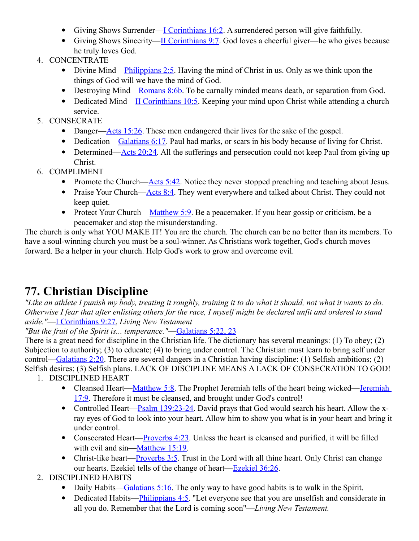- Giving Shows Surrender—<u>I Corinthians 16:2</u>. A surrendered person will give faithfully.
- Giving Shows Sincerity[—II Corinthians 9:7.](http://www.crossbooks.com/verse.asp?ref=2Co+9%3A7) God loves a cheerful giver—he who gives because he truly loves God.
- 4. CONCENTRATE
	- Divine Mind[—Philippians 2:5.](http://www.crossbooks.com/verse.asp?ref=Php+2%3A5) Having the mind of Christ in us. Only as we think upon the things of God will we have the mind of God.
	- Destroying Mind[—Romans 8:6b.](http://www.crossbooks.com/verse.asp?ref=Ro+8%3A6) To be carnally minded means death, or separation from God.
	- Dedicated Mind[—II Corinthians 10:5.](http://www.crossbooks.com/verse.asp?ref=2Co+10%3A5) Keeping your mind upon Christ while attending a church service.
- 5. CONSECRATE
	- Danger—Acts  $15:26$ . These men endangered their lives for the sake of the gospel.
	- Dedication[—Galatians 6:17.](http://www.crossbooks.com/verse.asp?ref=Gal+6%3A17) Paul had marks, or scars in his body because of living for Christ.
	- Determined[—Acts 20:24.](http://www.crossbooks.com/verse.asp?ref=Ac+20%3A24) All the sufferings and persecution could not keep Paul from giving up Christ.
- 6. COMPLIMENT
	- Promote the Church[—Acts 5:42.](http://www.crossbooks.com/verse.asp?ref=Ac+5%3A42) Notice they never stopped preaching and teaching about Jesus.
	- Praise Your Church[—Acts 8:4.](http://www.crossbooks.com/verse.asp?ref=Ac+8%3A4) They went everywhere and talked about Christ. They could not keep quiet.
	- Protect Your Church[—Matthew 5:9.](http://www.crossbooks.com/verse.asp?ref=Mt+5%3A9) Be a peacemaker. If you hear gossip or criticism, be a peacemaker and stop the misunderstanding.

The church is only what YOU MAKE IT! You are the church. The church can be no better than its members. To have a soul-winning church you must be a soul-winner. As Christians work together, God's church moves forward. Be a helper in your church. Help God's work to grow and overcome evil.

# **77. Christian Discipline**

*"Like an athlete I punish my body, treating it roughly, training it to do what it should, not what it wants to do. Otherwise I fear that after enlisting others for the race, I myself might be declared unfit and ordered to stand aside."*[—I Corinthians 9:27,](http://www.crossbooks.com/verse.asp?ref=1Co+9%3A27) *Living New Testament*

*"But the fruit of the Spirit is... temperance."*[—Galatians 5:22, 23](http://www.crossbooks.com/verse.asp?ref=Gal+5%3A22-23)

There is a great need for discipline in the Christian life. The dictionary has several meanings: (1) To obey; (2) Subjection to authority; (3) to educate; (4) to bring under control. The Christian must learn to bring self under control[—Galatians 2:20.](http://www.crossbooks.com/verse.asp?ref=Gal+2%3A20) There are several dangers in a Christian having discipline: (1) Selfish ambitions; (2) Selfish desires; (3) Selfish plans. LACK OF DISCIPLINE MEANS A LACK OF CONSECRATION TO GOD!

- 1. DISCIPLINED HEART
	- Cleansed Heart[—Matthew 5:8.](http://www.crossbooks.com/verse.asp?ref=Mt+5%3A8) The Prophet Jeremiah tells of the heart being wicked—Jeremiah [17:9.](http://www.crossbooks.com/verse.asp?ref=Jer+17%3A9) Therefore it must be cleansed, and brought under God's control!
	- Controlled Heart[—Psalm 139:23-24.](http://www.crossbooks.com/verse.asp?ref=Ps+139%3A23-24) David prays that God would search his heart. Allow the xray eyes of God to look into your heart. Allow him to show you what is in your heart and bring it under control.
	- Consecrated Heart—**Proverbs 4:23**. Unless the heart is cleansed and purified, it will be filled with evil and sin[—Matthew 15:19.](http://www.crossbooks.com/verse.asp?ref=Mt+15%3A19)
	- Christ-like heart—**Proverbs 3:5**. Trust in the Lord with all thine heart. Only Christ can change our hearts. Ezekiel tells of the change of heart[—Ezekiel 36:26.](http://www.crossbooks.com/verse.asp?ref=Eze+36%3A26)
- 2. DISCIPLINED HABITS
	- Daily Habits[—Galatians 5:16.](http://www.crossbooks.com/verse.asp?ref=Gal+5%3A16) The only way to have good habits is to walk in the Spirit.
	- Dedicated Habits—**Philippians 4:5.** "Let everyone see that you are unselfish and considerate in all you do. Remember that the Lord is coming soon"—*Living New Testament.*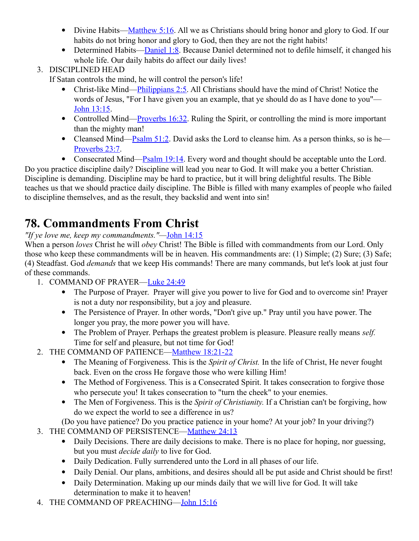- Divine Habits[—Matthew 5:16.](http://www.crossbooks.com/verse.asp?ref=Mt+5%3A16) All we as Christians should bring honor and glory to God. If our habits do not bring honor and glory to God, then they are not the right habits!
- Determined Habits[—Daniel 1:8.](http://www.crossbooks.com/verse.asp?ref=Da+1%3A8) Because Daniel determined not to defile himself, it changed his whole life. Our daily habits do affect our daily lives!

### 3. DISCIPLINED HEAD

If Satan controls the mind, he will control the person's life!

- Christ-like Mind[—Philippians 2:5.](http://www.crossbooks.com/verse.asp?ref=Php+2%3A5) All Christians should have the mind of Christ! Notice the words of Jesus, "For I have given you an example, that ye should do as I have done to you"— [John 13:15.](http://www.crossbooks.com/verse.asp?ref=Jn+13%3A15)
- Controlled Mind[—Proverbs 16:32.](http://www.crossbooks.com/verse.asp?ref=Pr+16%3A32) Ruling the Spirit, or controlling the mind is more important than the mighty man!
- Cleansed Mind[—Psalm 51:2.](http://www.crossbooks.com/verse.asp?ref=Ps+51%3A2) David asks the Lord to cleanse him. As a person thinks, so is he— [Proverbs 23:7.](http://www.crossbooks.com/verse.asp?ref=Pr+23%3A7)
- Consecrated Mind[—Psalm 19:14.](http://www.crossbooks.com/verse.asp?ref=Ps+19%3A14) Every word and thought should be acceptable unto the Lord.

Do you practice discipline daily? Discipline will lead you near to God. It will make you a better Christian. Discipline is demanding. Discipline may be hard to practice, but it will bring delightful results. The Bible teaches us that we should practice daily discipline. The Bible is filled with many examples of people who failed to discipline themselves, and as the result, they backslid and went into sin!

# **78. Commandments From Christ**

### *"If ye love me, keep my commandments."—*[John 14:15](http://www.crossbooks.com/verse.asp?ref=Jn+14%3A15)

When a person *loves* Christ he will *obey* Christ! The Bible is filled with commandments from our Lord. Only those who keep these commandments will be in heaven. His commandments are: (1) Simple; (2) Sure; (3) Safe; (4) Steadfast. God *demands* that we keep His commands! There are many commands, but let's look at just four of these commands.

- 1. COMMAND OF PRAYER[—Luke 24:49](http://www.crossbooks.com/verse.asp?ref=Lk+24%3A49)
	- The Purpose of Prayer. Prayer will give you power to live for God and to overcome sin! Prayer is not a duty nor responsibility, but a joy and pleasure.
	- The Persistence of Prayer. In other words, "Don't give up." Pray until you have power. The longer you pray, the more power you will have.
	- The Problem of Prayer. Perhaps the greatest problem is pleasure. Pleasure really means *self.* Time for self and pleasure, but not time for God!
- 2. THE COMMAND OF PATIENCE[—Matthew 18:21-22](http://www.crossbooks.com/verse.asp?ref=Mt+18%3A21-22)
	- The Meaning of Forgiveness. This is the *Spirit of Christ.* In the life of Christ, He never fought back. Even on the cross He forgave those who were killing Him!
	- The Method of Forgiveness. This is a Consecrated Spirit. It takes consecration to forgive those who persecute you! It takes consecration to "turn the cheek" to your enemies.
	- The Men of Forgiveness. This is the *Spirit of Christianity.* If a Christian can't be forgiving, how do we expect the world to see a difference in us?

(Do you have patience? Do you practice patience in your home? At your job? In your driving?)

- 3. THE COMMAND OF PERSISTENCE[—Matthew 24:13](http://www.crossbooks.com/verse.asp?ref=Mt+24%3A13)
	- Daily Decisions. There are daily decisions to make. There is no place for hoping, nor guessing, but you must *decide daily* to live for God.
	- Daily Dedication. Fully surrendered unto the Lord in all phases of our life.
	- Daily Denial. Our plans, ambitions, and desires should all be put aside and Christ should be first!
	- Daily Determination. Making up our minds daily that we will live for God. It will take determination to make it to heaven!
- 4. THE COMMAND OF PREACHING[—John 15:16](http://www.crossbooks.com/verse.asp?ref=Jn+15%3A16)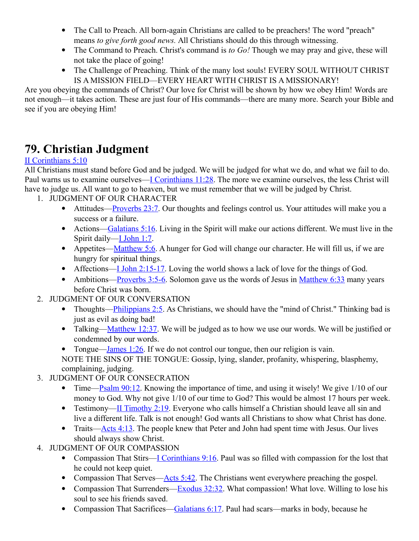- The Call to Preach. All born-again Christians are called to be preachers! The word "preach" means *to give forth good news.* All Christians should do this through witnessing.
- The Command to Preach. Christ's command is *to Go!* Though we may pray and give, these will not take the place of going!
- The Challenge of Preaching. Think of the many lost souls! EVERY SOUL WITHOUT CHRIST IS A MISSION FIELD—EVERY HEART WITH CHRIST IS A MISSIONARY!

Are you obeying the commands of Christ? Our love for Christ will be shown by how we obey Him! Words are not enough—it takes action. These are just four of His commands—there are many more. Search your Bible and see if you are obeying Him!

# **79. Christian Judgment**

### [II Corinthians 5:10](http://www.crossbooks.com/verse.asp?ref=2Co+5%3A10)

All Christians must stand before God and be judged. We will be judged for what we do, and what we fail to do. Paul warns us to examine ourselves[—I Corinthians 11:28.](http://www.crossbooks.com/verse.asp?ref=1Co+11%3A28) The more we examine ourselves, the less Christ will have to judge us. All want to go to heaven, but we must remember that we will be judged by Christ.

- 1. JUDGMENT OF OUR CHARACTER
	- Attitudes[—Proverbs 23:7.](http://www.crossbooks.com/verse.asp?ref=Pr+23%3A7) Our thoughts and feelings control us. Your attitudes will make you a success or a failure.
	- Actions[—Galatians 5:16.](http://www.crossbooks.com/verse.asp?ref=Gal+5%3A16) Living in the Spirit will make our actions different. We must live in the Spirit daily[—I John 1:7.](http://www.crossbooks.com/verse.asp?ref=1Jn+1%3A7)
	- Appetites[—Matthew 5:6.](http://www.crossbooks.com/verse.asp?ref=Mt+5%3A6) A hunger for God will change our character. He will fill us, if we are hungry for spiritual things.
	- Affections[—I John 2:15-17.](http://www.crossbooks.com/verse.asp?ref=1Jn+2%3A15-17) Loving the world shows a lack of love for the things of God.
	- Ambitions—Proverbs  $3:5-6$ . Solomon gave us the words of Jesus in [Matthew 6:33](http://www.crossbooks.com/verse.asp?ref=Mt+6%3A33) many years before Christ was born.
- 2. JUDGMENT OF OUR CONVERSATION
	- Thoughts[—Philippians 2:5.](http://www.crossbooks.com/verse.asp?ref=Php+2%3A5) As Christians, we should have the "mind of Christ." Thinking bad is just as evil as doing bad!
	- Talking[—Matthew 12:37.](http://www.crossbooks.com/verse.asp?ref=Mt+12%3A37) We will be judged as to how we use our words. We will be justified or condemned by our words.
	- Tongue—James  $1:26$ . If we do not control our tongue, then our religion is vain.

NOTE THE SINS OF THE TONGUE: Gossip, lying, slander, profanity, whispering, blasphemy, complaining, judging.

- 3. JUDGMENT OF OUR CONSECRATION
	- Time—Psalm  $90:12$ . Knowing the importance of time, and using it wisely! We give  $1/10$  of our money to God. Why not give 1/10 of our time to God? This would be almost 17 hours per week.
	- Testimony[—II Timothy 2:19.](http://www.crossbooks.com/verse.asp?ref=2Ti+2%3A19) Everyone who calls himself a Christian should leave all sin and live a different life. Talk is not enough! God wants all Christians to show what Christ has done.
	- Traits— $\frac{\text{Acts }4:13}{\text{The people knew that Peter and John had spent time with Jesus. Our lives}$ should always show Christ.
- 4. JUDGMENT OF OUR COMPASSION
	- Compassion That Stirs[—I Corinthians 9:16.](http://www.crossbooks.com/verse.asp?ref=1Co+9%3A16) Paul was so filled with compassion for the lost that he could not keep quiet.
	- Compassion That Serves[—Acts 5:42.](http://www.crossbooks.com/verse.asp?ref=Ac+5%3A42) The Christians went everywhere preaching the gospel.
	- Compassion That Surrenders[—Exodus 32:32.](http://www.crossbooks.com/verse.asp?ref=Ex+32%3A32) What compassion! What love. Willing to lose his soul to see his friends saved.
	- Compassion That Sacrifices[—Galatians 6:17.](http://www.crossbooks.com/verse.asp?ref=Gal+6%3A17) Paul had scars—marks in body, because he